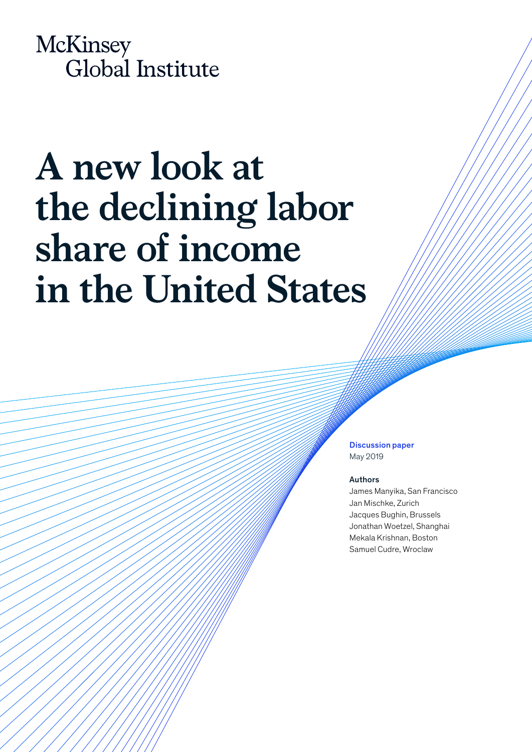McKinsey Global Institute

# **A new look at the declining labor share of income in the United States**

Discussion paper May 2019

#### Authors

James Manyika, San Francisco Jan Mischke, Zurich Jacques Bughin, Brussels Jonathan Woetzel, Shanghai Mekala Krishnan, Boston Samuel Cudre, Wroclaw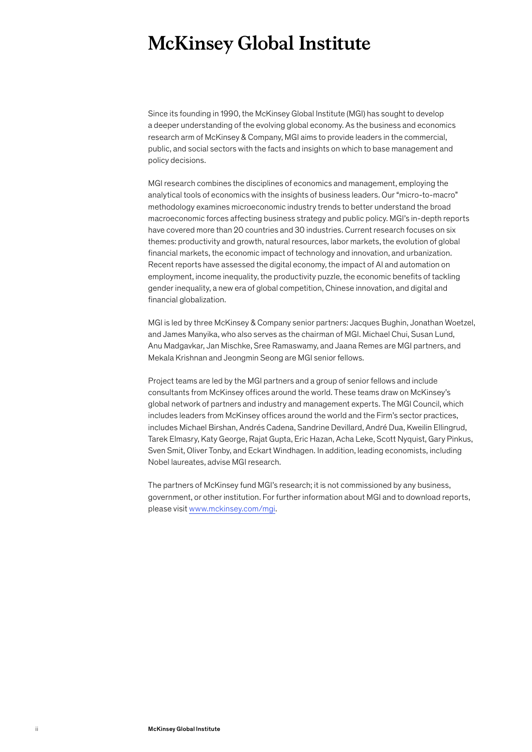## **McKinsey Global Institute**

Since its founding in 1990, the McKinsey Global Institute (MGI) has sought to develop a deeper understanding of the evolving global economy. As the business and economics research arm of McKinsey & Company, MGI aims to provide leaders in the commercial, public, and social sectors with the facts and insights on which to base management and policy decisions.

MGI research combines the disciplines of economics and management, employing the analytical tools of economics with the insights of business leaders. Our "micro-to-macro" methodology examines microeconomic industry trends to better understand the broad macroeconomic forces affecting business strategy and public policy. MGI's in-depth reports have covered more than 20 countries and 30 industries. Current research focuses on six themes: productivity and growth, natural resources, labor markets, the evolution of global financial markets, the economic impact of technology and innovation, and urbanization. Recent reports have assessed the digital economy, the impact of AI and automation on employment, income inequality, the productivity puzzle, the economic benefits of tackling gender inequality, a new era of global competition, Chinese innovation, and digital and financial globalization.

MGI is led by three McKinsey & Company senior partners: Jacques Bughin, Jonathan Woetzel, and James Manyika, who also serves as the chairman of MGI. Michael Chui, Susan Lund, Anu Madgavkar, Jan Mischke, Sree Ramaswamy, and Jaana Remes are MGI partners, and Mekala Krishnan and Jeongmin Seong are MGI senior fellows.

Project teams are led by the MGI partners and a group of senior fellows and include consultants from McKinsey offices around the world. These teams draw on McKinsey's global network of partners and industry and management experts. The MGI Council, which includes leaders from McKinsey offices around the world and the Firm's sector practices, includes Michael Birshan, Andrés Cadena, Sandrine Devillard, André Dua, Kweilin Ellingrud, Tarek Elmasry, Katy George, Rajat Gupta, Eric Hazan, Acha Leke, Scott Nyquist, Gary Pinkus, Sven Smit, Oliver Tonby, and Eckart Windhagen. In addition, leading economists, including Nobel laureates, advise MGI research.

The partners of McKinsey fund MGI's research; it is not commissioned by any business, government, or other institution. For further information about MGI and to download reports, please visit [www.mckinsey.com/mgi](http://www.mckinsey.com/mgi).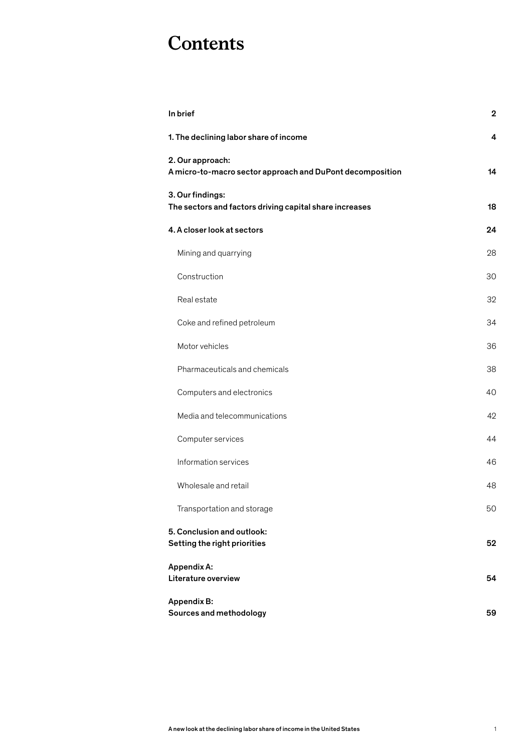## **Contents**

| In brief                                                                      | $\mathbf{2}$ |
|-------------------------------------------------------------------------------|--------------|
| 1. The declining labor share of income                                        | 4            |
| 2. Our approach:<br>A micro-to-macro sector approach and DuPont decomposition | 14           |
| 3. Our findings:<br>The sectors and factors driving capital share increases   | 18           |
| 4. A closer look at sectors                                                   | 24           |
| Mining and quarrying                                                          | 28           |
| Construction                                                                  | 30           |
| Real estate                                                                   | 32           |
| Coke and refined petroleum                                                    | 34           |
| Motor vehicles                                                                | 36           |
| Pharmaceuticals and chemicals                                                 | 38           |
| Computers and electronics                                                     | 40           |
| Media and telecommunications                                                  | 42           |
| Computer services                                                             | 44           |
| Information services                                                          | 46           |
| Wholesale and retail                                                          | 48           |
| Transportation and storage                                                    | 50           |
| 5. Conclusion and outlook:<br>Setting the right priorities                    | 52           |
| Appendix A:<br>Literature overview                                            | 54           |
| Appendix B:<br>Sources and methodology                                        | 59           |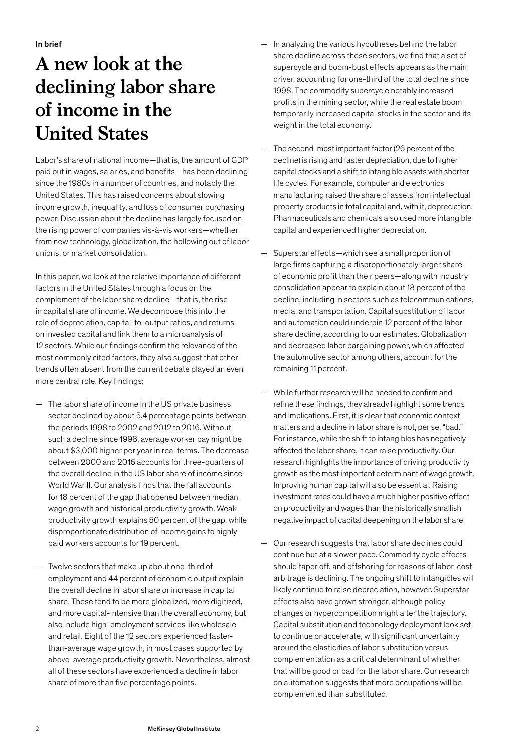## <span id="page-3-0"></span>**A new look at the declining labor share of income in the United States**

Labor's share of national income—that is, the amount of GDP paid out in wages, salaries, and benefits—has been declining since the 1980s in a number of countries, and notably the United States. This has raised concerns about slowing income growth, inequality, and loss of consumer purchasing power. Discussion about the decline has largely focused on the rising power of companies vis-à-vis workers—whether from new technology, globalization, the hollowing out of labor unions, or market consolidation.

In this paper, we look at the relative importance of different factors in the United States through a focus on the complement of the labor share decline—that is, the rise in capital share of income. We decompose this into the role of depreciation, capital-to-output ratios, and returns on invested capital and link them to a microanalysis of 12 sectors. While our findings confirm the relevance of the most commonly cited factors, they also suggest that other trends often absent from the current debate played an even more central role. Key findings:

- The labor share of income in the US private business sector declined by about 5.4 percentage points between the periods 1998 to 2002 and 2012 to 2016. Without such a decline since 1998, average worker pay might be about \$3,000 higher per year in real terms. The decrease between 2000 and 2016 accounts for three-quarters of the overall decline in the US labor share of income since World War II. Our analysis finds that the fall accounts for 18 percent of the gap that opened between median wage growth and historical productivity growth. Weak productivity growth explains 50 percent of the gap, while disproportionate distribution of income gains to highly paid workers accounts for 19 percent.
- Twelve sectors that make up about one-third of employment and 44 percent of economic output explain the overall decline in labor share or increase in capital share. These tend to be more globalized, more digitized, and more capital-intensive than the overall economy, but also include high-employment services like wholesale and retail. Eight of the 12 sectors experienced fasterthan-average wage growth, in most cases supported by above-average productivity growth. Nevertheless, almost all of these sectors have experienced a decline in labor share of more than five percentage points.
- In analyzing the various hypotheses behind the labor share decline across these sectors, we find that a set of supercycle and boom-bust effects appears as the main driver, accounting for one-third of the total decline since 1998. The commodity supercycle notably increased profits in the mining sector, while the real estate boom temporarily increased capital stocks in the sector and its weight in the total economy.
- The second-most important factor (26 percent of the decline) is rising and faster depreciation, due to higher capital stocks and a shift to intangible assets with shorter life cycles. For example, computer and electronics manufacturing raised the share of assets from intellectual property products in total capital and, with it, depreciation. Pharmaceuticals and chemicals also used more intangible capital and experienced higher depreciation.
- Superstar effects—which see a small proportion of large firms capturing a disproportionately larger share of economic profit than their peers—along with industry consolidation appear to explain about 18 percent of the decline, including in sectors such as telecommunications, media, and transportation. Capital substitution of labor and automation could underpin 12 percent of the labor share decline, according to our estimates. Globalization and decreased labor bargaining power, which affected the automotive sector among others, account for the remaining 11 percent.
- While further research will be needed to confirm and refine these findings, they already highlight some trends and implications. First, it is clear that economic context matters and a decline in labor share is not, per se, "bad." For instance, while the shift to intangibles has negatively affected the labor share, it can raise productivity. Our research highlights the importance of driving productivity growth as the most important determinant of wage growth. Improving human capital will also be essential. Raising investment rates could have a much higher positive effect on productivity and wages than the historically smallish negative impact of capital deepening on the labor share.
- Our research suggests that labor share declines could continue but at a slower pace. Commodity cycle effects should taper off, and offshoring for reasons of labor-cost arbitrage is declining. The ongoing shift to intangibles will likely continue to raise depreciation, however. Superstar effects also have grown stronger, although policy changes or hypercompetition might alter the trajectory. Capital substitution and technology deployment look set to continue or accelerate, with significant uncertainty around the elasticities of labor substitution versus complementation as a critical determinant of whether that will be good or bad for the labor share. Our research on automation suggests that more occupations will be complemented than substituted.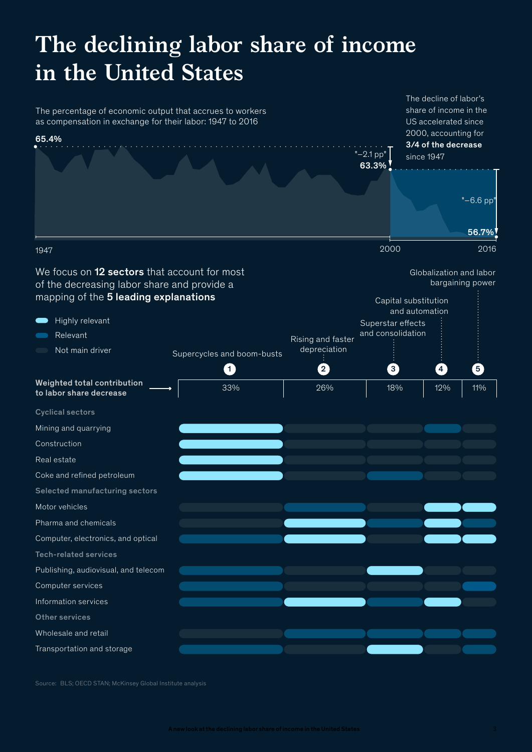# **The declining labor share of income in the United States**

65.4% "–2.1 pp" 1947 2000 2016 The decline of labor's share of income in the US accelerated since 2000, accounting for 3/4 of the decrease since 1947  $-6.6$  pp" 63.3% Cyclical sectors 33% 26% 18% 12% 11% Supercycles and boom-busts Rising and faster depreciation Superstar effects and consolidation Capital substitution and automation Globalization and labor bargaining power Highly relevant Selected manufacturing sectors Tech-related services Other services Construction Real estate Coke and refined petroleum Mining and quarrying Motor vehicles Pharma and chemicals Computer, electronics, and optical Publishing, audiovisual, and telecom Computer services Information services Wholesale and retail Transportation and storage Weighted total contribution to labor share decrease We focus on 12 sectors that account for most of the decreasing labor share and provide a mapping of the 5 leading explanations Relevant Not main driver 1 2 3 4 5 The percentage of economic output that accrues to workers as compensation in exchange for their labor: 1947 to 2016 56.7%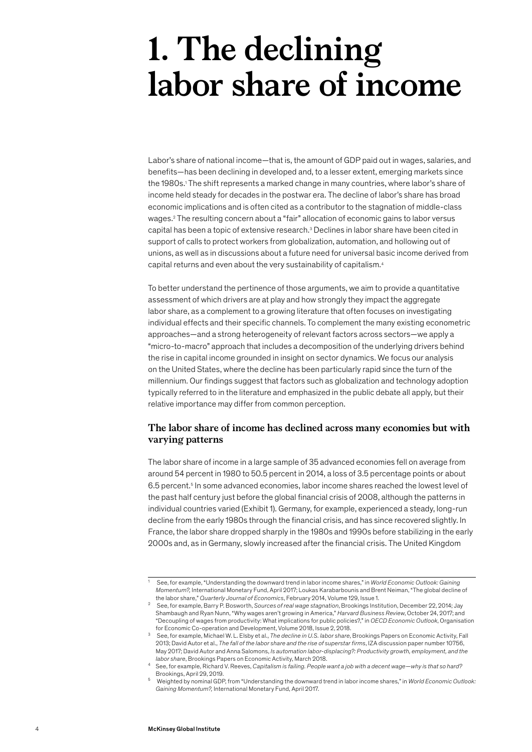# <span id="page-5-0"></span>**1. The declining labor share of income**

Labor's share of national income—that is, the amount of GDP paid out in wages, salaries, and benefits—has been declining in developed and, to a lesser extent, emerging markets since the 1980s.<sup>1</sup> The shift represents a marked change in many countries, where labor's share of income held steady for decades in the postwar era. The decline of labor's share has broad economic implications and is often cited as a contributor to the stagnation of middle-class wages.2 The resulting concern about a "fair" allocation of economic gains to labor versus capital has been a topic of extensive research.<sup>3</sup> Declines in labor share have been cited in support of calls to protect workers from globalization, automation, and hollowing out of unions, as well as in discussions about a future need for universal basic income derived from capital returns and even about the very sustainability of capitalism.4

To better understand the pertinence of those arguments, we aim to provide a quantitative assessment of which drivers are at play and how strongly they impact the aggregate labor share, as a complement to a growing literature that often focuses on investigating individual effects and their specific channels. To complement the many existing econometric approaches—and a strong heterogeneity of relevant factors across sectors—we apply a "micro-to-macro" approach that includes a decomposition of the underlying drivers behind the rise in capital income grounded in insight on sector dynamics. We focus our analysis on the United States, where the decline has been particularly rapid since the turn of the millennium. Our findings suggest that factors such as globalization and technology adoption typically referred to in the literature and emphasized in the public debate all apply, but their relative importance may differ from common perception.

#### **The labor share of income has declined across many economies but with varying patterns**

The labor share of income in a large sample of 35 advanced economies fell on average from around 54 percent in 1980 to 50.5 percent in 2014, a loss of 3.5 percentage points or about 6.5 percent.<sup>5</sup> In some advanced economies, labor income shares reached the lowest level of the past half century just before the global financial crisis of 2008, although the patterns in individual countries varied (Exhibit 1). Germany, for example, experienced a steady, long-run decline from the early 1980s through the financial crisis, and has since recovered slightly. In France, the labor share dropped sharply in the 1980s and 1990s before stabilizing in the early 2000s and, as in Germany, slowly increased after the financial crisis. The United Kingdom

<sup>1</sup> See, for example, "Understanding the downward trend in labor income shares," in *World Economic Outlook: Gaining Momentum?,* International Monetary Fund, April 2017; Loukas Karabarbounis and Brent Neiman, "The global decline of the labor share," *Quarterly Journal of Economics*, February 2014, Volume 129, Issue 1.

<sup>2</sup> See, for example, Barry P. Bosworth, *Sources of real wage stagnation*, Brookings Institution, December 22, 2014; Jay Shambaugh and Ryan Nunn, "Why wages aren't growing in America," *Harvard Business Review*, October 24, 2017; and "Decoupling of wages from productivity: What implications for public policies?," in *OECD Economic Outlook*, Organisation for Economic Co-operation and Development, Volume 2018, Issue 2, 2018.

<sup>3</sup> See, for example, Michael W. L. Elsby et al., *The decline in U.S. labor share*, Brookings Papers on Economic Activity, Fall 2013; David Autor et al., *The fall of the labor share and the rise of superstar firms*, IZA discussion paper number 10756, May 2017; David Autor and Anna Salomons, *Is automation labor-displacing?: Productivity growth, employment, and the labor share*, Brookings Papers on Economic Activity, March 2018.

<sup>4</sup> See, for example, Richard V. Reeves, *Capitalism is failing. People want a job with a decent wage—why is that so hard?*  Brookings, April 29, 2019.

<sup>5</sup> Weighted by nominal GDP, from "Understanding the downward trend in labor income shares," in *World Economic Outlook: Gaining Momentum?,* International Monetary Fund, April 2017.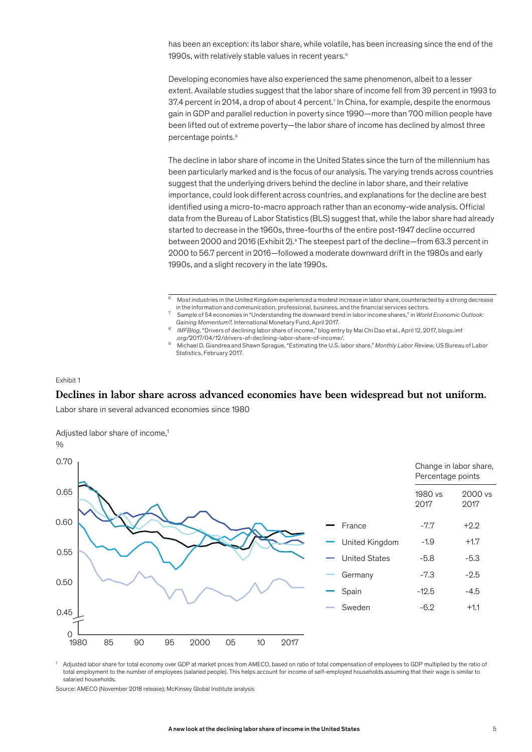has been an exception: its labor share, while volatile, has been increasing since the end of the 1990s, with relatively stable values in recent years.<sup>6</sup>

Developing economies have also experienced the same phenomenon, albeit to a lesser extent. Available studies suggest that the labor share of income fell from 39 percent in 1993 to 37.4 percent in 2014, a drop of about 4 percent.7 In China, for example, despite the enormous gain in GDP and parallel reduction in poverty since 1990—more than 700 million people have been lifted out of extreme poverty—the labor share of income has declined by almost three percentage points.8

The decline in labor share of income in the United States since the turn of the millennium has been particularly marked and is the focus of our analysis. The varying trends across countries suggest that the underlying drivers behind the decline in labor share, and their relative importance, could look different across countries, and explanations for the decline are best identified using a micro-to-macro approach rather than an economy-wide analysis. Official data from the Bureau of Labor Statistics (BLS) suggest that, while the labor share had already started to decrease in the 1960s, three-fourths of the entire post-1947 decline occurred between 2000 and 2016 (Exhibit 2).<sup>9</sup> The steepest part of the decline—from 63.3 percent in 2000 to 56.7 percent in 2016—followed a moderate downward drift in the 1980s and early 1990s, and a slight recovery in the late 1990s.

#### Exhibit 1

### **Declines in labor share across advanced economies have been widespread but not uniform.**

Labor share in several advanced economies since 1980



Adjusted labor share for total economy over GDP at market prices from AMECO, based on ratio of total compensation of employees to GDP multiplied by the ratio of total employment to the number of employees (salaried people). This helps account for income of self-employed households assuming that their wage is similar to salaried households.

Source: AMECO (November 2018 release); McKinsey Global Institute analysis

<sup>6</sup> Most industries in the United Kingdom experienced a modest increase in labor share, counteracted by a strong decrease in the information and communication, professional, business, and the financial services sectors.

<sup>7</sup> Sample of 54 economies in "Understanding the downward trend in labor income shares," in *World Economic Outlook: Gaining Momentum?,* International Monetary Fund, April 2017.

<sup>8</sup> *IMFBlog,* "Drivers of declining labor share of income," blog entry by Mai Chi Dao et al., April 12, 2017, blogs.imf .org/2017/04/12/drivers-of-declining-labor-share-of-income/.

<sup>9</sup> Michael D. Giandrea and Shawn Sprague, "Estimating the U.S. labor share," *Monthly Labor Review,* US Bureau of Labor Statistics, February 2017.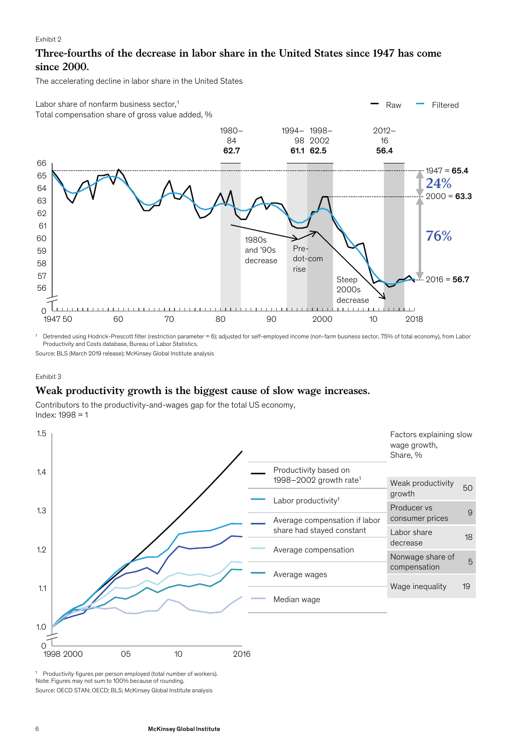#### Exhibit 2

### **Three-fourths of the decrease in labor share in the United States since 1947 has come since 2000.**

The accelerating decline in labor share in the United States



<sup>1</sup> Detrended using Hodrick-Prescott filter (restriction parameter = 6); adjusted for self-employed income (non-farm business sector, 75% of total economy), from Labor Productivity and Costs database, Bureau of Labor Statistics.

Source: BLS (March 2019 release); McKinsey Global Institute analysis

#### Exhibit 3

#### **Weak productivity growth is the biggest cause of slow wage increases.**

Contributors to the productivity-and-wages gap for the total US economy, Index: 1998 = 1



Source: OECD STAN; OECD; BLS; McKinsey Global Institute analysis <sup>1</sup> Productivity figures per person employed (total number of workers). Note: Figures may not sum to 100% because of rounding.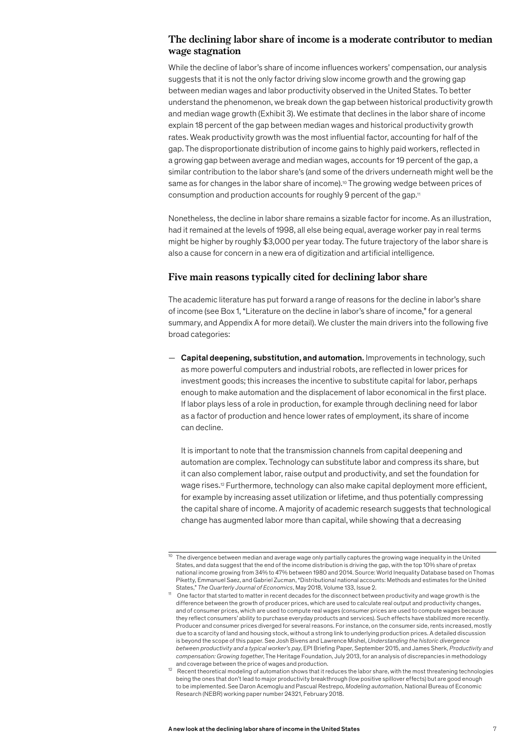### **The declining labor share of income is a moderate contributor to median wage stagnation**

While the decline of labor's share of income influences workers' compensation, our analysis suggests that it is not the only factor driving slow income growth and the growing gap between median wages and labor productivity observed in the United States. To better understand the phenomenon, we break down the gap between historical productivity growth and median wage growth (Exhibit 3). We estimate that declines in the labor share of income explain 18 percent of the gap between median wages and historical productivity growth rates. Weak productivity growth was the most influential factor, accounting for half of the gap. The disproportionate distribution of income gains to highly paid workers, reflected in a growing gap between average and median wages, accounts for 19 percent of the gap, a similar contribution to the labor share's (and some of the drivers underneath might well be the same as for changes in the labor share of income).<sup>10</sup> The growing wedge between prices of consumption and production accounts for roughly 9 percent of the gap.<sup>11</sup>

Nonetheless, the decline in labor share remains a sizable factor for income. As an illustration, had it remained at the levels of 1998, all else being equal, average worker pay in real terms might be higher by roughly \$3,000 per year today. The future trajectory of the labor share is also a cause for concern in a new era of digitization and artificial intelligence.

#### **Five main reasons typically cited for declining labor share**

The academic literature has put forward a range of reasons for the decline in labor's share of income (see Box 1, "Literature on the decline in labor's share of income," for a general summary, and Appendix A for more detail). We cluster the main drivers into the following five broad categories:

— Capital deepening, substitution, and automation. Improvements in technology, such as more powerful computers and industrial robots, are reflected in lower prices for investment goods; this increases the incentive to substitute capital for labor, perhaps enough to make automation and the displacement of labor economical in the first place. If labor plays less of a role in production, for example through declining need for labor as a factor of production and hence lower rates of employment, its share of income can decline.

It is important to note that the transmission channels from capital deepening and automation are complex. Technology can substitute labor and compress its share, but it can also complement labor, raise output and productivity, and set the foundation for wage rises.<sup>12</sup> Furthermore, technology can also make capital deployment more efficient, for example by increasing asset utilization or lifetime, and thus potentially compressing the capital share of income. A majority of academic research suggests that technological change has augmented labor more than capital, while showing that a decreasing

The divergence between median and average wage only partially captures the growing wage inequality in the United States, and data suggest that the end of the income distribution is driving the gap, with the top 10% share of pretax national income growing from 34% to 47% between 1980 and 2014. Source: World Inequality Database based on Thomas Piketty, Emmanuel Saez, and Gabriel Zucman, "Distributional national accounts: Methods and estimates for the United States," *The Quarterly Journal of Economics*, May 2018, Volume 133, Issue 2.

<sup>11</sup> One factor that started to matter in recent decades for the disconnect between productivity and wage growth is the difference between the growth of producer prices, which are used to calculate real output and productivity changes, and of consumer prices, which are used to compute real wages (consumer prices are used to compute wages because they reflect consumers' ability to purchase everyday products and services). Such effects have stabilized more recently. Producer and consumer prices diverged for several reasons. For instance, on the consumer side, rents increased, mostly due to a scarcity of land and housing stock, without a strong link to underlying production prices. A detailed discussion is beyond the scope of this paper. See Josh Bivens and Lawrence Mishel, *Understanding the historic divergence between productivity and a typical worker's pay*, EPI Briefing Paper, September 2015, and James Sherk, *Productivity and compensation: Growing together*, The Heritage Foundation, July 2013, for an analysis of discrepancies in methodology

Recent theoretical modeling of automation shows that it reduces the labor share, with the most threatening technologies being the ones that don't lead to major productivity breakthrough (low positive spillover effects) but are good enough to be implemented. See Daron Acemoglu and Pascual Restrepo, *Modeling automation*, National Bureau of Economic Research (NEBR) working paper number 24321, February 2018.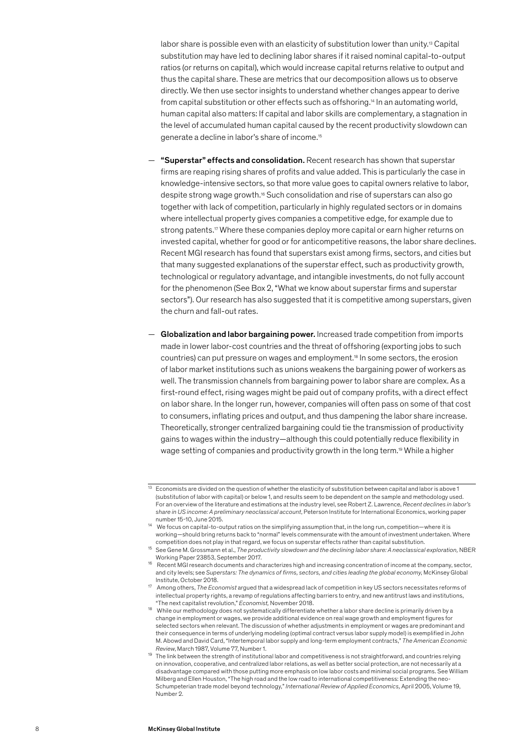labor share is possible even with an elasticity of substitution lower than unity.<sup>13</sup> Capital substitution may have led to declining labor shares if it raised nominal capital-to-output ratios (or returns on capital), which would increase capital returns relative to output and thus the capital share. These are metrics that our decomposition allows us to observe directly. We then use sector insights to understand whether changes appear to derive from capital substitution or other effects such as offshoring.<sup>14</sup> In an automating world, human capital also matters: If capital and labor skills are complementary, a stagnation in the level of accumulated human capital caused by the recent productivity slowdown can generate a decline in labor's share of income.15

- "Superstar" effects and consolidation. Recent research has shown that superstar firms are reaping rising shares of profits and value added. This is particularly the case in knowledge-intensive sectors, so that more value goes to capital owners relative to labor, despite strong wage growth.16 Such consolidation and rise of superstars can also go together with lack of competition, particularly in highly regulated sectors or in domains where intellectual property gives companies a competitive edge, for example due to strong patents.<sup>17</sup> Where these companies deploy more capital or earn higher returns on invested capital, whether for good or for anticompetitive reasons, the labor share declines. Recent MGI research has found that superstars exist among firms, sectors, and cities but that many suggested explanations of the superstar effect, such as productivity growth, technological or regulatory advantage, and intangible investments, do not fully account for the phenomenon (See Box 2, "What we know about superstar firms and superstar sectors"). Our research has also suggested that it is competitive among superstars, given the churn and fall-out rates.
- Globalization and labor bargaining power. Increased trade competition from imports made in lower labor-cost countries and the threat of offshoring (exporting jobs to such countries) can put pressure on wages and employment.18 In some sectors, the erosion of labor market institutions such as unions weakens the bargaining power of workers as well. The transmission channels from bargaining power to labor share are complex. As a first-round effect, rising wages might be paid out of company profits, with a direct effect on labor share. In the longer run, however, companies will often pass on some of that cost to consumers, inflating prices and output, and thus dampening the labor share increase. Theoretically, stronger centralized bargaining could tie the transmission of productivity gains to wages within the industry—although this could potentially reduce flexibility in wage setting of companies and productivity growth in the long term.19 While a higher

 $13$  Economists are divided on the question of whether the elasticity of substitution between capital and labor is above 1 (substitution of labor with capital) or below 1, and results seem to be dependent on the sample and methodology used. For an overview of the literature and estimations at the industry level, see Robert Z. Lawrence, *Recent declines in labor's share in US income: A preliminary neoclassical account*, Peterson Institute for International Economics, working paper number 15-10, June 2015.

<sup>&</sup>lt;sup>14</sup> We focus on capital-to-output ratios on the simplifying assumption that, in the long run, competition—where it is working—should bring returns back to "normal" levels commensurate with the amount of investment undertaken. Where competition does not play in that regard, we focus on superstar effects rather than capital substitution.

<sup>15</sup> See Gene M. Grossmann et al., *The productivity slowdown and the declining labor share: A neoclassical exploration,* NBER Working Paper 23853, September 2017.

<sup>16</sup> Recent MGI research documents and characterizes high and increasing concentration of income at the company, sector, and city levels; see *Superstars: The dynamics of firms, sectors, and cities leading the global economy*, McKinsey Global Institute, October 2018.

<sup>17</sup> Among others, *The Economist* argued that a widespread lack of competition in key US sectors necessitates reforms of intellectual property rights, a revamp of regulations affecting barriers to entry, and new antitrust laws and institutions,

<sup>&</sup>quot;The next capitalist revolution," *Economist,* November 2018. 18 While our methodology does not systematically differentiate whether a labor share decline is primarily driven by a change in employment or wages, we provide additional evidence on real wage growth and employment figures for selected sectors when relevant. The discussion of whether adjustments in employment or wages are predominant and their consequence in terms of underlying modeling (optimal contract versus labor supply model) is exemplified in John M. Abowd and David Card, "Intertemporal labor supply and long-term employment contracts," *The American Economic Review*, March 1987, Volume 77, Number 1.

<sup>&</sup>lt;sup>19</sup> The link between the strength of institutional labor and competitiveness is not straightforward, and countries relying on innovation, cooperative, and centralized labor relations, as well as better social protection, are not necessarily at a disadvantage compared with those putting more emphasis on low labor costs and minimal social programs. See William Milberg and Ellen Houston, "The high road and the low road to international competitiveness: Extending the neo-Schumpeterian trade model beyond technology," *International Review of Applied Economics,* April 2005, Volume 19, Number 2.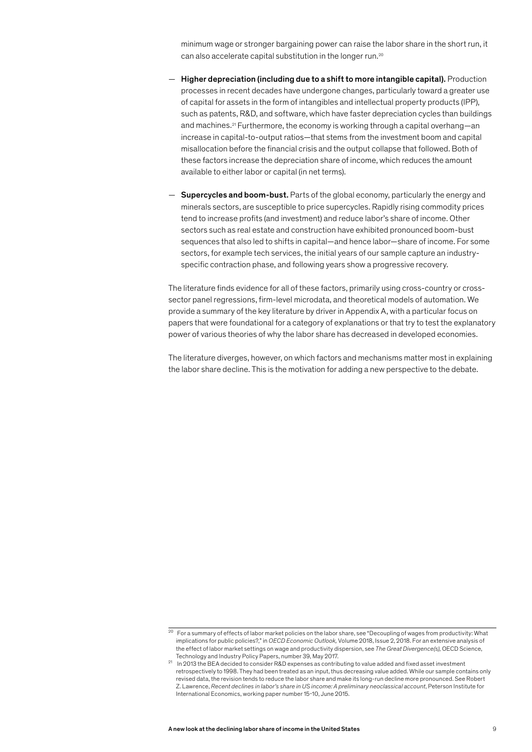minimum wage or stronger bargaining power can raise the labor share in the short run, it can also accelerate capital substitution in the longer run.20

- Higher depreciation (including due to a shift to more intangible capital). Production processes in recent decades have undergone changes, particularly toward a greater use of capital for assets in the form of intangibles and intellectual property products (IPP), such as patents, R&D, and software, which have faster depreciation cycles than buildings and machines.<sup>21</sup> Furthermore, the economy is working through a capital overhang—an increase in capital-to-output ratios—that stems from the investment boom and capital misallocation before the financial crisis and the output collapse that followed. Both of these factors increase the depreciation share of income, which reduces the amount available to either labor or capital (in net terms).
- **Supercycles and boom-bust.** Parts of the global economy, particularly the energy and minerals sectors, are susceptible to price supercycles. Rapidly rising commodity prices tend to increase profits (and investment) and reduce labor's share of income. Other sectors such as real estate and construction have exhibited pronounced boom-bust sequences that also led to shifts in capital—and hence labor—share of income. For some sectors, for example tech services, the initial years of our sample capture an industryspecific contraction phase, and following years show a progressive recovery.

The literature finds evidence for all of these factors, primarily using cross-country or crosssector panel regressions, firm-level microdata, and theoretical models of automation. We provide a summary of the key literature by driver in Appendix A, with a particular focus on papers that were foundational for a category of explanations or that try to test the explanatory power of various theories of why the labor share has decreased in developed economies.

The literature diverges, however, on which factors and mechanisms matter most in explaining the labor share decline. This is the motivation for adding a new perspective to the debate.

 $\frac{20}{20}$  For a summary of effects of labor market policies on the labor share, see "Decoupling of wages from productivity: What implications for public policies?," in *OECD Economic Outlook,* Volume 2018, Issue 2, 2018. For an extensive analysis of the effect of labor market settings on wage and productivity dispersion, see *The Great Divergence(s),* OECD Science, Technology and Industry Policy Papers, number 39, May 2017.

<sup>&</sup>lt;sup>21</sup> In 2013 the BEA decided to consider R&D expenses as contributing to value added and fixed asset investment retrospectively to 1998. They had been treated as an input, thus decreasing value added. While our sample contains only revised data, the revision tends to reduce the labor share and make its long-run decline more pronounced. See Robert Z. Lawrence, *Recent declines in labor's share in US income: A preliminary neoclassical account*, Peterson Institute for International Economics, working paper number 15-10, June 2015.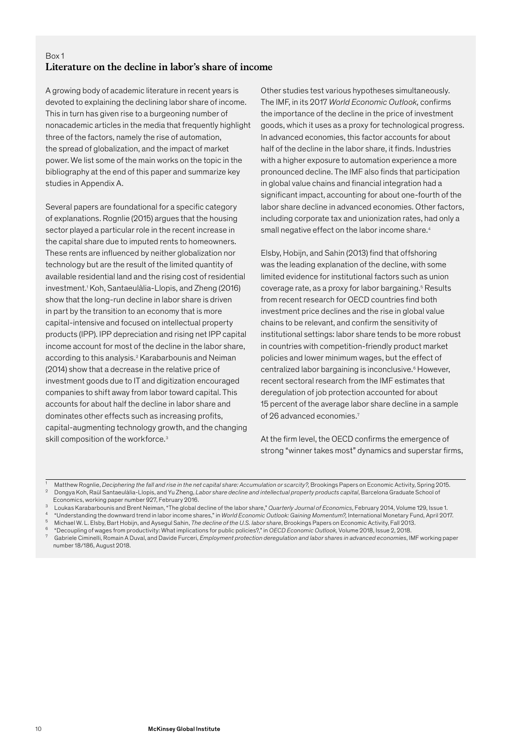### Box 1 **Literature on the decline in labor's share of income**

A growing body of academic literature in recent years is devoted to explaining the declining labor share of income. This in turn has given rise to a burgeoning number of nonacademic articles in the media that frequently highlight three of the factors, namely the rise of automation, the spread of globalization, and the impact of market power. We list some of the main works on the topic in the bibliography at the end of this paper and summarize key studies in Appendix A.

Several papers are foundational for a specific category of explanations. Rognlie (2015) argues that the housing sector played a particular role in the recent increase in the capital share due to imputed rents to homeowners. These rents are influenced by neither globalization nor technology but are the result of the limited quantity of available residential land and the rising cost of residential investment.<sup>1</sup> Koh, Santaeulàlia-Llopis, and Zheng (2016) show that the long-run decline in labor share is driven in part by the transition to an economy that is more capital-intensive and focused on intellectual property products (IPP). IPP depreciation and rising net IPP capital income account for most of the decline in the labor share, according to this analysis.<sup>2</sup> Karabarbounis and Neiman (2014) show that a decrease in the relative price of investment goods due to IT and digitization encouraged companies to shift away from labor toward capital. This accounts for about half the decline in labor share and dominates other effects such as increasing profits, capital-augmenting technology growth, and the changing skill composition of the workforce.<sup>3</sup>

Other studies test various hypotheses simultaneously. The IMF, in its 2017 *World Economic Outlook,* confirms the importance of the decline in the price of investment goods, which it uses as a proxy for technological progress. In advanced economies, this factor accounts for about half of the decline in the labor share, it finds. Industries with a higher exposure to automation experience a more pronounced decline. The IMF also finds that participation in global value chains and financial integration had a significant impact, accounting for about one-fourth of the labor share decline in advanced economies. Other factors, including corporate tax and unionization rates, had only a small negative effect on the labor income share.<sup>4</sup>

Elsby, Hobijn, and Sahin (2013) find that offshoring was the leading explanation of the decline, with some limited evidence for institutional factors such as union coverage rate, as a proxy for labor bargaining.<sup>5</sup> Results from recent research for OECD countries find both investment price declines and the rise in global value chains to be relevant, and confirm the sensitivity of institutional settings: labor share tends to be more robust in countries with competition-friendly product market policies and lower minimum wages, but the effect of centralized labor bargaining is inconclusive.<sup>6</sup> However, recent sectoral research from the IMF estimates that deregulation of job protection accounted for about 15 percent of the average labor share decline in a sample of 26 advanced economies.7

At the firm level, the OECD confirms the emergence of strong "winner takes most" dynamics and superstar firms,

1 Matthew Rognlie, *Deciphering the fall and rise in the net capital share: Accumulation or scarcity?,* Brookings Papers on Economic Activity, Spring 2015. 2 Dongya Koh, Raül Santaeulàlia-Llopis, and Yu Zheng, *Labor share decline and intellectual property products capital*, Barcelona Graduate School of Economics, working paper number 927, February 2016.

- 
- Loukas Karabarbounis and Brent Neiman, "The global decline of the labor share," Quarterly Journal of Economics, February 2014, Volume 129, Issue 1.<br>"Understanding the downward trend in labor income shares," in World Econom
- 5 Michael W. L. Elsby, Bart Hobijn, and Aysegul Sahin, *The decline of the U.S. labor share*, Brookings Papers on Economic Activity, Fall 2013.
- 6 "Decoupling of wages from productivity: What implications for public policies?," in *OECD Economic Outlook,* Volume 2018, Issue 2, 2018.

7 Gabriele Ciminelli, Romain A Duval, and Davide Furceri, *Employment protection deregulation and labor shares in advanced economies*, IMF working paper number 18/186, August 2018.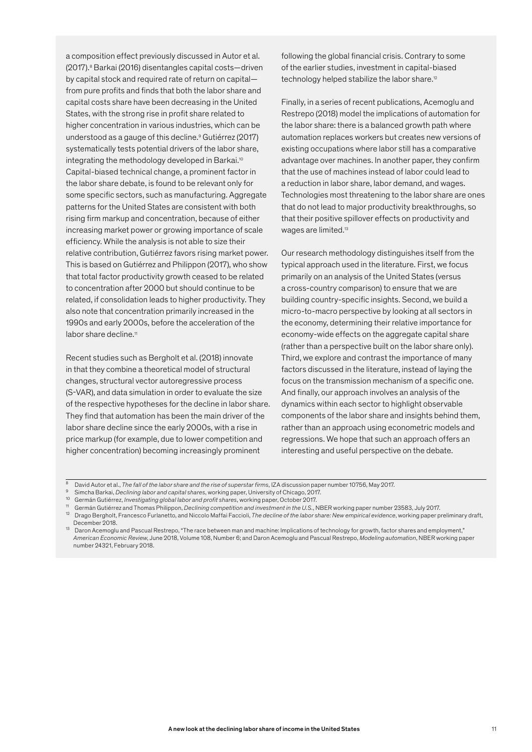a composition effect previously discussed in Autor et al. (2017).8 Barkai (2016) disentangles capital costs—driven by capital stock and required rate of return on capital from pure profits and finds that both the labor share and capital costs share have been decreasing in the United States, with the strong rise in profit share related to higher concentration in various industries, which can be understood as a gauge of this decline.9 Gutiérrez (2017) systematically tests potential drivers of the labor share, integrating the methodology developed in Barkai.<sup>10</sup> Capital-biased technical change, a prominent factor in the labor share debate, is found to be relevant only for some specific sectors, such as manufacturing. Aggregate patterns for the United States are consistent with both rising firm markup and concentration, because of either increasing market power or growing importance of scale efficiency. While the analysis is not able to size their relative contribution, Gutiérrez favors rising market power. This is based on Gutiérrez and Philippon (2017), who show that total factor productivity growth ceased to be related to concentration after 2000 but should continue to be related, if consolidation leads to higher productivity. They also note that concentration primarily increased in the 1990s and early 2000s, before the acceleration of the labor share decline.<sup>11</sup>

Recent studies such as Bergholt et al. (2018) innovate in that they combine a theoretical model of structural changes, structural vector autoregressive process (S-VAR), and data simulation in order to evaluate the size of the respective hypotheses for the decline in labor share. They find that automation has been the main driver of the labor share decline since the early 2000s, with a rise in price markup (for example, due to lower competition and higher concentration) becoming increasingly prominent

following the global financial crisis. Contrary to some of the earlier studies, investment in capital-biased technology helped stabilize the labor share.<sup>12</sup>

Finally, in a series of recent publications, Acemoglu and Restrepo (2018) model the implications of automation for the labor share: there is a balanced growth path where automation replaces workers but creates new versions of existing occupations where labor still has a comparative advantage over machines. In another paper, they confirm that the use of machines instead of labor could lead to a reduction in labor share, labor demand, and wages. Technologies most threatening to the labor share are ones that do not lead to major productivity breakthroughs, so that their positive spillover effects on productivity and wages are limited.<sup>13</sup>

Our research methodology distinguishes itself from the typical approach used in the literature. First, we focus primarily on an analysis of the United States (versus a cross-country comparison) to ensure that we are building country-specific insights. Second, we build a micro-to-macro perspective by looking at all sectors in the economy, determining their relative importance for economy-wide effects on the aggregate capital share (rather than a perspective built on the labor share only). Third, we explore and contrast the importance of many factors discussed in the literature, instead of laying the focus on the transmission mechanism of a specific one. And finally, our approach involves an analysis of the dynamics within each sector to highlight observable components of the labor share and insights behind them, rather than an approach using econometric models and regressions. We hope that such an approach offers an interesting and useful perspective on the debate.

<sup>8</sup> David Autor et al., *The fall of the labor share and the rise of superstar firms*, IZA discussion paper number 10756, May 2017.

<sup>9</sup> Simcha Barkai, *Declining labor and capital shares*, working paper, University of Chicago, 2017.

<sup>10</sup> Germán Gutiérrez, *Investigating global labor and profit shares*, working paper, October 2017.

<sup>11</sup> Germán Gutiérrez and Thomas Philippon, *Declining competition and investment in the U.S.*, NBER working paper number 23583, July 2017.

<sup>12</sup> Drago Bergholt, Francesco Furlanetto, and Niccolo Maffai Faccioli, *The decline of the labor share: New empirical evidence*, working paper preliminary draft, December 2018

<sup>&</sup>lt;sup>13</sup> Daron Acemoglu and Pascual Restrepo, "The race between man and machine: Implications of technology for growth, factor shares and employment," *American Economic Review*, June 2018, Volume 108, Number 6; and Daron Acemoglu and Pascual Restrepo, *Modeling automation*, NBER working paper number 24321, February 2018.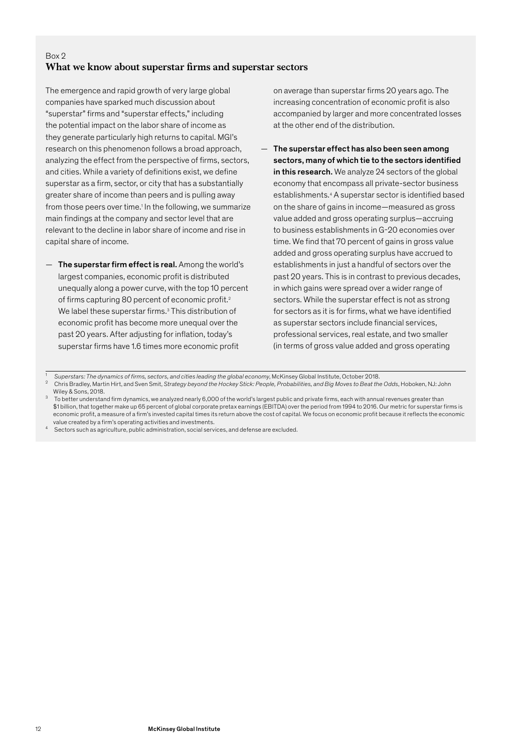### Box 2 **What we know about superstar firms and superstar sectors**

The emergence and rapid growth of very large global companies have sparked much discussion about "superstar" firms and "superstar effects," including the potential impact on the labor share of income as they generate particularly high returns to capital. MGI's research on this phenomenon follows a broad approach, analyzing the effect from the perspective of firms, sectors, and cities. While a variety of definitions exist, we define superstar as a firm, sector, or city that has a substantially greater share of income than peers and is pulling away from those peers over time.<sup>1</sup> In the following, we summarize main findings at the company and sector level that are relevant to the decline in labor share of income and rise in capital share of income.

— The superstar firm effect is real. Among the world's largest companies, economic profit is distributed unequally along a power curve, with the top 10 percent of firms capturing 80 percent of economic profit.2 We label these superstar firms.<sup>3</sup> This distribution of economic profit has become more unequal over the past 20 years. After adjusting for inflation, today's superstar firms have 1.6 times more economic profit

on average than superstar firms 20 years ago. The increasing concentration of economic profit is also accompanied by larger and more concentrated losses at the other end of the distribution.

— The superstar effect has also been seen among sectors, many of which tie to the sectors identified in this research. We analyze 24 sectors of the global economy that encompass all private-sector business establishments.4 A superstar sector is identified based on the share of gains in income—measured as gross value added and gross operating surplus—accruing to business establishments in G-20 economies over time. We find that 70 percent of gains in gross value added and gross operating surplus have accrued to establishments in just a handful of sectors over the past 20 years. This is in contrast to previous decades, in which gains were spread over a wider range of sectors. While the superstar effect is not as strong for sectors as it is for firms, what we have identified as superstar sectors include financial services, professional services, real estate, and two smaller (in terms of gross value added and gross operating

- 2 Chris Bradley, Martin Hirt, and Sven Smit, *Strategy beyond the Hockey Stick: People, Probabilities, and Big Moves to Beat the Odds*, Hoboken, NJ: John Wiley & Sons, 2018.
- $3$  To better understand firm dynamics, we analyzed nearly 6,000 of the world's largest public and private firms, each with annual revenues greater than \$1 billion, that together make up 65 percent of global corporate pretax earnings (EBITDA) over the period from 1994 to 2016. Our metric for superstar firms is economic profit, a measure of a firm's invested capital times its return above the cost of capital. We focus on economic profit because it reflects the economic value created by a firm's operating activities and investments.
- 4 Sectors such as agriculture, public administration, social services, and defense are excluded.

<sup>1</sup> *Superstars: The dynamics of firms, sectors, and cities leading the global economy*, McKinsey Global Institute, October 2018.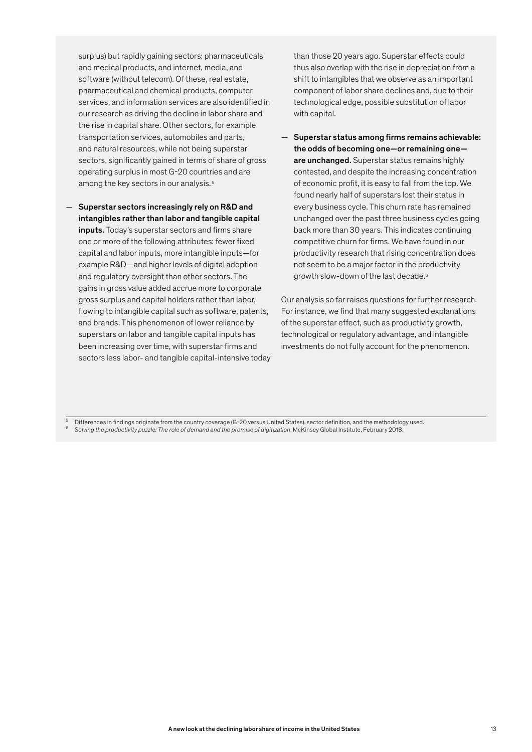surplus) but rapidly gaining sectors: pharmaceuticals and medical products, and internet, media, and software (without telecom). Of these, real estate, pharmaceutical and chemical products, computer services, and information services are also identified in our research as driving the decline in labor share and the rise in capital share. Other sectors, for example transportation services, automobiles and parts, and natural resources, while not being superstar sectors, significantly gained in terms of share of gross operating surplus in most G-20 countries and are among the key sectors in our analysis. 5

— Superstar sectors increasingly rely on R&D and intangibles rather than labor and tangible capital inputs. Today's superstar sectors and firms share one or more of the following attributes: fewer fixed capital and labor inputs, more intangible inputs—for example R&D—and higher levels of digital adoption and regulatory oversight than other sectors. The gains in gross value added accrue more to corporate gross surplus and capital holders rather than labor, flowing to intangible capital such as software, patents, and brands. This phenomenon of lower reliance by superstars on labor and tangible capital inputs has been increasing over time, with superstar firms and sectors less labor- and tangible capital-intensive today than those 20 years ago. Superstar effects could thus also overlap with the rise in depreciation from a shift to intangibles that we observe as an important component of labor share declines and, due to their technological edge, possible substitution of labor with capital.

— Superstar status among firms remains achievable: the odds of becoming one—or remaining one are unchanged. Superstar status remains highly contested, and despite the increasing concentration of economic profit, it is easy to fall from the top. We found nearly half of superstars lost their status in every business cycle. This churn rate has remained unchanged over the past three business cycles going back more than 30 years. This indicates continuing competitive churn for firms. We have found in our productivity research that rising concentration does not seem to be a major factor in the productivity growth slow-down of the last decade.<sup>6</sup>

Our analysis so far raises questions for further research. For instance, we find that many suggested explanations of the superstar effect, such as productivity growth, technological or regulatory advantage, and intangible investments do not fully account for the phenomenon.

 $5$  Differences in findings originate from the country coverage (G-20 versus United States), sector definition, and the methodology used. <sup>6</sup> *Solving the productivity puzzle: The role of demand and the promise of digitization*, McKinsey Global Institute, February 2018.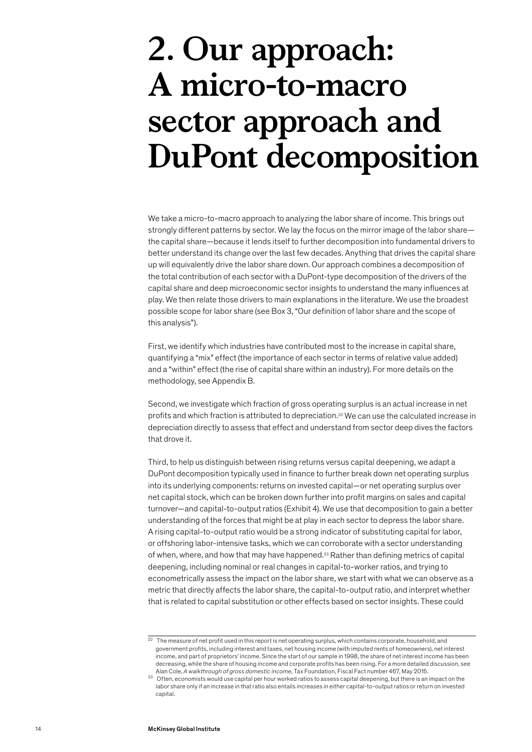# <span id="page-15-0"></span>**2. Our approach: A micro-to-macro sector approach and DuPont decomposition**

We take a micro-to-macro approach to analyzing the labor share of income. This brings out strongly different patterns by sector. We lay the focus on the mirror image of the labor share the capital share—because it lends itself to further decomposition into fundamental drivers to better understand its change over the last few decades. Anything that drives the capital share up will equivalently drive the labor share down. Our approach combines a decomposition of the total contribution of each sector with a DuPont-type decomposition of the drivers of the capital share and deep microeconomic sector insights to understand the many influences at play. We then relate those drivers to main explanations in the literature. We use the broadest possible scope for labor share (see Box 3, "Our definition of labor share and the scope of this analysis").

First, we identify which industries have contributed most to the increase in capital share, quantifying a "mix" effect (the importance of each sector in terms of relative value added) and a "within" effect (the rise of capital share within an industry). For more details on the methodology, see Appendix B.

Second, we investigate which fraction of gross operating surplus is an actual increase in net profits and which fraction is attributed to depreciation.<sup>22</sup> We can use the calculated increase in depreciation directly to assess that effect and understand from sector deep dives the factors that drove it.

Third, to help us distinguish between rising returns versus capital deepening, we adapt a DuPont decomposition typically used in finance to further break down net operating surplus into its underlying components: returns on invested capital—or net operating surplus over net capital stock, which can be broken down further into profit margins on sales and capital turnover—and capital-to-output ratios (Exhibit 4). We use that decomposition to gain a better understanding of the forces that might be at play in each sector to depress the labor share. A rising capital-to-output ratio would be a strong indicator of substituting capital for labor, or offshoring labor-intensive tasks, which we can corroborate with a sector understanding of when, where, and how that may have happened.23 Rather than defining metrics of capital deepening, including nominal or real changes in capital-to-worker ratios, and trying to econometrically assess the impact on the labor share, we start with what we can observe as a metric that directly affects the labor share, the capital-to-output ratio, and interpret whether that is related to capital substitution or other effects based on sector insights. These could

 $\frac{22}{2}$  The measure of net profit used in this report is net operating surplus, which contains corporate, household, and government profits, including interest and taxes, net housing income (with imputed rents of homeowners), net interest income, and part of proprietors' income. Since the start of our sample in 1998, the share of net interest income has been decreasing, while the share of housing income and corporate profits has been rising. For a more detailed discussion, see Alan Cole, *A walkthrough of gross domestic income,* Tax Foundation, Fiscal Fact number 467, May 2015.

<sup>&</sup>lt;sup>23</sup> Often, economists would use capital per hour worked ratios to assess capital deepening, but there is an impact on the labor share only if an increase in that ratio also entails increases in either capital-to-output ratios or return on invested capital.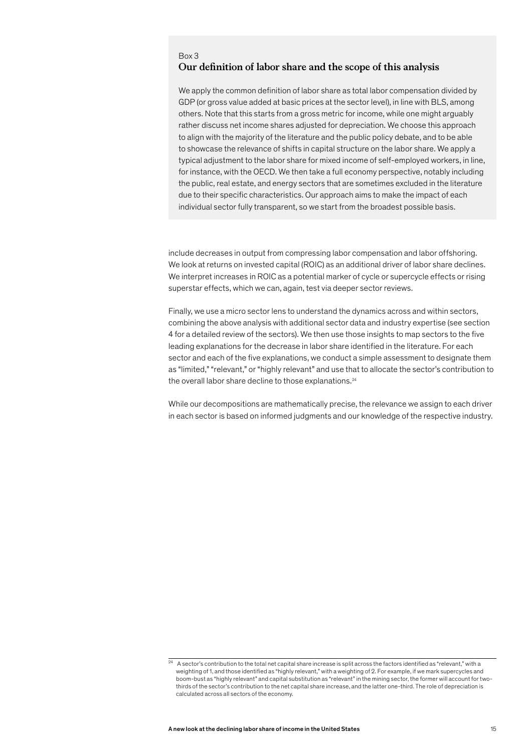#### Box 3 **Our definition of labor share and the scope of this analysis**

We apply the common definition of labor share as total labor compensation divided by GDP (or gross value added at basic prices at the sector level), in line with BLS, among others. Note that this starts from a gross metric for income, while one might arguably rather discuss net income shares adjusted for depreciation. We choose this approach to align with the majority of the literature and the public policy debate, and to be able to showcase the relevance of shifts in capital structure on the labor share. We apply a typical adjustment to the labor share for mixed income of self-employed workers, in line, for instance, with the OECD. We then take a full economy perspective, notably including the public, real estate, and energy sectors that are sometimes excluded in the literature due to their specific characteristics. Our approach aims to make the impact of each individual sector fully transparent, so we start from the broadest possible basis.

include decreases in output from compressing labor compensation and labor offshoring. We look at returns on invested capital (ROIC) as an additional driver of labor share declines. We interpret increases in ROIC as a potential marker of cycle or supercycle effects or rising superstar effects, which we can, again, test via deeper sector reviews.

Finally, we use a micro sector lens to understand the dynamics across and within sectors, combining the above analysis with additional sector data and industry expertise (see section 4 for a detailed review of the sectors). We then use those insights to map sectors to the five leading explanations for the decrease in labor share identified in the literature. For each sector and each of the five explanations, we conduct a simple assessment to designate them as "limited," "relevant," or "highly relevant" and use that to allocate the sector's contribution to the overall labor share decline to those explanations.<sup>24</sup>

While our decompositions are mathematically precise, the relevance we assign to each driver in each sector is based on informed judgments and our knowledge of the respective industry.

 $\overline{a^2}$  A sector's contribution to the total net capital share increase is split across the factors identified as "relevant," with a weighting of 1, and those identified as "highly relevant," with a weighting of 2. For example, if we mark supercycles and boom-bust as "highly relevant" and capital substitution as "relevant" in the mining sector, the former will account for twothirds of the sector's contribution to the net capital share increase, and the latter one-third. The role of depreciation is calculated across all sectors of the economy.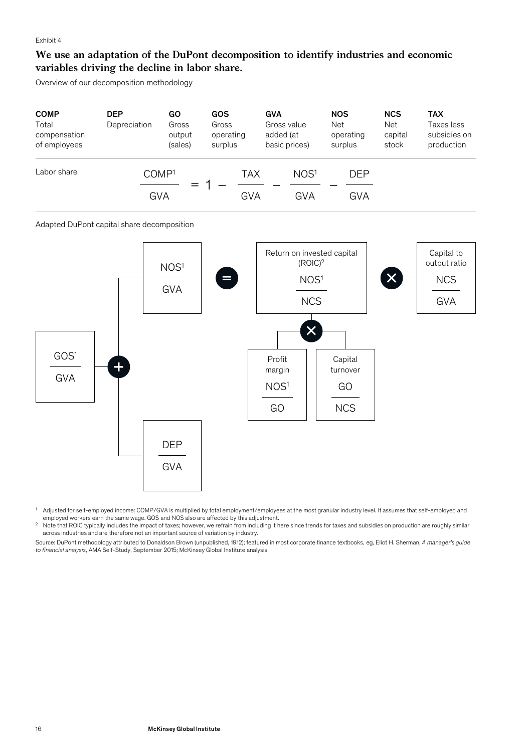### **We use an adaptation of the DuPont decomposition to identify industries and economic variables driving the decline in labor share.**

Overview of our decomposition methodology

| <b>COMP</b><br>Total<br>compensation<br>of employees | <b>DEP</b><br>Depreciation | GO.<br>Gross<br>output<br>(sales) | <b>GOS</b><br>Gross<br>operating<br>surplus | <b>GVA</b>               | Gross value<br>added (at<br>basic prices) | <b>NOS</b><br><b>Net</b><br>operating<br>surplus | <b>NCS</b><br><b>Net</b><br>capital<br>stock | <b>TAX</b><br>Taxes less<br>subsidies on<br>production |
|------------------------------------------------------|----------------------------|-----------------------------------|---------------------------------------------|--------------------------|-------------------------------------------|--------------------------------------------------|----------------------------------------------|--------------------------------------------------------|
| Labor share                                          | <b>GVA</b>                 | COMP <sup>1</sup>                 |                                             | <b>TAX</b><br><b>GVA</b> | NOS <sup>1</sup><br><b>GVA</b>            | DEP<br>GVA                                       |                                              |                                                        |

Adapted DuPont capital share decomposition



- <sup>1</sup> Adjusted for self-employed income: COMP/GVA is multiplied by total employment/employees at the most granular industry level. It assumes that self-employed and employed workers earn the same wage. GOS and NOS also are affected by this adjustment.
- 2 Note that ROIC typically includes the impact of taxes; however, we refrain from including it here since trends for taxes and subsidies on production are roughly similar across industries and are therefore not an important source of variation by industry.

Source: DuPont methodology attributed to Donaldson Brown (unpublished, 1912); featured in most corporate finance textbooks, eg, Eliot H. Sherman, *A manager's guide to financial analysis*, AMA Self-Study, September 2015; McKinsey Global Institute analysis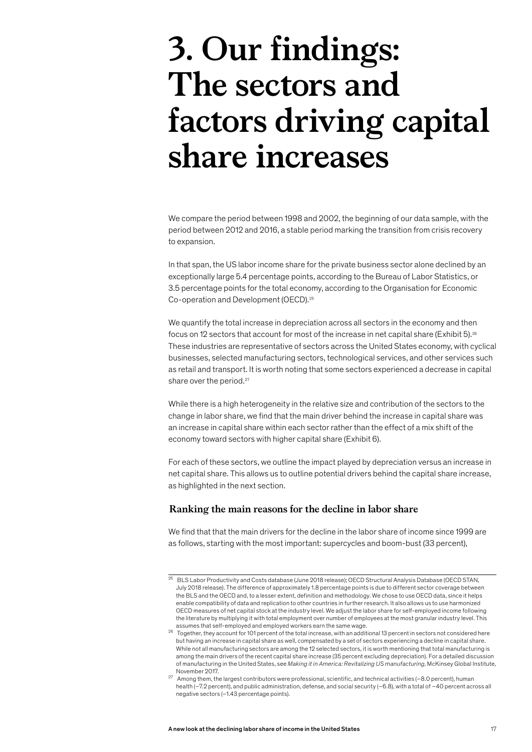# **3. Our findings: The sectors and factors driving capital share increases**

We compare the period between 1998 and 2002, the beginning of our data sample, with the period between 2012 and 2016, a stable period marking the transition from crisis recovery to expansion.

In that span, the US labor income share for the private business sector alone declined by an exceptionally large 5.4 percentage points, according to the Bureau of Labor Statistics, or 3.5 percentage points for the total economy, according to the Organisation for Economic Co-operation and Development (OECD).25

We quantify the total increase in depreciation across all sectors in the economy and then focus on 12 sectors that account for most of the increase in net capital share (Exhibit 5).26 These industries are representative of sectors across the United States economy, with cyclical businesses, selected manufacturing sectors, technological services, and other services such as retail and transport. It is worth noting that some sectors experienced a decrease in capital share over the period.<sup>27</sup>

While there is a high heterogeneity in the relative size and contribution of the sectors to the change in labor share, we find that the main driver behind the increase in capital share was an increase in capital share within each sector rather than the effect of a mix shift of the economy toward sectors with higher capital share (Exhibit 6).

For each of these sectors, we outline the impact played by depreciation versus an increase in net capital share. This allows us to outline potential drivers behind the capital share increase, as highlighted in the next section.

### **Ranking the main reasons for the decline in labor share**

We find that that the main drivers for the decline in the labor share of income since 1999 are as follows, starting with the most important: supercycles and boom-bust (33 percent),

<sup>25</sup> BLS Labor Productivity and Costs database (June 2018 release); OECD Structural Analysis Database (OECD STAN, July 2018 release). The difference of approximately 1.8 percentage points is due to different sector coverage between the BLS and the OECD and, to a lesser extent, definition and methodology. We chose to use OECD data, since it helps enable compatibility of data and replication to other countries in further research. It also allows us to use harmonized OECD measures of net capital stock at the industry level. We adjust the labor share for self-employed income following the literature by multiplying it with total employment over number of employees at the most granular industry level. This assumes that self-employed and employed workers earn the same wage.

<sup>26</sup> Together, they account for 101 percent of the total increase, with an additional 13 percent in sectors not considered here but having an increase in capital share as well, compensated by a set of sectors experiencing a decline in capital share. While not all manufacturing sectors are among the 12 selected sectors, it is worth mentioning that total manufacturing is among the main drivers of the recent capital share increase (35 percent excluding depreciation). For a detailed discussion of manufacturing in the United States, see *Making it in America: Revitalizing US manufacturing*, McKinsey Global Institute, November 2017.

<sup>27</sup> Among them, the largest contributors were professional, scientific, and technical activities (–8.0 percent), human health (–7.2 percent), and public administration, defense, and social security (–6.8), with a total of –40 percent across all negative sectors (–1.43 percentage points).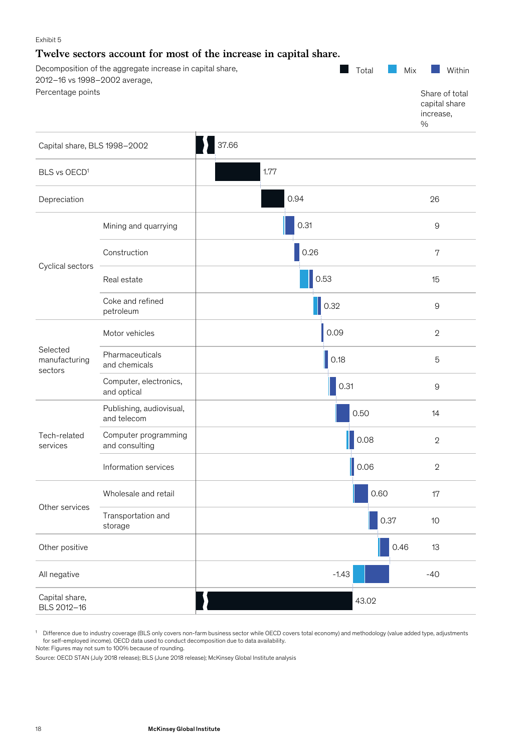#### <span id="page-19-0"></span>Exhibit 5

#### **Twelve sectors account for most of the increase in capital share.**

|                                      |                                                                                            | Twelve sectors account for most of the increase in capital share. |      |  |                                                      |
|--------------------------------------|--------------------------------------------------------------------------------------------|-------------------------------------------------------------------|------|--|------------------------------------------------------|
|                                      | Decomposition of the aggregate increase in capital share,<br>2012-16 vs 1998-2002 average, |                                                                   |      |  | Mix<br>Within                                        |
| Percentage points                    |                                                                                            |                                                                   |      |  | Share of total<br>capital share<br>increase,<br>$\%$ |
| Capital share, BLS 1998-2002         |                                                                                            | 37.66                                                             |      |  |                                                      |
| BLS vs OECD <sup>1</sup>             |                                                                                            | 1.77                                                              |      |  |                                                      |
| Depreciation                         |                                                                                            | 0.94                                                              |      |  | 26                                                   |
|                                      | Mining and quarrying                                                                       | 0.31                                                              |      |  | 9                                                    |
|                                      | Construction                                                                               | 0.26                                                              |      |  | $\overline{7}$                                       |
| Cyclical sectors                     | Real estate                                                                                |                                                                   | 0.53 |  | 15                                                   |
|                                      | Coke and refined<br>petroleum                                                              |                                                                   | 0.32 |  | 9                                                    |
|                                      | Motor vehicles                                                                             |                                                                   | 0.09 |  | $\mathbf{2}$                                         |
| Selected<br>manufacturing<br>sectors | Pharmaceuticals<br>and chemicals                                                           |                                                                   | 0.18 |  | $\overline{5}$                                       |
|                                      | Computer, electronics,<br>and optical                                                      |                                                                   | 0.31 |  | 9                                                    |

|                               | Computer, electronics,<br>and optical   | 0.31    | $\mathcal{G}$  |
|-------------------------------|-----------------------------------------|---------|----------------|
|                               | Publishing, audiovisual,<br>and telecom | 0.50    | 14             |
| Tech-related<br>services      | Computer programming<br>and consulting  | 0.08    | $\mathbf{2}$   |
|                               | Information services                    | 0.06    | $\overline{2}$ |
|                               | Wholesale and retail                    | 0.60    | 17             |
| Other services                | Transportation and<br>storage           |         | 0.37<br>10     |
| Other positive                |                                         |         | 0.46<br>13     |
| All negative                  |                                         | $-1.43$ | $-40$          |
| Capital share,<br>BLS 2012-16 |                                         | 43.02   |                |

<sup>1</sup> Difference due to industry coverage (BLS only covers non-farm business sector while OECD covers total economy) and methodology (value added type, adjustments for self-employed income). OECD data used to conduct decomposition due to data availability. Note: Figures may not sum to 100% because of rounding.

Source: OECD STAN (July 2018 release); BLS (June 2018 release); McKinsey Global Institute analysis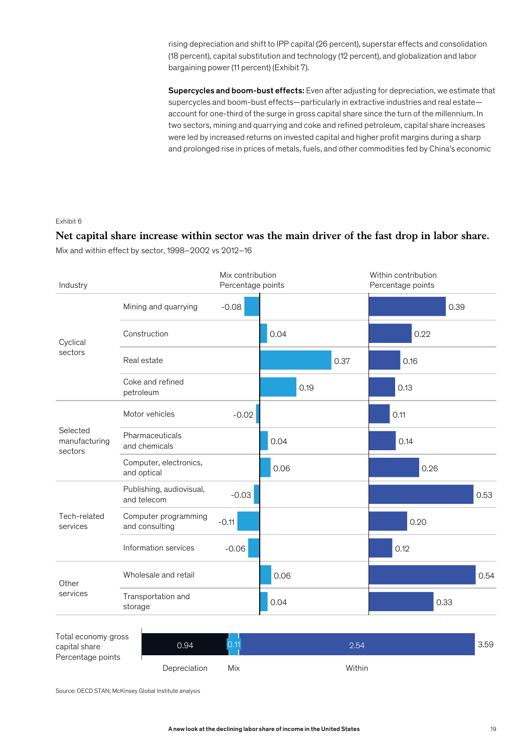rising depreciation and shift to IPP capital (26 percent), superstar effects and consolidation (18 percent), capital substitution and technology (12 percent), and globalization and labor bargaining power (11 percent) (Exhibit 7).

Supercycles and boom-bust effects: Even after adjusting for depreciation, we estimate that supercycles and boom-bust effects—particularly in extractive industries and real estate account for one-third of the surge in gross capital share since the turn of the millennium. In two sectors, mining and quarrying and coke and refined petroleum, capital share increases were led by increased returns on invested capital and higher profit margins during a sharp and prolonged rise in prices of metals, fuels, and other commodities fed by China's economic

Exhibit 6

Mix and within effect by sector, 1998–2002 vs 2012–16 **Net capital share increase within sector was the main driver of the fast drop in labor share.**



| I otal economy gross<br>capital share | 0.94         | 0.11 | 2.54   | 3.59 |
|---------------------------------------|--------------|------|--------|------|
| Percentage points                     |              |      |        |      |
|                                       | Depreciation | Mix  | Within |      |

Source: OECD STAN; McKinsey Global Institute analysis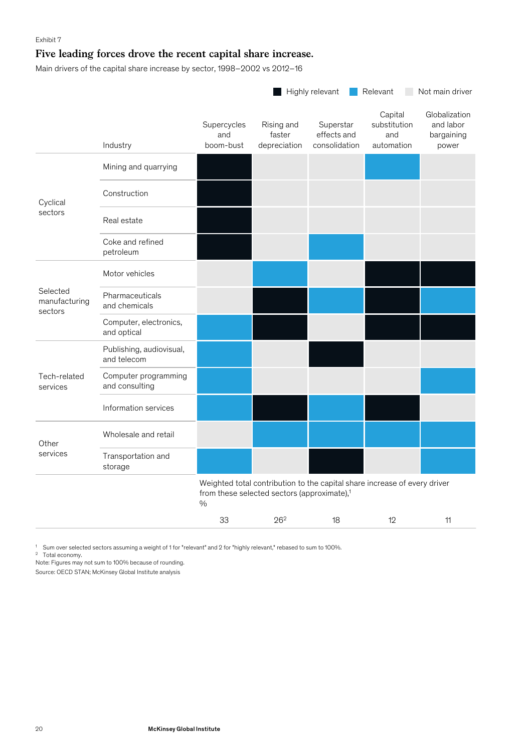### Exhibit 7 **Five leading forces drove the recent capital share increase.**

Main drivers of the capital share increase by sector, 1998–2002 vs 2012–16

|                                      |                                         |                                 |                                                                                                                                      | Highly relevant                           | Relevant                                     | Not main driver                                   |
|--------------------------------------|-----------------------------------------|---------------------------------|--------------------------------------------------------------------------------------------------------------------------------------|-------------------------------------------|----------------------------------------------|---------------------------------------------------|
|                                      | Industry                                | Supercycles<br>and<br>boom-bust | Rising and<br>faster<br>depreciation                                                                                                 | Superstar<br>effects and<br>consolidation | Capital<br>substitution<br>and<br>automation | Globalization<br>and labor<br>bargaining<br>power |
| Cyclical<br>sectors                  | Mining and quarrying                    |                                 |                                                                                                                                      |                                           |                                              |                                                   |
|                                      | Construction                            |                                 |                                                                                                                                      |                                           |                                              |                                                   |
|                                      | Real estate                             |                                 |                                                                                                                                      |                                           |                                              |                                                   |
|                                      | Coke and refined<br>petroleum           |                                 |                                                                                                                                      |                                           |                                              |                                                   |
| Selected<br>manufacturing<br>sectors | Motor vehicles                          |                                 |                                                                                                                                      |                                           |                                              |                                                   |
|                                      | Pharmaceuticals<br>and chemicals        |                                 |                                                                                                                                      |                                           |                                              |                                                   |
|                                      | Computer, electronics,<br>and optical   |                                 |                                                                                                                                      |                                           |                                              |                                                   |
|                                      | Publishing, audiovisual,<br>and telecom |                                 |                                                                                                                                      |                                           |                                              |                                                   |
| Tech-related<br>services             | Computer programming<br>and consulting  |                                 |                                                                                                                                      |                                           |                                              |                                                   |
|                                      | Information services                    |                                 |                                                                                                                                      |                                           |                                              |                                                   |
| Other                                | Wholesale and retail                    |                                 |                                                                                                                                      |                                           |                                              |                                                   |
| services                             | Transportation and<br>storage           |                                 |                                                                                                                                      |                                           |                                              |                                                   |
|                                      |                                         | $\%$                            | Weighted total contribution to the capital share increase of every driver<br>from these selected sectors (approximate), <sup>1</sup> |                                           |                                              |                                                   |
|                                      |                                         | 33                              | 26 <sup>2</sup>                                                                                                                      | 18                                        | 12                                           | 11                                                |

 $1$  Sum over selected sectors assuming a weight of 1 for "relevant" and 2 for "highly relevant," rebased to sum to 100%.

<sup>2</sup> Total economy.

Note: Figures may not sum to 100% because of rounding.

Source: OECD STAN; McKinsey Global Institute analysis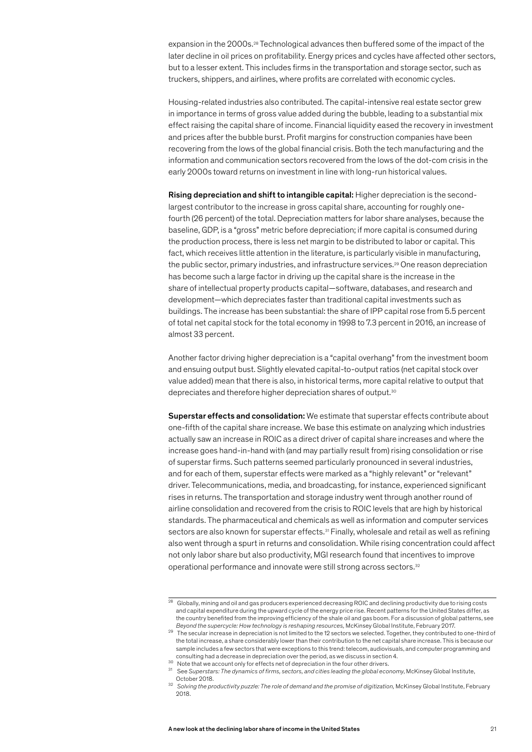expansion in the 2000s.<sup>28</sup> Technological advances then buffered some of the impact of the later decline in oil prices on profitability. Energy prices and cycles have affected other sectors, but to a lesser extent. This includes firms in the transportation and storage sector, such as truckers, shippers, and airlines, where profits are correlated with economic cycles.

Housing-related industries also contributed. The capital-intensive real estate sector grew in importance in terms of gross value added during the bubble, leading to a substantial mix effect raising the capital share of income. Financial liquidity eased the recovery in investment and prices after the bubble burst. Profit margins for construction companies have been recovering from the lows of the global financial crisis. Both the tech manufacturing and the information and communication sectors recovered from the lows of the dot-com crisis in the early 2000s toward returns on investment in line with long-run historical values.

Rising depreciation and shift to intangible capital: Higher depreciation is the secondlargest contributor to the increase in gross capital share, accounting for roughly onefourth (26 percent) of the total. Depreciation matters for labor share analyses, because the baseline, GDP, is a "gross" metric before depreciation; if more capital is consumed during the production process, there is less net margin to be distributed to labor or capital. This fact, which receives little attention in the literature, is particularly visible in manufacturing, the public sector, primary industries, and infrastructure services.29 One reason depreciation has become such a large factor in driving up the capital share is the increase in the share of intellectual property products capital—software, databases, and research and development—which depreciates faster than traditional capital investments such as buildings. The increase has been substantial: the share of IPP capital rose from 5.5 percent of total net capital stock for the total economy in 1998 to 7.3 percent in 2016, an increase of almost 33 percent.

Another factor driving higher depreciation is a "capital overhang" from the investment boom and ensuing output bust. Slightly elevated capital-to-output ratios (net capital stock over value added) mean that there is also, in historical terms, more capital relative to output that depreciates and therefore higher depreciation shares of output.30

Superstar effects and consolidation: We estimate that superstar effects contribute about one-fifth of the capital share increase. We base this estimate on analyzing which industries actually saw an increase in ROIC as a direct driver of capital share increases and where the increase goes hand-in-hand with (and may partially result from) rising consolidation or rise of superstar firms. Such patterns seemed particularly pronounced in several industries, and for each of them, superstar effects were marked as a "highly relevant" or "relevant" driver. Telecommunications, media, and broadcasting, for instance, experienced significant rises in returns. The transportation and storage industry went through another round of airline consolidation and recovered from the crisis to ROIC levels that are high by historical standards. The pharmaceutical and chemicals as well as information and computer services sectors are also known for superstar effects.<sup>31</sup> Finally, wholesale and retail as well as refining also went through a spurt in returns and consolidation. While rising concentration could affect not only labor share but also productivity, MGI research found that incentives to improve operational performance and innovate were still strong across sectors.<sup>32</sup>

Globally, mining and oil and gas producers experienced decreasing ROIC and declining productivity due to rising costs and capital expenditure during the upward cycle of the energy price rise. Recent patterns for the United States differ, as the country benefited from the improving efficiency of the shale oil and gas boom. For a discussion of global patterns, see

Beyond the supercycle: How technology is reshaping resources, McKinsey Global Institute, February 2017.<br><sup>29</sup> The secular increase in depreciation is not limited to the 12 sectors we selected. Together, they contributed to the total increase, a share considerably lower than their contribution to the net capital share increase. This is because our sample includes a few sectors that were exceptions to this trend: telecom, audiovisuals, and computer programming and consulting had a decrease in depreciation over the period, as we discuss in section 4.

<sup>&</sup>lt;sup>30</sup> Note that we account only for effects net of depreciation in the four other drivers.

<sup>31</sup> See *Superstars: The dynamics of firms, sectors, and cities leading the global economy*, McKinsey Global Institute, October 2018.

<sup>&</sup>lt;sup>32</sup> Solving the productivity puzzle: The role of demand and the promise of digitization, McKinsey Global Institute, February 2018.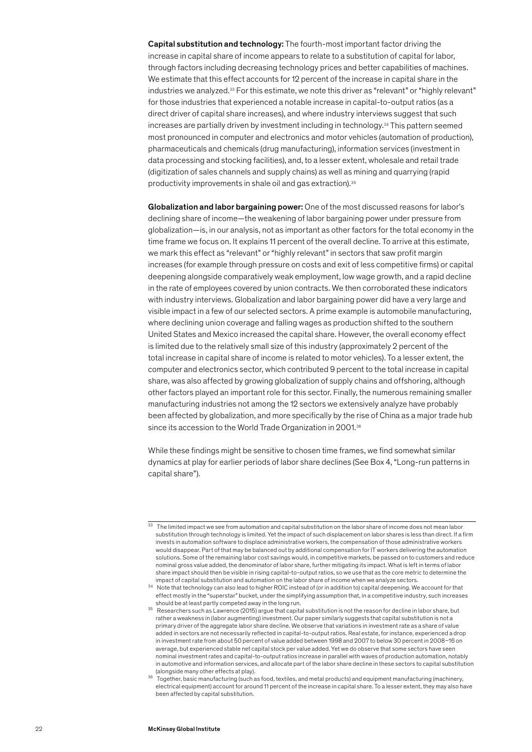Capital substitution and technology: The fourth-most important factor driving the increase in capital share of income appears to relate to a substitution of capital for labor, through factors including decreasing technology prices and better capabilities of machines. We estimate that this effect accounts for 12 percent of the increase in capital share in the industries we analyzed.<sup>33</sup> For this estimate, we note this driver as "relevant" or "highly relevant" for those industries that experienced a notable increase in capital-to-output ratios (as a direct driver of capital share increases), and where industry interviews suggest that such increases are partially driven by investment including in technology.34 This pattern seemed most pronounced in computer and electronics and motor vehicles (automation of production), pharmaceuticals and chemicals (drug manufacturing), information services (investment in data processing and stocking facilities), and, to a lesser extent, wholesale and retail trade (digitization of sales channels and supply chains) as well as mining and quarrying (rapid productivity improvements in shale oil and gas extraction).35

Globalization and labor bargaining power: One of the most discussed reasons for labor's declining share of income—the weakening of labor bargaining power under pressure from globalization—is, in our analysis, not as important as other factors for the total economy in the time frame we focus on. It explains 11 percent of the overall decline. To arrive at this estimate, we mark this effect as "relevant" or "highly relevant" in sectors that saw profit margin increases (for example through pressure on costs and exit of less competitive firms) or capital deepening alongside comparatively weak employment, low wage growth, and a rapid decline in the rate of employees covered by union contracts. We then corroborated these indicators with industry interviews. Globalization and labor bargaining power did have a very large and visible impact in a few of our selected sectors. A prime example is automobile manufacturing, where declining union coverage and falling wages as production shifted to the southern United States and Mexico increased the capital share. However, the overall economy effect is limited due to the relatively small size of this industry (approximately 2 percent of the total increase in capital share of income is related to motor vehicles). To a lesser extent, the computer and electronics sector, which contributed 9 percent to the total increase in capital share, was also affected by growing globalization of supply chains and offshoring, although other factors played an important role for this sector. Finally, the numerous remaining smaller manufacturing industries not among the 12 sectors we extensively analyze have probably been affected by globalization, and more specifically by the rise of China as a major trade hub since its accession to the World Trade Organization in 2001.<sup>36</sup>

While these findings might be sensitive to chosen time frames, we find somewhat similar dynamics at play for earlier periods of labor share declines (See Box 4, "Long-run patterns in capital share").

<sup>&</sup>lt;sup>33</sup> The limited impact we see from automation and capital substitution on the labor share of income does not mean labor substitution through technology is limited. Yet the impact of such displacement on labor shares is less than direct. If a firm invests in automation software to displace administrative workers, the compensation of those administrative workers would disappear. Part of that may be balanced out by additional compensation for IT workers delivering the automation solutions. Some of the remaining labor cost savings would, in competitive markets, be passed on to customers and reduce nominal gross value added, the denominator of labor share, further mitigating its impact. What is left in terms of labor share impact should then be visible in rising capital-to-output ratios, so we use that as the core metric to determine the impact of capital substitution and automation on the labor share of income when we analyze sectors.

<sup>34</sup> Note that technology can also lead to higher ROIC instead of (or in addition to) capital deepening. We account for that effect mostly in the "superstar" bucket, under the simplifying assumption that, in a competitive industry, such increases should be at least partly competed away in the long run.

<sup>35</sup> Researchers such as Lawrence (2015) argue that capital substitution is not the reason for decline in labor share, but rather a weakness in (labor augmenting) investment. Our paper similarly suggests that capital substitution is not a primary driver of the aggregate labor share decline. We observe that variations in investment rate as a share of value added in sectors are not necessarily reflected in capital-to-output ratios. Real estate, for instance, experienced a drop in investment rate from about 50 percent of value added between 1998 and 2007 to below 30 percent in 2008–16 on average, but experienced stable net capital stock per value added. Yet we do observe that some sectors have seen nominal investment rates and capital-to-output ratios increase in parallel with waves of production automation, notably in automotive and information services, and allocate part of the labor share decline in these sectors to capital substitution (alongside many other effects at play).

<sup>36</sup> Together, basic manufacturing (such as food, textiles, and metal products) and equipment manufacturing (machinery, electrical equipment) account for around 11 percent of the increase in capital share. To a lesser extent, they may also have been affected by capital substitution.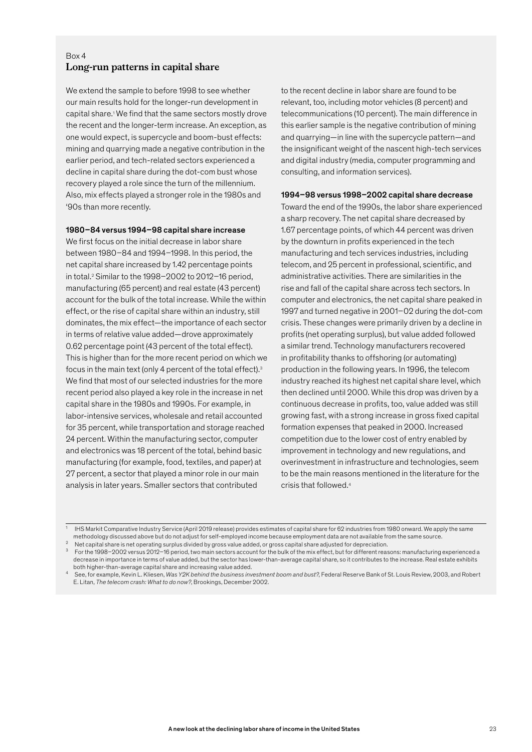### Box 4 **Long-run patterns in capital share**

We extend the sample to before 1998 to see whether our main results hold for the longer-run development in capital share.<sup>1</sup> We find that the same sectors mostly drove the recent and the longer-term increase. An exception, as one would expect, is supercycle and boom-bust effects: mining and quarrying made a negative contribution in the earlier period, and tech-related sectors experienced a decline in capital share during the dot-com bust whose recovery played a role since the turn of the millennium. Also, mix effects played a stronger role in the 1980s and '90s than more recently.

#### 1980–84 versus 1994–98 capital share increase

We first focus on the initial decrease in labor share between 1980–84 and 1994–1998. In this period, the net capital share increased by 1.42 percentage points in total.2 Similar to the 1998–2002 to 2012–16 period, manufacturing (65 percent) and real estate (43 percent) account for the bulk of the total increase. While the within effect, or the rise of capital share within an industry, still dominates, the mix effect—the importance of each sector in terms of relative value added—drove approximately 0.62 percentage point (43 percent of the total effect). This is higher than for the more recent period on which we focus in the main text (only 4 percent of the total effect).<sup>3</sup> We find that most of our selected industries for the more recent period also played a key role in the increase in net capital share in the 1980s and 1990s. For example, in labor-intensive services, wholesale and retail accounted for 35 percent, while transportation and storage reached 24 percent. Within the manufacturing sector, computer and electronics was 18 percent of the total, behind basic manufacturing (for example, food, textiles, and paper) at 27 percent, a sector that played a minor role in our main analysis in later years. Smaller sectors that contributed

to the recent decline in labor share are found to be relevant, too, including motor vehicles (8 percent) and telecommunications (10 percent). The main difference in this earlier sample is the negative contribution of mining and quarrying—in line with the supercycle pattern—and the insignificant weight of the nascent high-tech services and digital industry (media, computer programming and consulting, and information services).

#### 1994–98 versus 1998–2002 capital share decrease

Toward the end of the 1990s, the labor share experienced a sharp recovery. The net capital share decreased by 1.67 percentage points, of which 44 percent was driven by the downturn in profits experienced in the tech manufacturing and tech services industries, including telecom, and 25 percent in professional, scientific, and administrative activities. There are similarities in the rise and fall of the capital share across tech sectors. In computer and electronics, the net capital share peaked in 1997 and turned negative in 2001–02 during the dot-com crisis. These changes were primarily driven by a decline in profits (net operating surplus), but value added followed a similar trend. Technology manufacturers recovered in profitability thanks to offshoring (or automating) production in the following years. In 1996, the telecom industry reached its highest net capital share level, which then declined until 2000. While this drop was driven by a continuous decrease in profits, too, value added was still growing fast, with a strong increase in gross fixed capital formation expenses that peaked in 2000. Increased competition due to the lower cost of entry enabled by improvement in technology and new regulations, and overinvestment in infrastructure and technologies, seem to be the main reasons mentioned in the literature for the crisis that followed.4

<sup>1</sup> IHS Markit Comparative Industry Service (April 2019 release) provides estimates of capital share for 62 industries from 1980 onward. We apply the same methodology discussed above but do not adjust for self-employed income because employment data are not available from the same source. 2 Net capital share is net operating surplus divided by gross value added, or gross capital share adjusted for depreciation.

 $3$  For the 1998–2002 versus 2012–16 period, two main sectors account for the bulk of the mix effect, but for different reasons: manufacturing experienced a decrease in importance in terms of value added, but the sector has lower-than-average capital share, so it contributes to the increase. Real estate exhibits both higher-than-average capital share and increasing value added.

<sup>4</sup> See, for example, Kevin L. Kliesen, *Was Y2K behind the business investment boom and bust?*, Federal Reserve Bank of St. Louis Review, 2003, and Robert E. Litan, *The telecom crash: What to do now?*, Brookings, December 2002.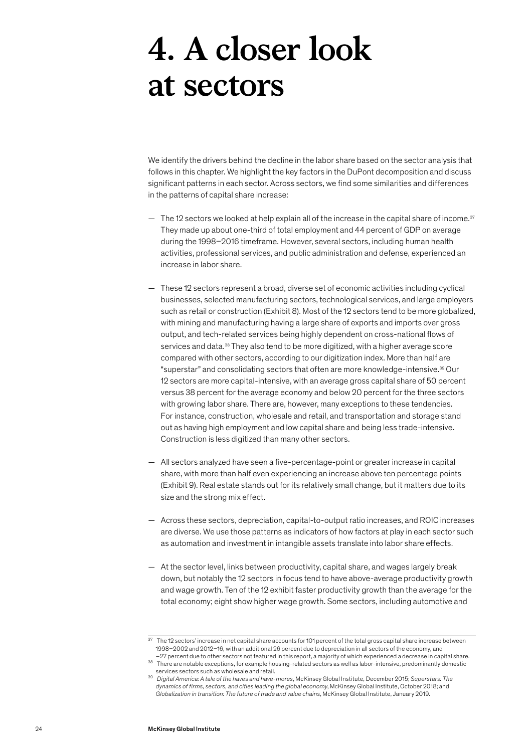# <span id="page-25-0"></span>**4. A closer look at sectors**

We identify the drivers behind the decline in the labor share based on the sector analysis that follows in this chapter. We highlight the key factors in the DuPont decomposition and discuss significant patterns in each sector. Across sectors, we find some similarities and differences in the patterns of capital share increase:

- $-$  The 12 sectors we looked at help explain all of the increase in the capital share of income.<sup>37</sup> They made up about one-third of total employment and 44 percent of GDP on average during the 1998–2016 timeframe. However, several sectors, including human health activities, professional services, and public administration and defense, experienced an increase in labor share.
- These 12 sectors represent a broad, diverse set of economic activities including cyclical businesses, selected manufacturing sectors, technological services, and large employers such as retail or construction (Exhibit 8). Most of the 12 sectors tend to be more globalized, with mining and manufacturing having a large share of exports and imports over gross output, and tech-related services being highly dependent on cross-national flows of services and data.<sup>38</sup> They also tend to be more digitized, with a higher average score compared with other sectors, according to our digitization index. More than half are "superstar" and consolidating sectors that often are more knowledge-intensive.39 Our 12 sectors are more capital-intensive, with an average gross capital share of 50 percent versus 38 percent for the average economy and below 20 percent for the three sectors with growing labor share. There are, however, many exceptions to these tendencies. For instance, construction, wholesale and retail, and transportation and storage stand out as having high employment and low capital share and being less trade-intensive. Construction is less digitized than many other sectors.
- All sectors analyzed have seen a five-percentage-point or greater increase in capital share, with more than half even experiencing an increase above ten percentage points (Exhibit 9). Real estate stands out for its relatively small change, but it matters due to its size and the strong mix effect.
- Across these sectors, depreciation, capital-to-output ratio increases, and ROIC increases are diverse. We use those patterns as indicators of how factors at play in each sector such as automation and investment in intangible assets translate into labor share effects.
- At the sector level, links between productivity, capital share, and wages largely break down, but notably the 12 sectors in focus tend to have above-average productivity growth and wage growth. Ten of the 12 exhibit faster productivity growth than the average for the total economy; eight show higher wage growth. Some sectors, including automotive and

 $\frac{37}{37}$  The 12 sectors' increase in net capital share accounts for 101 percent of the total gross capital share increase between 1998–2002 and 2012–16, with an additional 26 percent due to depreciation in all sectors of the economy, and

 $-27$  percent due to other sectors not featured in this report, a majority of which experienced a decrease in capital share.  $^\mathrm{38}$  There are notable exceptions, for example housing-related sectors as well as labor-inte services sectors such as wholesale and retail.

<sup>39</sup> *Digital America: A tale of the haves and have-mores*, McKinsey Global Institute, December 2015; *Superstars: The dynamics of firms, sectors, and cities leading the global economy*, McKinsey Global Institute, October 2018; and *Globalization in transition: The future of trade and value chains*, McKinsey Global Institute, January 2019.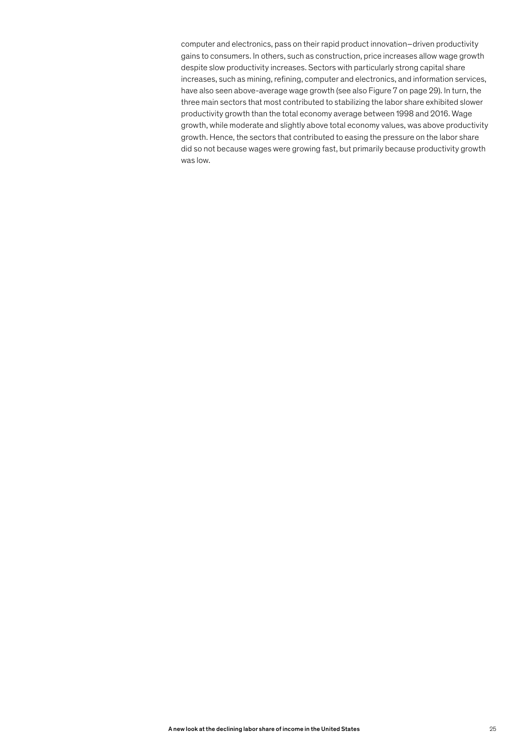computer and electronics, pass on their rapid product innovation–driven productivity gains to consumers. In others, such as construction, price increases allow wage growth despite slow productivity increases. Sectors with particularly strong capital share increases, such as mining, refining, computer and electronics, and information services, have also seen above-average wage growth (see also Figure 7 on page 29). In turn, the three main sectors that most contributed to stabilizing the labor share exhibited slower productivity growth than the total economy average between 1998 and 2016. Wage growth, while moderate and slightly above total economy values, was above productivity growth. Hence, the sectors that contributed to easing the pressure on the labor share did so not because wages were growing fast, but primarily because productivity growth was low.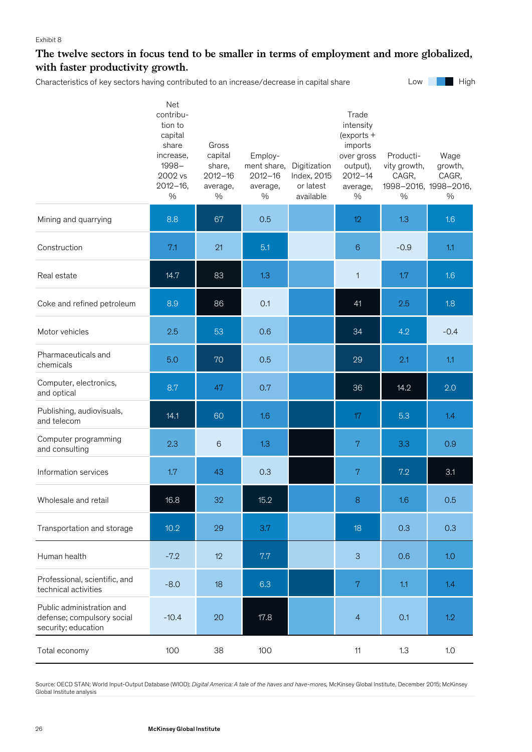## **The twelve sectors in focus tend to be smaller in terms of employment and more globalized, with faster productivity growth.**

Characteristics of key sectors having contributed to an increase/decrease in capital share

Low **High** High

|                                                                                | Net<br>contribu-<br>tion to<br>capital<br>share<br>increase,<br>$1998 -$<br>2002 vs<br>$2012 - 16$ ,<br>$\%$ | Gross<br>capital<br>share,<br>$2012 - 16$<br>average,<br>$\%$ | Employ-<br>ment share,<br>$2012 - 16$<br>average,<br>$\%$ | Digitization<br>Index, 2015<br>or latest<br>available | Trade<br>intensity<br>(exports +<br>imports<br>over gross<br>output),<br>$2012 - 14$<br>average,<br>$\%$ | Producti-<br>vity growth,<br>CAGR,<br>1998-2016, 1998-2016,<br>$\frac{0}{0}$ | Wage<br>growth,<br>CAGR,<br>$\%$ |
|--------------------------------------------------------------------------------|--------------------------------------------------------------------------------------------------------------|---------------------------------------------------------------|-----------------------------------------------------------|-------------------------------------------------------|----------------------------------------------------------------------------------------------------------|------------------------------------------------------------------------------|----------------------------------|
| Mining and quarrying                                                           | 8.8                                                                                                          | 67                                                            | 0.5                                                       |                                                       | 12                                                                                                       | 1.3                                                                          | 1.6                              |
| Construction                                                                   | 7.1                                                                                                          | 21                                                            | 5.1                                                       |                                                       | $6\phantom{1}6$                                                                                          | $-0.9$                                                                       | 1.1                              |
| Real estate                                                                    | 14.7                                                                                                         | 83                                                            | 1.3                                                       |                                                       | $\mathbf{1}$                                                                                             | 1.7                                                                          | 1.6                              |
| Coke and refined petroleum                                                     | 8.9                                                                                                          | 86                                                            | 0.1                                                       |                                                       | 41                                                                                                       | 2.5                                                                          | 1.8                              |
| Motor vehicles                                                                 | 2.5                                                                                                          | 53                                                            | 0.6                                                       |                                                       | 34                                                                                                       | 4.2                                                                          | $-0.4$                           |
| Pharmaceuticals and<br>chemicals                                               | 5.0                                                                                                          | 70                                                            | 0.5                                                       |                                                       | 29                                                                                                       | 2.1                                                                          | 1.1                              |
| Computer, electronics,<br>and optical                                          | 8.7                                                                                                          | 47                                                            | 0.7                                                       |                                                       | 36                                                                                                       | 14.2                                                                         | 2.0                              |
| Publishing, audiovisuals,<br>and telecom                                       | 14.1                                                                                                         | 60                                                            | 1.6                                                       |                                                       | 17                                                                                                       | 5.3                                                                          | 1.4                              |
| Computer programming<br>and consulting                                         | 2.3                                                                                                          | 6                                                             | 1.3                                                       |                                                       | $\overline{7}$                                                                                           | 3.3                                                                          | 0.9                              |
| Information services                                                           | 1.7                                                                                                          | 43                                                            | 0.3                                                       |                                                       | $\overline{7}$                                                                                           | 7.2                                                                          | 3.1                              |
| Wholesale and retail                                                           | 16.8                                                                                                         | 32                                                            | 15.2                                                      |                                                       | 8                                                                                                        | 1.6                                                                          | 0.5                              |
| Transportation and storage                                                     | 10.2                                                                                                         | 29                                                            | 3.7                                                       |                                                       | 18                                                                                                       | 0.3                                                                          | 0.3                              |
| Human health                                                                   | $-7.2$                                                                                                       | 12                                                            | 7.7                                                       |                                                       | $\mathcal{S}$                                                                                            | 0.6                                                                          | 1.0                              |
| Professional, scientific, and<br>technical activities                          | $-8.0$                                                                                                       | 18                                                            | 6.3                                                       |                                                       | $7\phantom{.}$                                                                                           | 1.1                                                                          | 1.4                              |
| Public administration and<br>defense; compulsory social<br>security; education | $-10.4$                                                                                                      | 20                                                            | 17.8                                                      |                                                       | $\overline{4}$                                                                                           | 0.1                                                                          | 1.2                              |
| Total economy                                                                  | 100                                                                                                          | 38                                                            | 100                                                       |                                                       | 11                                                                                                       | 1.3                                                                          | 1.0                              |

Source: OECD STAN; World Input-Output Database (WIOD); *Digital America: A tale of the haves and have-mores*, McKinsey Global Institute, December 2015; McKinsey Global Institute analysis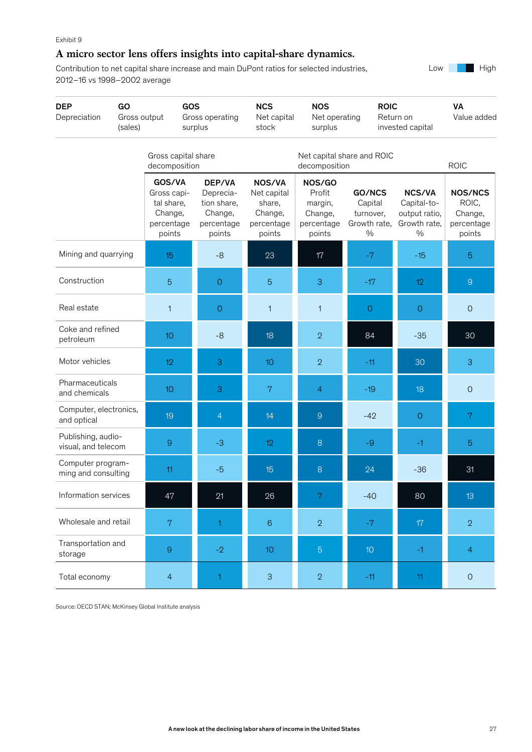## **A micro sector lens offers insights into capital-share dynamics.**

Contribution to net capital share increase and main DuPont ratios for selected industries, 2012–16 vs 1998–2002 average Low **High** 

| <b>DEP</b><br>GO<br>Gross output<br>Depreciation<br>(sales) |  | <b>GOS</b><br>Gross operating<br>surplus                               |                                                                       | <b>NCS</b><br>Net capital<br>stock                                 | <b>NOS</b><br>Net operating<br>surplus                         | <b>ROIC</b>                                                     | Return on<br>invested capital                                  | VA<br>Value added                                          |
|-------------------------------------------------------------|--|------------------------------------------------------------------------|-----------------------------------------------------------------------|--------------------------------------------------------------------|----------------------------------------------------------------|-----------------------------------------------------------------|----------------------------------------------------------------|------------------------------------------------------------|
|                                                             |  | Gross capital share<br>decomposition                                   |                                                                       |                                                                    | decomposition                                                  | Net capital share and ROIC                                      |                                                                | <b>ROIC</b>                                                |
|                                                             |  | GOS/VA<br>Gross capi-<br>tal share,<br>Change,<br>percentage<br>points | DEP/VA<br>Deprecia-<br>tion share,<br>Change,<br>percentage<br>points | NOS/VA<br>Net capital<br>share,<br>Change,<br>percentage<br>points | NOS/GO<br>Profit<br>margin,<br>Change,<br>percentage<br>points | GO/NCS<br>Capital<br>turnover,<br>Growth rate,<br>$\frac{0}{0}$ | NCS/VA<br>Capital-to-<br>output ratio,<br>Growth rate,<br>$\%$ | <b>NOS/NCS</b><br>ROIC,<br>Change,<br>percentage<br>points |
| Mining and quarrying                                        |  | 15                                                                     | $-8$                                                                  | 23                                                                 | 17                                                             | $-7$                                                            | $-15$                                                          | 5                                                          |
| Construction                                                |  | $\overline{5}$                                                         | $\mathsf O$                                                           | 5                                                                  | 3                                                              | $-17$                                                           | 12                                                             | $\overline{9}$                                             |
| Real estate                                                 |  | $\mathbf{1}$                                                           | $\overline{O}$                                                        | $\mathbf{1}$                                                       | 1                                                              | $\overline{O}$                                                  | $\overline{O}$                                                 | 0                                                          |
| Coke and refined<br>petroleum                               |  | 10                                                                     | $-8$                                                                  | 18                                                                 | $\overline{2}$                                                 | 84                                                              | $-35$                                                          | 30                                                         |
| Motor vehicles                                              |  | 12                                                                     | 3                                                                     | 10                                                                 | $\overline{2}$                                                 | $-11$                                                           | 30                                                             | 3                                                          |
| Pharmaceuticals<br>and chemicals                            |  | 10 <sup>°</sup>                                                        | 3                                                                     | 7                                                                  | $\overline{4}$                                                 | $-19$                                                           | 18                                                             | $\overline{O}$                                             |
| Computer, electronics,<br>and optical                       |  | 19                                                                     | $\overline{4}$                                                        | 14                                                                 | $\Theta$                                                       | $-42$                                                           | $\mathbf{O}$                                                   | 7                                                          |
| Publishing, audio-<br>visual, and telecom                   |  | $\Theta$                                                               | $-3$                                                                  | 12                                                                 | 8                                                              | $-9$                                                            | $-1$                                                           | 5                                                          |
| Computer program-<br>ming and consulting                    |  | 11                                                                     | $-5$                                                                  | 15                                                                 | 8                                                              | 24                                                              | $-36$                                                          | 31                                                         |
| Information services                                        |  | 47                                                                     | 21                                                                    | 26                                                                 | 7                                                              | $-40$                                                           | 80                                                             | 13                                                         |
| Wholesale and retail                                        |  | $\overline{7}$                                                         | 1                                                                     | $\,6\,$                                                            | $\overline{2}$                                                 | $-7$                                                            | 17                                                             | $\overline{2}$                                             |
| Transportation and<br>storage                               |  | $\hbox{9}$                                                             | $-2$                                                                  | 10                                                                 | $\overline{5}$                                                 | 10                                                              | $-1$                                                           | 4                                                          |
| Total economy                                               |  | $\overline{4}$                                                         | 1                                                                     | $\mathsf 3$                                                        | $\overline{2}$                                                 | $-11$                                                           | 11                                                             | $\mathsf{O}\xspace$                                        |

Source: OECD STAN; McKinsey Global Institute analysis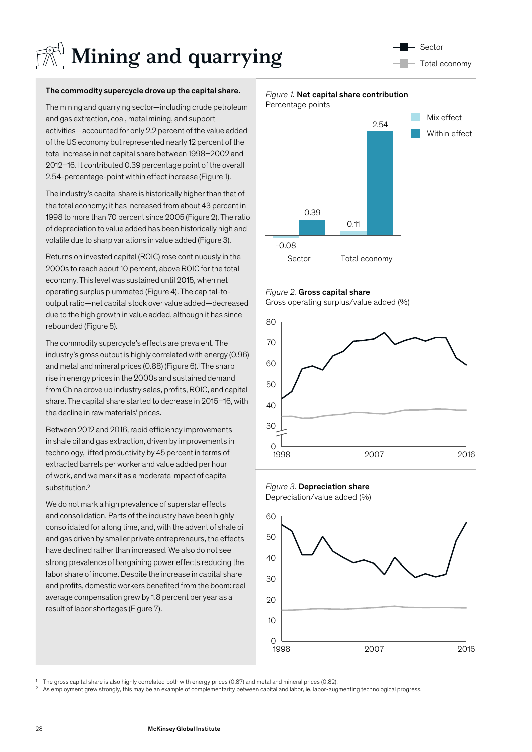# <span id="page-29-0"></span>**Mining and quarrying**



#### The commodity supercycle drove up the capital share.

The mining and quarrying sector—including crude petroleum and gas extraction, coal, metal mining, and support activities—accounted for only 2.2 percent of the value added of the US economy but represented nearly 12 percent of the total increase in net capital share between 1998–2002 and 2012–16. It contributed 0.39 percentage point of the overall 2.54-percentage-point within effect increase (Figure 1).

The industry's capital share is historically higher than that of the total economy; it has increased from about 43 percent in 1998 to more than 70 percent since 2005 (Figure 2). The ratio of depreciation to value added has been historically high and volatile due to sharp variations in value added (Figure 3).

Returns on invested capital (ROIC) rose continuously in the 2000s to reach about 10 percent, above ROIC for the total economy. This level was sustained until 2015, when net operating surplus plummeted (Figure 4). The capital-tooutput ratio—net capital stock over value added—decreased due to the high growth in value added, although it has since rebounded (Figure 5).

The commodity supercycle's effects are prevalent. The industry's gross output is highly correlated with energy (0.96) and metal and mineral prices (0.88) (Figure 6).<sup>1</sup> The sharp rise in energy prices in the 2000s and sustained demand from China drove up industry sales, profits, ROIC, and capital share. The capital share started to decrease in 2015–16, with the decline in raw materials' prices.

Between 2012 and 2016, rapid efficiency improvements in shale oil and gas extraction, driven by improvements in technology, lifted productivity by 45 percent in terms of extracted barrels per worker and value added per hour of work, and we mark it as a moderate impact of capital substitution.2

We do not mark a high prevalence of superstar effects and consolidation. Parts of the industry have been highly consolidated for a long time, and, with the advent of shale oil and gas driven by smaller private entrepreneurs, the effects have declined rather than increased. We also do not see strong prevalence of bargaining power effects reducing the labor share of income. Despite the increase in capital share and profits, domestic workers benefited from the boom: real average compensation grew by 1.8 percent per year as a result of labor shortages (Figure 7).



*Figure 2.* Gross capital share

Gross operating surplus/value added (%)



*Figure 3.* Depreciation share

Depreciation/value added (%)



<sup>1</sup> The gross capital share is also highly correlated both with energy prices (0.87) and metal and mineral prices (0.82).<br><sup>2</sup> As amples ment grow strapely this may be an example of complementarity between equital and labo

As employment grew strongly, this may be an example of complementarity between capital and labor, ie, labor-augmenting technological progress.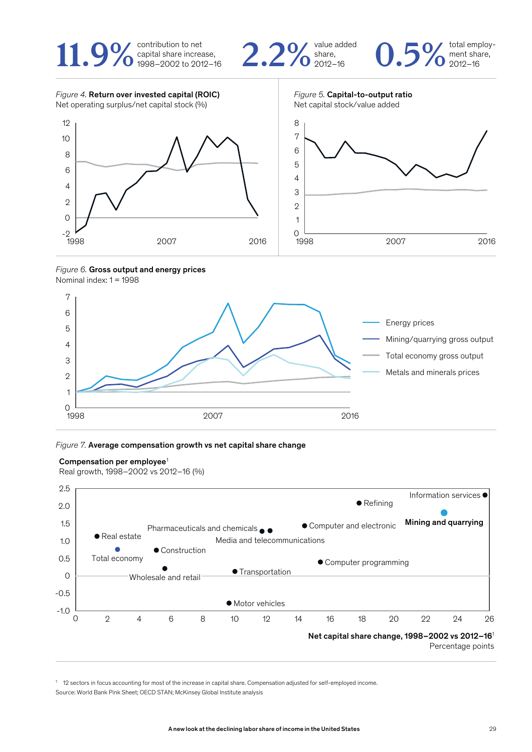

*Figure 7.* Average compensation growth vs net capital share change

#### Compensation per employee<sup>1</sup>

Real growth, 1998–2002 vs 2012–16 (%)



Source: World Bank Pink Sheet; OECD STAN; McKinsey Global Institute analysis <sup>1</sup> 12 sectors in focus accounting for most of the increase in capital share. Compensation adjusted for self-employed income.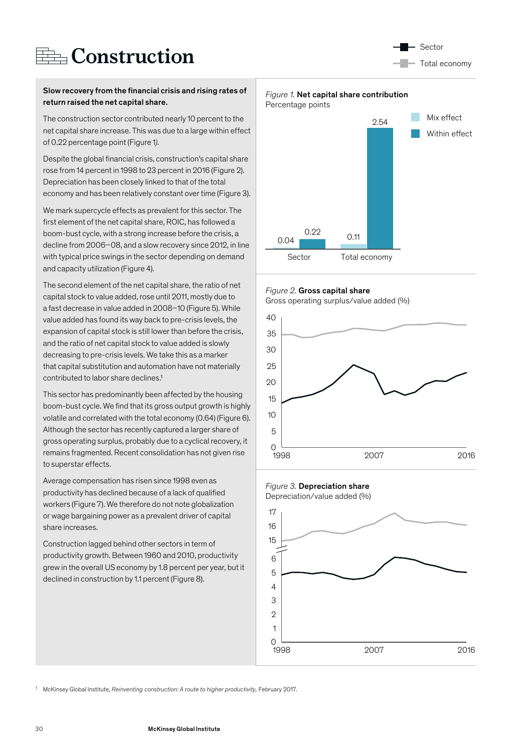## <span id="page-31-0"></span>**Construction**

#### Slow recovery from the financial crisis and rising rates of return raised the net capital share.

The construction sector contributed nearly 10 percent to the net capital share increase. This was due to a large within effect of 0.22 percentage point (Figure 1*).*

Despite the global financial crisis, construction's capital share rose from 14 percent in 1998 to 23 percent in 2016 (Figure 2). Depreciation has been closely linked to that of the total economy and has been relatively constant over time (Figure 3).

We mark supercycle effects as prevalent for this sector. The first element of the net capital share, ROIC, has followed a boom-bust cycle, with a strong increase before the crisis, a decline from 2006–08, and a slow recovery since 2012, in line with typical price swings in the sector depending on demand and capacity utilization (Figure 4).

The second element of the net capital share, the ratio of net capital stock to value added, rose until 2011, mostly due to a fast decrease in value added in 2008–10 (Figure 5). While value added has found its way back to pre-crisis levels, the expansion of capital stock is still lower than before the crisis, and the ratio of net capital stock to value added is slowly decreasing to pre-crisis levels. We take this as a marker that capital substitution and automation have not materially contributed to labor share declines.1

This sector has predominantly been affected by the housing boom-bust cycle. We find that its gross output growth is highly volatile and correlated with the total economy (0.64) (Figure 6). Although the sector has recently captured a larger share of gross operating surplus, probably due to a cyclical recovery, it remains fragmented. Recent consolidation has not given rise to superstar effects.

Average compensation has risen since 1998 even as productivity has declined because of a lack of qualified workers (Figure 7). We therefore do not note globalization or wage bargaining power as a prevalent driver of capital share increases.

Construction lagged behind other sectors in term of productivity growth. Between 1960 and 2010, productivity grew in the overall US economy by 1.8 percent per year, but it declined in construction by 1.1 percent (Figure 8).



- Sector

Total economy

*Figure 2.* Gross capital share

Gross operating surplus/value added (%)

Sector Total economy



*Figure 3.* Depreciation share

Depreciation/value added (%)



<sup>1</sup> McKinsey Global Institute, *Reinventing construction: A route to higher productivity*, February 2017.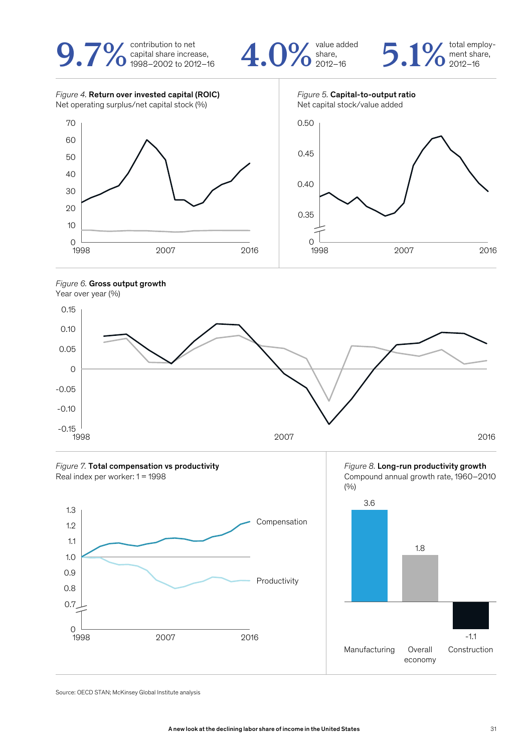

Source: OECD STAN; McKinsey Global Institute analysis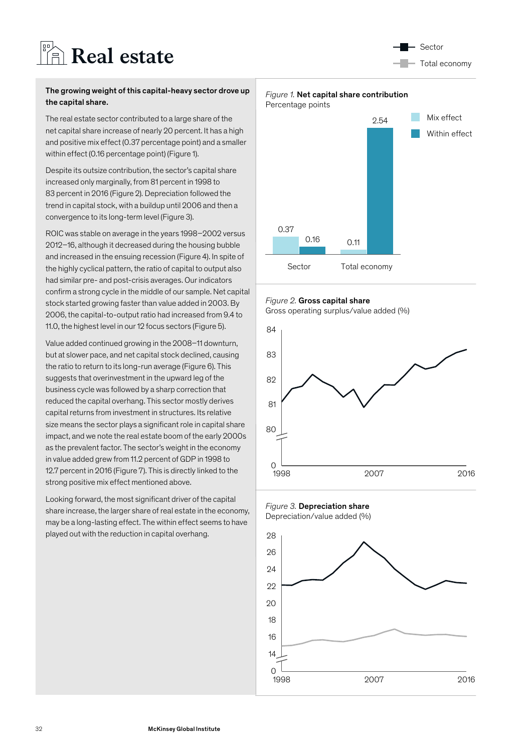<span id="page-33-0"></span>

#### The growing weight of this capital-heavy sector drove up the capital share.

The real estate sector contributed to a large share of the net capital share increase of nearly 20 percent. It has a high and positive mix effect (0.37 percentage point) and a smaller within effect (0.16 percentage point) (Figure 1).

Despite its outsize contribution, the sector's capital share increased only marginally, from 81 percent in 1998 to 83 percent in 2016 (Figure 2)*.* Depreciation followed the trend in capital stock, with a buildup until 2006 and then a convergence to its long-term level (Figure 3).

ROIC was stable on average in the years 1998–2002 versus 2012–16, although it decreased during the housing bubble and increased in the ensuing recession (Figure 4). In spite of the highly cyclical pattern, the ratio of capital to output also had similar pre- and post-crisis averages. Our indicators confirm a strong cycle in the middle of our sample. Net capital stock started growing faster than value added in 2003. By 2006, the capital-to-output ratio had increased from 9.4 to 11.0, the highest level in our 12 focus sectors (Figure 5).

Value added continued growing in the 2008–11 downturn, but at slower pace, and net capital stock declined, causing the ratio to return to its long-run average (Figure 6). This suggests that overinvestment in the upward leg of the business cycle was followed by a sharp correction that reduced the capital overhang. This sector mostly derives capital returns from investment in structures. Its relative size means the sector plays a significant role in capital share impact, and we note the real estate boom of the early 2000s as the prevalent factor. The sector's weight in the economy in value added grew from 11.2 percent of GDP in 1998 to 12.7 percent in 2016 (Figure 7). This is directly linked to the strong positive mix effect mentioned above.

Looking forward, the most significant driver of the capital share increase, the larger share of real estate in the economy, may be a long-lasting effect. The within effect seems to have played out with the reduction in capital overhang.

#### *Figure 1.* Net capital share contribution Percentage points



- Sector

Total economy

*Figure 2.* Gross capital share

Gross operating surplus/value added (%)



*Figure 3.* Depreciation share

Depreciation/value added (%)

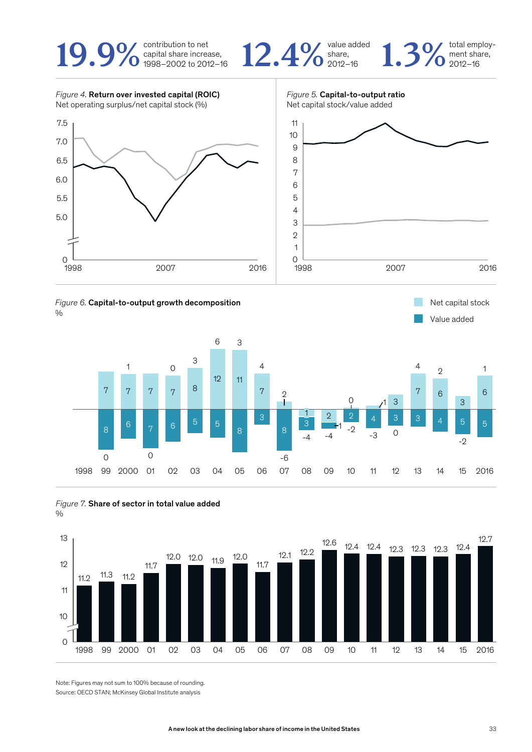

![](_page_34_Figure_1.jpeg)

![](_page_34_Figure_2.jpeg)

![](_page_34_Figure_3.jpeg)

Source: OECD STAN; McKinsey Global Institute analysis Note: Figures may not sum to 100% because of rounding.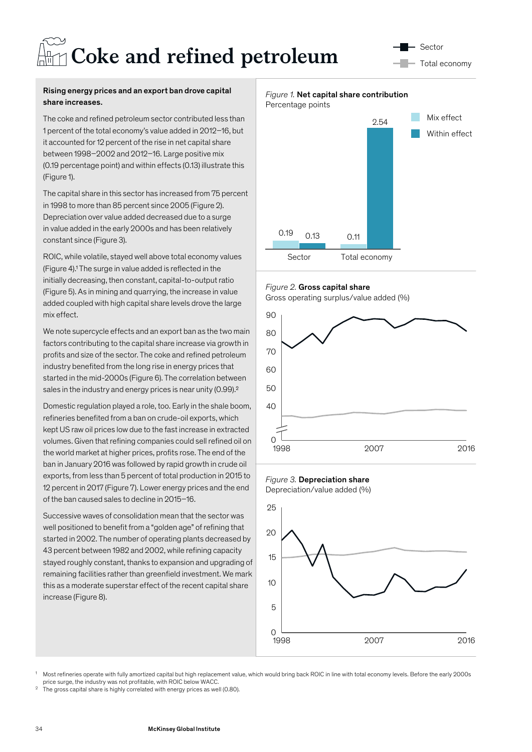# <span id="page-35-0"></span>**THE Coke and refined petroleum**

![](_page_35_Figure_1.jpeg)

#### Rising energy prices and an export ban drove capital share increases.

The coke and refined petroleum sector contributed less than 1 percent of the total economy's value added in 2012–16, but it accounted for 12 percent of the rise in net capital share between 1998–2002 and 2012–16. Large positive mix (0.19 percentage point) and within effects (0.13) illustrate this (Figure 1).

The capital share in this sector has increased from 75 percent in 1998 to more than 85 percent since 2005 (Figure 2). Depreciation over value added decreased due to a surge in value added in the early 2000s and has been relatively constant since (Figure 3).

ROIC, while volatile, stayed well above total economy values (Figure 4).1 The surge in value added is reflected in the initially decreasing, then constant, capital-to-output ratio (Figure 5). As in mining and quarrying, the increase in value added coupled with high capital share levels drove the large mix effect.

We note supercycle effects and an export ban as the two main factors contributing to the capital share increase via growth in profits and size of the sector. The coke and refined petroleum industry benefited from the long rise in energy prices that started in the mid-2000s (Figure 6). The correlation between sales in the industry and energy prices is near unity (0.99).<sup>2</sup>

Domestic regulation played a role, too. Early in the shale boom, refineries benefited from a ban on crude-oil exports, which kept US raw oil prices low due to the fast increase in extracted volumes. Given that refining companies could sell refined oil on the world market at higher prices, profits rose. The end of the ban in January 2016 was followed by rapid growth in crude oil exports, from less than 5 percent of total production in 2015 to 12 percent in 2017 (Figure 7). Lower energy prices and the end of the ban caused sales to decline in 2015–16.

Successive waves of consolidation mean that the sector was well positioned to benefit from a "golden age" of refining that started in 2002. The number of operating plants decreased by 43 percent between 1982 and 2002, while refining capacity stayed roughly constant, thanks to expansion and upgrading of remaining facilities rather than greenfield investment. We mark this as a moderate superstar effect of the recent capital share increase (Figure 8).

#### *Figure 1.* Net capital share contribution Percentage points

![](_page_35_Figure_10.jpeg)

*Figure 2.* Gross capital share

Gross operating surplus/value added (%)

![](_page_35_Figure_13.jpeg)

*Figure 3.* Depreciation share

![](_page_35_Figure_15.jpeg)

![](_page_35_Figure_16.jpeg)

Most refineries operate with fully amortized capital but high replacement value, which would bring back ROIC in line with total economy levels. Before the early 2000s price surge, the industry was not profitable, with ROIC

 $2$  The gross capital share is highly correlated with energy prices as well (0.80).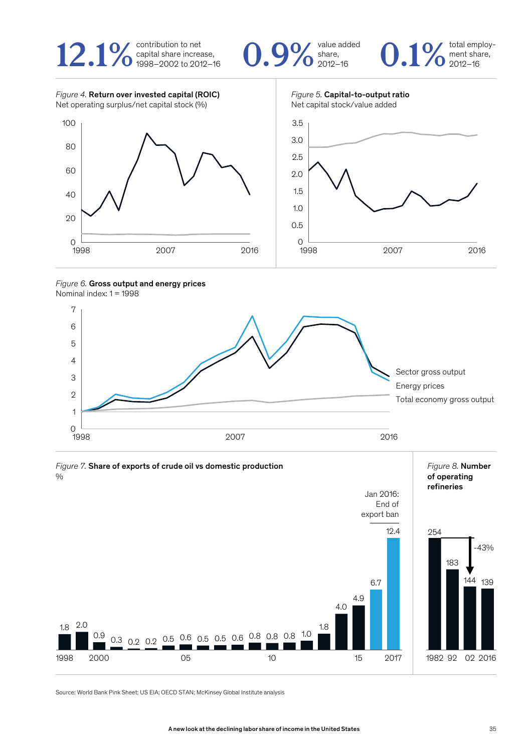![](_page_36_Figure_0.jpeg)

## *Figure 6.* Gross output and energy prices

Nominal index: 1 = 1998

![](_page_36_Figure_3.jpeg)

![](_page_36_Figure_4.jpeg)

Source: World Bank Pink Sheet; US EIA; OECD STAN; McKinsey Global Institute analysis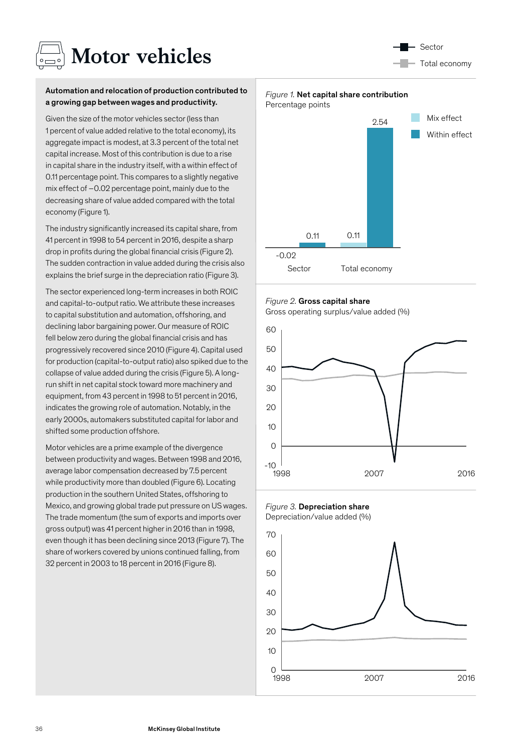<span id="page-37-0"></span>![](_page_37_Picture_0.jpeg)

#### Automation and relocation of production contributed to a growing gap between wages and productivity.

Given the size of the motor vehicles sector (less than 1 percent of value added relative to the total economy), its aggregate impact is modest, at 3.3 percent of the total net capital increase. Most of this contribution is due to a rise in capital share in the industry itself, with a within effect of 0.11 percentage point. This compares to a slightly negative mix effect of –0.02 percentage point, mainly due to the decreasing share of value added compared with the total economy (Figure 1).

The industry significantly increased its capital share, from 41 percent in 1998 to 54 percent in 2016, despite a sharp drop in profits during the global financial crisis (Figure 2). The sudden contraction in value added during the crisis also explains the brief surge in the depreciation ratio (Figure 3).

The sector experienced long-term increases in both ROIC and capital-to-output ratio. We attribute these increases to capital substitution and automation, offshoring, and declining labor bargaining power. Our measure of ROIC fell below zero during the global financial crisis and has progressively recovered since 2010 (Figure 4). Capital used for production (capital-to-output ratio) also spiked due to the collapse of value added during the crisis (Figure 5). A longrun shift in net capital stock toward more machinery and equipment, from 43 percent in 1998 to 51 percent in 2016, indicates the growing role of automation. Notably, in the early 2000s, automakers substituted capital for labor and shifted some production offshore.

Motor vehicles are a prime example of the divergence between productivity and wages. Between 1998 and 2016, average labor compensation decreased by 7.5 percent while productivity more than doubled (Figure 6). Locating production in the southern United States, offshoring to Mexico, and growing global trade put pressure on US wages. The trade momentum (the sum of exports and imports over gross output) was 41 percent higher in 2016 than in 1998, even though it has been declining since 2013 (Figure 7). The share of workers covered by unions continued falling, from 32 percent in 2003 to 18 percent in 2016 (Figure 8).

## *Figure 1.* Net capital share contribution Percentage points 2.54 Mix effect Within effect

0.11

- Sector

Total economy

![](_page_37_Figure_7.jpeg)

0.11

-0.02

Gross operating surplus/value added (%)

Sector Total economy

![](_page_37_Figure_9.jpeg)

*Figure 3.* Depreciation share

Depreciation/value added (%)

![](_page_37_Figure_12.jpeg)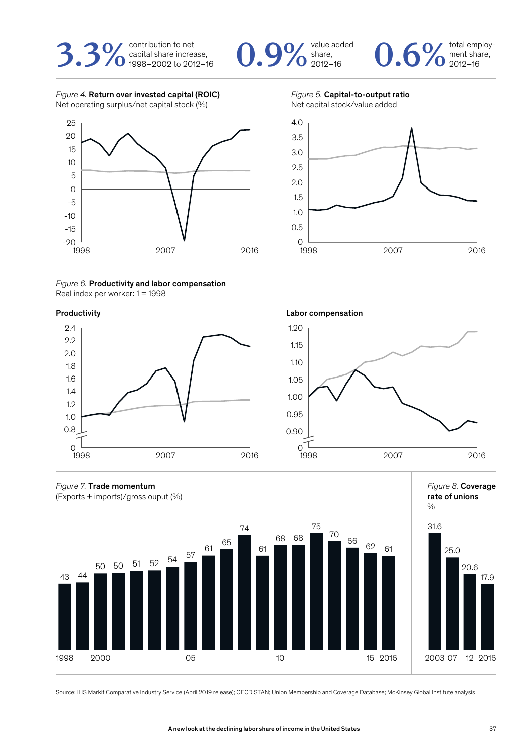1.0 3.5 0.5 1.5 2.0 3.0 2.5 4.0 *Figure 4.* Return over invested capital (ROIC) Net operating surplus/net capital stock (%) *Figure 5.* Capital-to-output ratio Net capital stock/value added 5 0 -15  $-20$ <sup>1</sup><br>1998 -10 -5 10 15 20 25 1998 2007 2016 **3.3%** capital share increased to 201 capital share increase,<br>1998–2002 to 2012–16 **0.9%** share,<br>1998–2002 to 2012–16 share,<br>2012–16 value added<br>
2012–16 **0.6%** total employ-<br>
2012–16 **0.6%** 2012–16

*Figure 6.* Productivity and labor compensation Real index per worker: 1 = 1998

capital share increase,

![](_page_38_Figure_2.jpeg)

![](_page_38_Figure_3.jpeg)

![](_page_38_Figure_4.jpeg)

![](_page_38_Figure_5.jpeg)

Source: IHS Markit Comparative Industry Service (April 2019 release); OECD STAN; Union Membership and Coverage Database; McKinsey Global Institute analysis

![](_page_38_Figure_7.jpeg)

ment share, 2012–16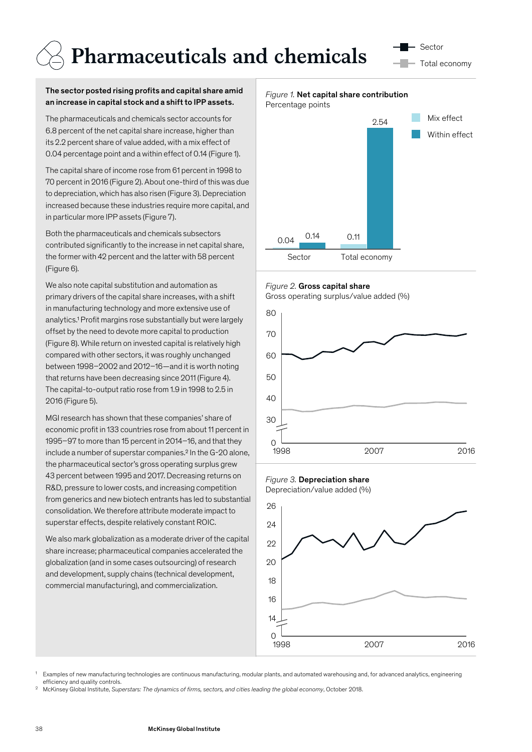# <span id="page-39-0"></span>**Pharmaceuticals and chemicals**

![](_page_39_Figure_1.jpeg)

#### The sector posted rising profits and capital share amid an increase in capital stock and a shift to IPP assets.

The pharmaceuticals and chemicals sector accounts for 6.8 percent of the net capital share increase, higher than its 2.2 percent share of value added, with a mix effect of 0.04 percentage point and a within effect of 0.14 (Figure 1).

The capital share of income rose from 61 percent in 1998 to 70 percent in 2016 (Figure 2). About one-third of this was due to depreciation, which has also risen (Figure 3). Depreciation increased because these industries require more capital, and in particular more IPP assets (Figure 7).

Both the pharmaceuticals and chemicals subsectors contributed significantly to the increase in net capital share, the former with 42 percent and the latter with 58 percent (Figure 6)*.*

We also note capital substitution and automation as primary drivers of the capital share increases, with a shift in manufacturing technology and more extensive use of analytics.1 Profit margins rose substantially but were largely offset by the need to devote more capital to production (Figure 8). While return on invested capital is relatively high compared with other sectors, it was roughly unchanged between 1998–2002 and 2012–16—and it is worth noting that returns have been decreasing since 2011 (Figure 4). The capital-to-output ratio rose from 1.9 in 1998 to 2.5 in 2016 (Figure 5).

MGI research has shown that these companies' share of economic profit in 133 countries rose from about 11 percent in 1995–97 to more than 15 percent in 2014–16, and that they include a number of superstar companies.2 In the G-20 alone, the pharmaceutical sector's gross operating surplus grew 43 percent between 1995 and 2017. Decreasing returns on R&D, pressure to lower costs, and increasing competition from generics and new biotech entrants has led to substantial consolidation. We therefore attribute moderate impact to superstar effects, despite relatively constant ROIC.

We also mark globalization as a moderate driver of the capital share increase; pharmaceutical companies accelerated the globalization (and in some cases outsourcing) of research and development, supply chains (technical development, commercial manufacturing), and commercialization.

#### *Figure 1.* Net capital share contribution Percentage points

![](_page_39_Figure_10.jpeg)

*Figure 2.* Gross capital share

Gross operating surplus/value added (%)

![](_page_39_Figure_13.jpeg)

*Figure 3.* Depreciation share

Depreciation/value added (%)

![](_page_39_Figure_16.jpeg)

Examples of new manufacturing technologies are continuous manufacturing, modular plants, and automated warehousing and, for advanced analytics, engineering efficiency and quality controls.

<sup>2</sup> McKinsey Global Institute, *Superstars: The dynamics of firms, sectors, and cities leading the global economy*, October 2018.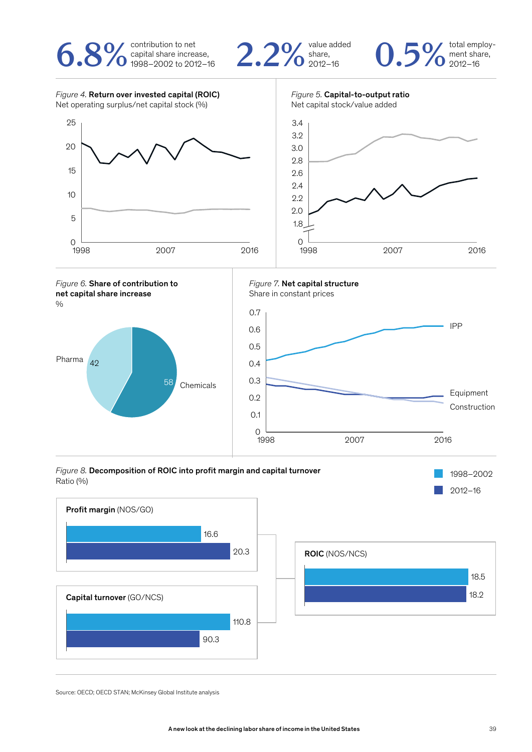![](_page_40_Figure_0.jpeg)

![](_page_40_Figure_1.jpeg)

Source: OECD; OECD STAN; McKinsey Global Institute analysis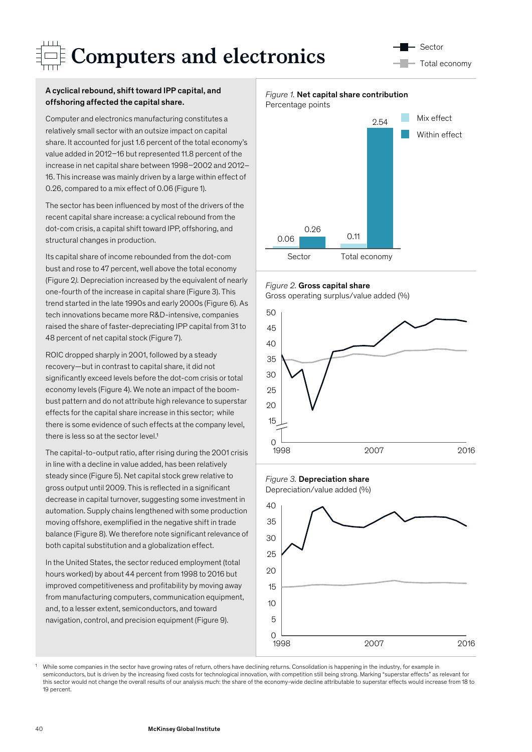# <span id="page-41-0"></span>**Computers and electronics**

![](_page_41_Figure_1.jpeg)

#### A cyclical rebound, shift toward IPP capital, and offshoring affected the capital share.

Computer and electronics manufacturing constitutes a relatively small sector with an outsize impact on capital share. It accounted for just 1.6 percent of the total economy's value added in 2012–16 but represented 11.8 percent of the increase in net capital share between 1998–2002 and 2012– 16. This increase was mainly driven by a large within effect of 0.26, compared to a mix effect of 0.06 (Figure 1).

The sector has been influenced by most of the drivers of the recent capital share increase: a cyclical rebound from the dot-com crisis, a capital shift toward IPP, offshoring, and structural changes in production.

Its capital share of income rebounded from the dot-com bust and rose to 47 percent, well above the total economy (Figure 2*).* Depreciation increased by the equivalent of nearly one-fourth of the increase in capital share (Figure 3). This trend started in the late 1990s and early 2000s (Figure 6)*.* As tech innovations became more R&D-intensive, companies raised the share of faster-depreciating IPP capital from 31 to 48 percent of net capital stock (Figure 7)*.*

ROIC dropped sharply in 2001, followed by a steady recovery—but in contrast to capital share, it did not significantly exceed levels before the dot-com crisis or total economy levels (Figure 4). We note an impact of the boombust pattern and do not attribute high relevance to superstar effects for the capital share increase in this sector; while there is some evidence of such effects at the company level, there is less so at the sector level.1

The capital-to-output ratio, after rising during the 2001 crisis in line with a decline in value added, has been relatively steady since (Figure 5). Net capital stock grew relative to gross output until 2009. This is reflected in a significant decrease in capital turnover, suggesting some investment in automation. Supply chains lengthened with some production moving offshore, exemplified in the negative shift in trade balance (Figure 8)*.* We therefore note significant relevance of both capital substitution and a globalization effect.

In the United States, the sector reduced employment (total hours worked) by about 44 percent from 1998 to 2016 but improved competitiveness and profitability by moving away from manufacturing computers, communication equipment, and, to a lesser extent, semiconductors, and toward navigation, control, and precision equipment (Figure 9).

#### *Figure 1.* Net capital share contribution Percentage points

![](_page_41_Figure_10.jpeg)

*Figure 2.* Gross capital share

Gross operating surplus/value added (%)

![](_page_41_Figure_13.jpeg)

*Figure 3.* Depreciation share

Depreciation/value added (%)

![](_page_41_Figure_16.jpeg)

While some companies in the sector have growing rates of return, others have declining returns. Consolidation is happening in the industry, for example in semiconductors, but is driven by the increasing fixed costs for technological innovation, with competition still being strong. Marking "superstar effects" as relevant for this sector would not change the overall results of our analysis much: the share of the economy-wide decline attributable to superstar effects would increase from 18 to 19 percent.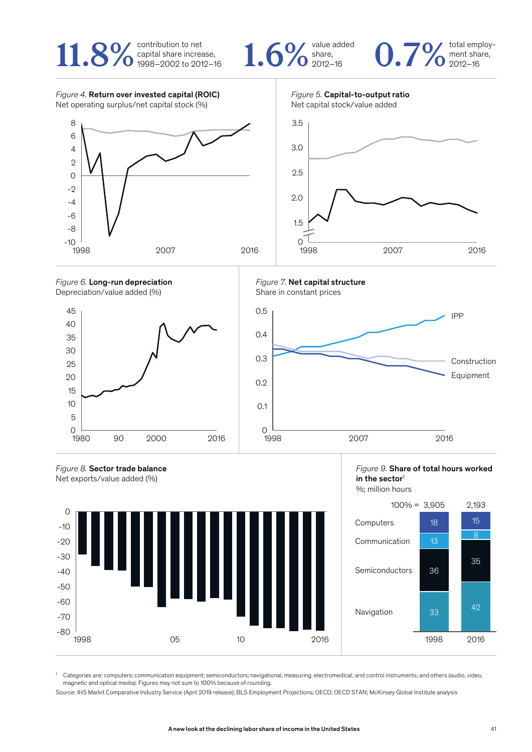![](_page_42_Picture_0.jpeg)

<sup>1</sup> Categories are: computers; communication equipment; semiconductors; navigational, measuring, electromedical, and control instruments; and others (audio, video, magnetic and optical media). Figures may not sum to 100% because of rounding.

Source: IHS Markit Comparative Industry Service (April 2019 release); BLS Employment Projections; OECD; OECD STAN; McKinsey Global Institute analysis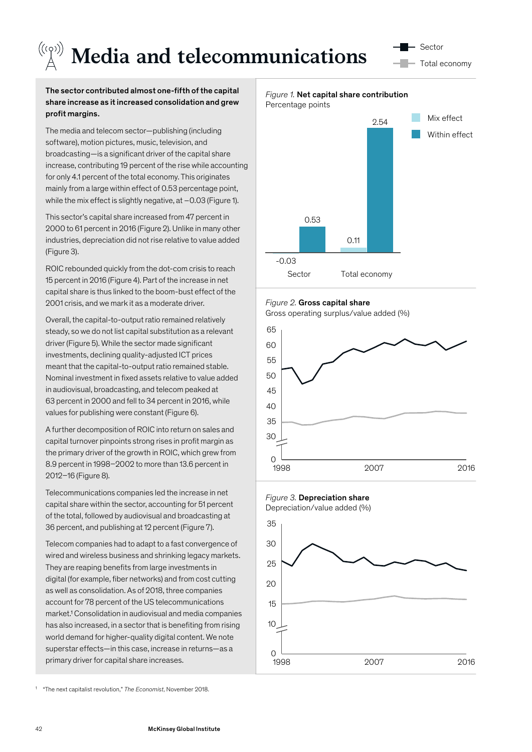# <span id="page-43-0"></span>**Media and telecommunications**

![](_page_43_Figure_1.jpeg)

#### The sector contributed almost one-fifth of the capital share increase as it increased consolidation and grew profit margins.

The media and telecom sector—publishing (including software), motion pictures, music, television, and broadcasting—is a significant driver of the capital share increase, contributing 19 percent of the rise while accounting for only 4.1 percent of the total economy. This originates mainly from a large within effect of 0.53 percentage point, while the mix effect is slightly negative, at –0.03 (Figure 1).

This sector's capital share increased from 47 percent in 2000 to 61 percent in 2016 (Figure 2). Unlike in many other industries, depreciation did not rise relative to value added (Figure 3).

ROIC rebounded quickly from the dot-com crisis to reach 15 percent in 2016 (Figure 4). Part of the increase in net capital share is thus linked to the boom-bust effect of the 2001 crisis, and we mark it as a moderate driver.

Overall, the capital-to-output ratio remained relatively steady, so we do not list capital substitution as a relevant driver (Figure 5). While the sector made significant investments, declining quality-adjusted ICT prices meant that the capital-to-output ratio remained stable. Nominal investment in fixed assets relative to value added in audiovisual, broadcasting, and telecom peaked at 63 percent in 2000 and fell to 34 percent in 2016, while values for publishing were constant (Figure 6).

A further decomposition of ROIC into return on sales and capital turnover pinpoints strong rises in profit margin as the primary driver of the growth in ROIC, which grew from 8.9 percent in 1998–2002 to more than 13.6 percent in 2012–16 (Figure 8).

Telecommunications companies led the increase in net capital share within the sector, accounting for 51 percent of the total, followed by audiovisual and broadcasting at 36 percent, and publishing at 12 percent (Figure 7).

Telecom companies had to adapt to a fast convergence of wired and wireless business and shrinking legacy markets. They are reaping benefits from large investments in digital (for example, fiber networks) and from cost cutting as well as consolidation. As of 2018, three companies account for 78 percent of the US telecommunications market.1 Consolidation in audiovisual and media companies has also increased, in a sector that is benefiting from rising world demand for higher-quality digital content. We note superstar effects—in this case, increase in returns—as a primary driver for capital share increases.

![](_page_43_Figure_10.jpeg)

 $0.11$ 

*Figure 2.* Gross capital share

0.53

-0.03

Gross operating surplus/value added (%)

Sector Total economy

![](_page_43_Figure_13.jpeg)

![](_page_43_Figure_14.jpeg)

<sup>1</sup> "The next capitalist revolution," *The Economist*, November 2018.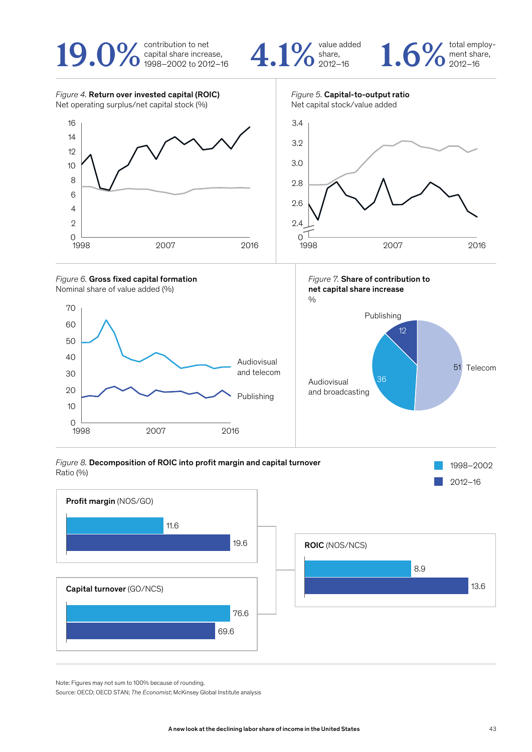![](_page_44_Figure_0.jpeg)

![](_page_44_Figure_1.jpeg)

Note: Figures may not sum to 100% because of rounding.

Source: OECD; OECD STAN; *The Economist*; McKinsey Global Institute analysis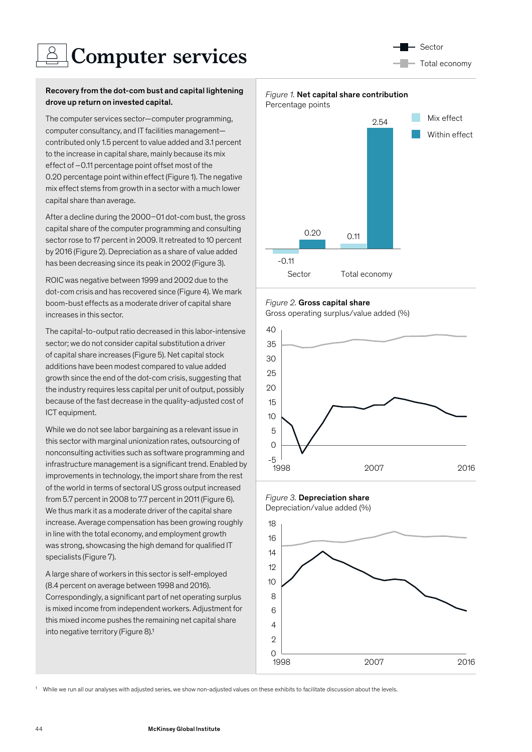# <span id="page-45-0"></span>**Computer services**

#### Recovery from the dot-com bust and capital lightening drove up return on invested capital.

The computer services sector—computer programming, computer consultancy, and IT facilities management contributed only 1.5 percent to value added and 3.1 percent to the increase in capital share, mainly because its mix effect of –0.11 percentage point offset most of the 0.20 percentage point within effect (Figure 1). The negative mix effect stems from growth in a sector with a much lower capital share than average.

After a decline during the 2000–01 dot-com bust, the gross capital share of the computer programming and consulting sector rose to 17 percent in 2009. It retreated to 10 percent by 2016 (Figure 2). Depreciation as a share of value added has been decreasing since its peak in 2002 (Figure 3).

ROIC was negative between 1999 and 2002 due to the dot-com crisis and has recovered since (Figure 4). We mark boom-bust effects as a moderate driver of capital share increases in this sector.

The capital-to-output ratio decreased in this labor-intensive sector; we do not consider capital substitution a driver of capital share increases (Figure 5). Net capital stock additions have been modest compared to value added growth since the end of the dot-com crisis, suggesting that the industry requires less capital per unit of output, possibly because of the fast decrease in the quality-adjusted cost of ICT equipment.

While we do not see labor bargaining as a relevant issue in this sector with marginal unionization rates, outsourcing of nonconsulting activities such as software programming and infrastructure management is a significant trend. Enabled by improvements in technology, the import share from the rest of the world in terms of sectoral US gross output increased from 5.7 percent in 2008 to 7.7 percent in 2011 (Figure 6). We thus mark it as a moderate driver of the capital share increase. Average compensation has been growing roughly in line with the total economy, and employment growth was strong, showcasing the high demand for qualified IT specialists (Figure 7).

A large share of workers in this sector is self-employed (8.4 percent on average between 1998 and 2016). Correspondingly, a significant part of net operating surplus is mixed income from independent workers. Adjustment for this mixed income pushes the remaining net capital share into negative territory (Figure 8).1

![](_page_45_Figure_8.jpeg)

- Sector

Total economy

*Figure 2.* Gross capital share

Gross operating surplus/value added (%)

![](_page_45_Figure_11.jpeg)

*Figure 3.* Depreciation share

Depreciation/value added (%)

![](_page_45_Figure_14.jpeg)

<sup>1</sup> While we run all our analyses with adjusted series, we show non-adjusted values on these exhibits to facilitate discussion about the levels.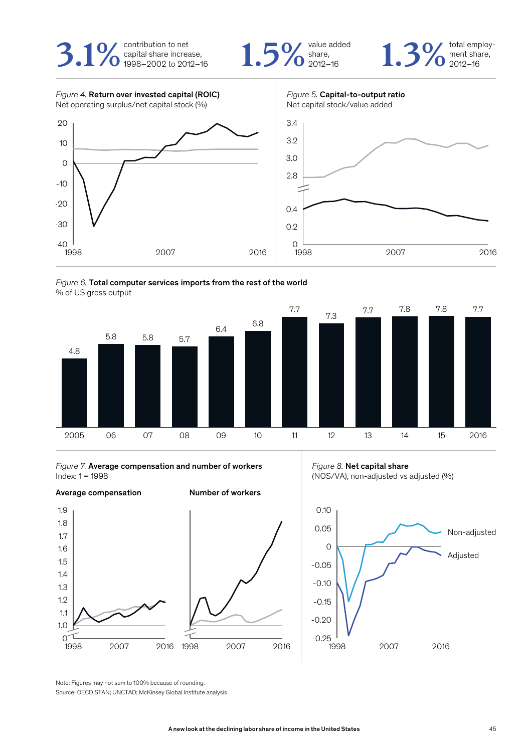![](_page_46_Figure_0.jpeg)

![](_page_46_Figure_1.jpeg)

![](_page_46_Figure_2.jpeg)

*Figure 7.* Average compensation and number of workers Index: 1 = 1998

*Figure 8.* Net capital share (NOS/VA), non-adjusted vs adjusted (%)

![](_page_46_Figure_5.jpeg)

Note: Figures may not sum to 100% because of rounding.

Source: OECD STAN; UNCTAD; McKinsey Global Institute analysis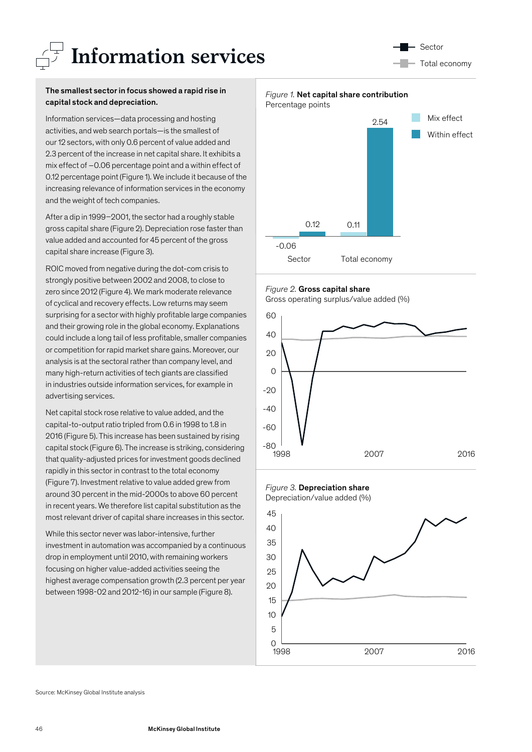# <span id="page-47-0"></span>**Information services**

![](_page_47_Figure_1.jpeg)

#### The smallest sector in focus showed a rapid rise in capital stock and depreciation.

Information services—data processing and hosting activities, and web search portals—is the smallest of our 12 sectors, with only 0.6 percent of value added and 2.3 percent of the increase in net capital share. It exhibits a mix effect of –0.06 percentage point and a within effect of 0.12 percentage point (Figure 1). We include it because of the increasing relevance of information services in the economy and the weight of tech companies.

After a dip in 1999–2001, the sector had a roughly stable gross capital share (Figure 2). Depreciation rose faster than value added and accounted for 45 percent of the gross capital share increase (Figure 3).

ROIC moved from negative during the dot-com crisis to strongly positive between 2002 and 2008, to close to zero since 2012 (Figure 4). We mark moderate relevance of cyclical and recovery effects. Low returns may seem surprising for a sector with highly profitable large companies and their growing role in the global economy. Explanations could include a long tail of less profitable, smaller companies or competition for rapid market share gains. Moreover, our analysis is at the sectoral rather than company level, and many high-return activities of tech giants are classified in industries outside information services, for example in advertising services.

Net capital stock rose relative to value added, and the capital-to-output ratio tripled from 0.6 in 1998 to 1.8 in 2016 (Figure 5). This increase has been sustained by rising capital stock (Figure 6). The increase is striking, considering that quality-adjusted prices for investment goods declined rapidly in this sector in contrast to the total economy (Figure 7). Investment relative to value added grew from around 30 percent in the mid-2000s to above 60 percent in recent years. We therefore list capital substitution as the most relevant driver of capital share increases in this sector.

While this sector never was labor-intensive, further investment in automation was accompanied by a continuous drop in employment until 2010, with remaining workers focusing on higher value-added activities seeing the highest average compensation growth (2.3 percent per year between 1998-02 and 2012-16) in our sample (Figure 8).

![](_page_47_Figure_8.jpeg)

*Figure 2.* Gross capital share

Gross operating surplus/value added (%)

![](_page_47_Figure_11.jpeg)

*Figure 3.* Depreciation share

Depreciation/value added (%)

![](_page_47_Figure_14.jpeg)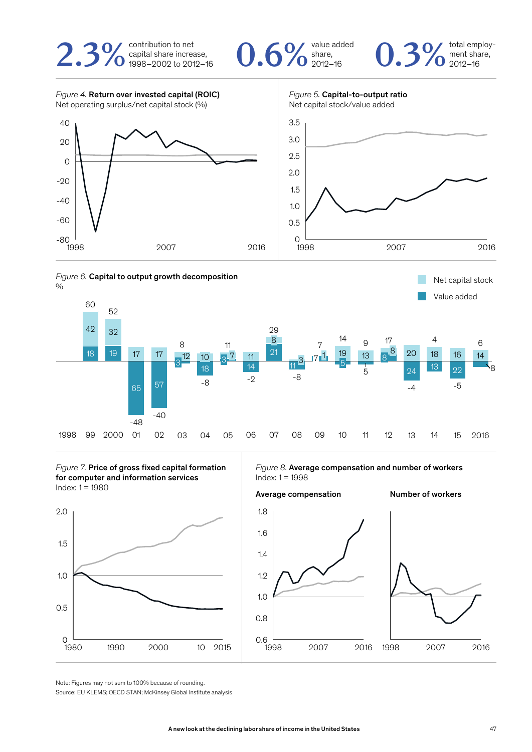![](_page_48_Picture_0.jpeg)

#### *Figure 6.* Capital to output growth decomposition %

![](_page_48_Figure_2.jpeg)

![](_page_48_Figure_3.jpeg)

![](_page_48_Figure_4.jpeg)

![](_page_48_Figure_5.jpeg)

![](_page_48_Figure_6.jpeg)

Note: Figures may not sum to 100% because of rounding.

Source: EU KLEMS; OECD STAN; McKinsey Global Institute analysis

Net capital stock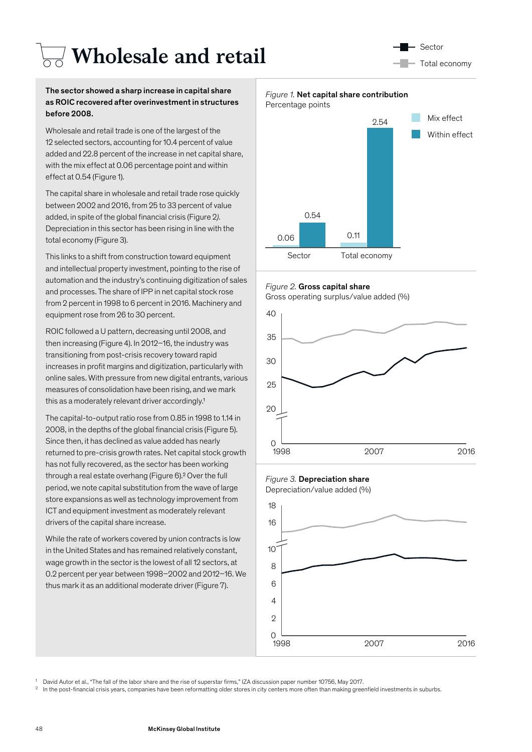# <span id="page-49-0"></span>**Wholesale and retail**

#### The sector showed a sharp increase in capital share as ROIC recovered after overinvestment in structures before 2008.

Wholesale and retail trade is one of the largest of the 12 selected sectors, accounting for 10.4 percent of value added and 22.8 percent of the increase in net capital share, with the mix effect at 0.06 percentage point and within effect at 0.54 (Figure 1)*.* 

The capital share in wholesale and retail trade rose quickly between 2002 and 2016, from 25 to 33 percent of value added, in spite of the global financial crisis (Figure 2*).* Depreciation in this sector has been rising in line with the total economy (Figure 3).

This links to a shift from construction toward equipment and intellectual property investment, pointing to the rise of automation and the industry's continuing digitization of sales and processes. The share of IPP in net capital stock rose from 2 percent in 1998 to 6 percent in 2016. Machinery and equipment rose from 26 to 30 percent.

ROIC followed a U pattern, decreasing until 2008, and then increasing (Figure 4). In 2012–16, the industry was transitioning from post-crisis recovery toward rapid increases in profit margins and digitization, particularly with online sales. With pressure from new digital entrants, various measures of consolidation have been rising, and we mark this as a moderately relevant driver accordingly.<sup>1</sup>

The capital-to-output ratio rose from 0.85 in 1998 to 1.14 in 2008, in the depths of the global financial crisis (Figure 5). Since then, it has declined as value added has nearly returned to pre-crisis growth rates. Net capital stock growth has not fully recovered, as the sector has been working through a real estate overhang (Figure 6).2 Over the full period, we note capital substitution from the wave of large store expansions as well as technology improvement from ICT and equipment investment as moderately relevant drivers of the capital share increase.

While the rate of workers covered by union contracts is low in the United States and has remained relatively constant, wage growth in the sector is the lowest of all 12 sectors, at 0.2 percent per year between 1998–2002 and 2012–16. We thus mark it as an additional moderate driver (Figure 7).

![](_page_49_Figure_8.jpeg)

![](_page_49_Figure_9.jpeg)

- Sector

Total economy

*Figure 2.* Gross capital share

Gross operating surplus/value added (%)

![](_page_49_Figure_12.jpeg)

*Figure 3.* Depreciation share

Depreciation/value added (%)

![](_page_49_Figure_15.jpeg)

<sup>1</sup> David Autor et al., "The fall of the labor share and the rise of superstar firms," IZA discussion paper number 10756, May 2017.

<sup>2</sup> In the post-financial crisis years, companies have been reformatting older stores in city centers more often than making greenfield investments in suburbs.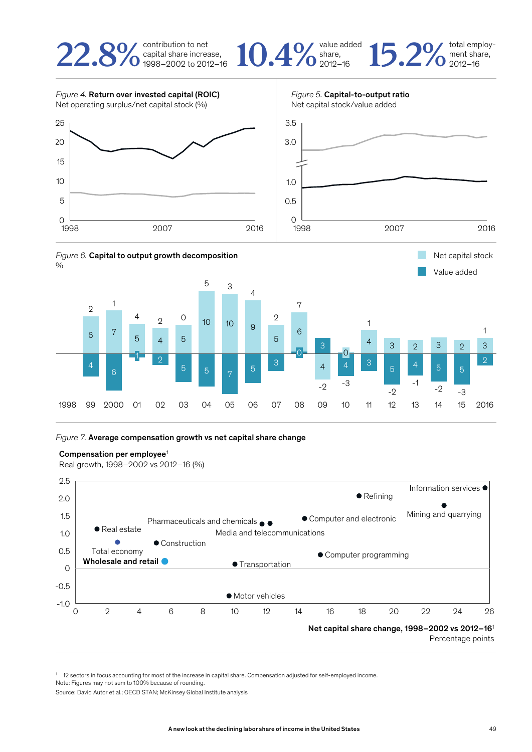![](_page_50_Figure_0.jpeg)

![](_page_50_Figure_1.jpeg)

![](_page_50_Figure_2.jpeg)

#### *Figure 7.* Average compensation growth vs net capital share change

#### Compensation per employee<sup>1</sup>

Real growth, 1998–2002 vs 2012–16 (%)

![](_page_50_Figure_6.jpeg)

<sup>1</sup> 12 sectors in focus accounting for most of the increase in capital share. Compensation adjusted for self-employed income.

Note: Figures may not sum to 100% because of rounding.

Source: David Autor et al.; OECD STAN; McKinsey Global Institute analysis

Net capital stock Value added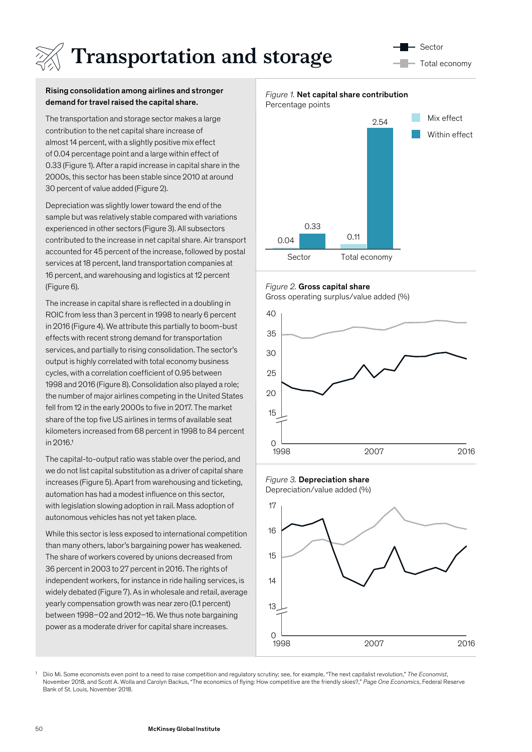# <span id="page-51-0"></span>**Transportation and storage**

![](_page_51_Figure_1.jpeg)

#### Rising consolidation among airlines and stronger demand for travel raised the capital share.

The transportation and storage sector makes a large contribution to the net capital share increase of almost 14 percent, with a slightly positive mix effect of 0.04 percentage point and a large within effect of 0.33 (Figure 1). After a rapid increase in capital share in the 2000s, this sector has been stable since 2010 at around 30 percent of value added (Figure 2).

Depreciation was slightly lower toward the end of the sample but was relatively stable compared with variations experienced in other sectors (Figure 3). All subsectors contributed to the increase in net capital share. Air transport accounted for 45 percent of the increase, followed by postal services at 18 percent, land transportation companies at 16 percent, and warehousing and logistics at 12 percent (Figure 6).

The increase in capital share is reflected in a doubling in ROIC from less than 3 percent in 1998 to nearly 6 percent in 2016 (Figure 4). We attribute this partially to boom-bust effects with recent strong demand for transportation services, and partially to rising consolidation. The sector's output is highly correlated with total economy business cycles, with a correlation coefficient of 0.95 between 1998 and 2016 (Figure 8). Consolidation also played a role; the number of major airlines competing in the United States fell from 12 in the early 2000s to five in 2017. The market share of the top five US airlines in terms of available seat kilometers increased from 68 percent in 1998 to 84 percent in 2016.1

The capital-to-output ratio was stable over the period, and we do not list capital substitution as a driver of capital share increases (Figure 5). Apart from warehousing and ticketing, automation has had a modest influence on this sector, with legislation slowing adoption in rail. Mass adoption of autonomous vehicles has not yet taken place.

While this sector is less exposed to international competition than many others, labor's bargaining power has weakened. The share of workers covered by unions decreased from 36 percent in 2003 to 27 percent in 2016. The rights of independent workers, for instance in ride hailing services, is widely debated (Figure 7). As in wholesale and retail, average yearly compensation growth was near zero (0.1 percent) between 1998–02 and 2012–16. We thus note bargaining power as a moderate driver for capital share increases.

#### *Figure 1.* Net capital share contribution Percentage points

![](_page_51_Figure_9.jpeg)

*Figure 2.* Gross capital share

Gross operating surplus/value added (%)

![](_page_51_Figure_12.jpeg)

*Figure 3.* Depreciation share

![](_page_51_Figure_14.jpeg)

<sup>1</sup> Diio Mi. Some economists even point to a need to raise competition and regulatory scrutiny; see, for example, "The next capitalist revolution," *The Economist*, November 2018, and Scott A. Wolla and Carolyn Backus, "The economics of flying: How competitive are the friendly skies?," *Page One Economics*, Federal Reserve Bank of St. Louis, November 2018.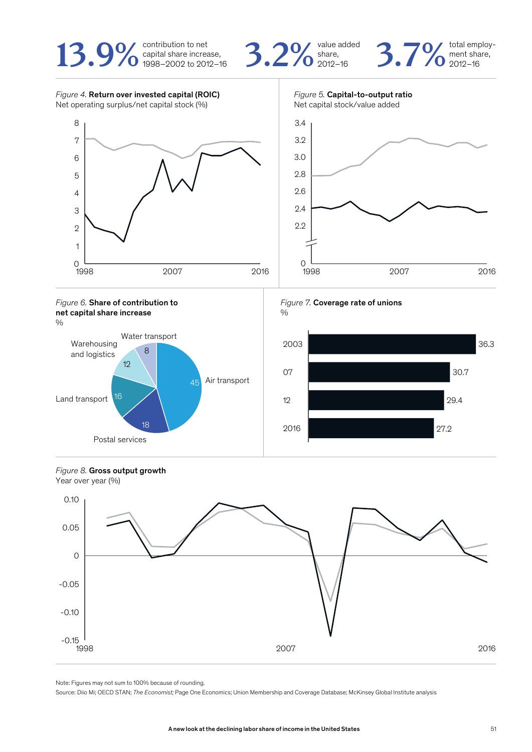![](_page_52_Picture_0.jpeg)

Postal services

*Figure 8.* Gross output growth Year over year (%)

![](_page_52_Figure_3.jpeg)

Note: Figures may not sum to 100% because of rounding.

Source: Diio Mi; OECD STAN; *The Economist;* Page One Economics; Union Membership and Coverage Database; McKinsey Global Institute analysis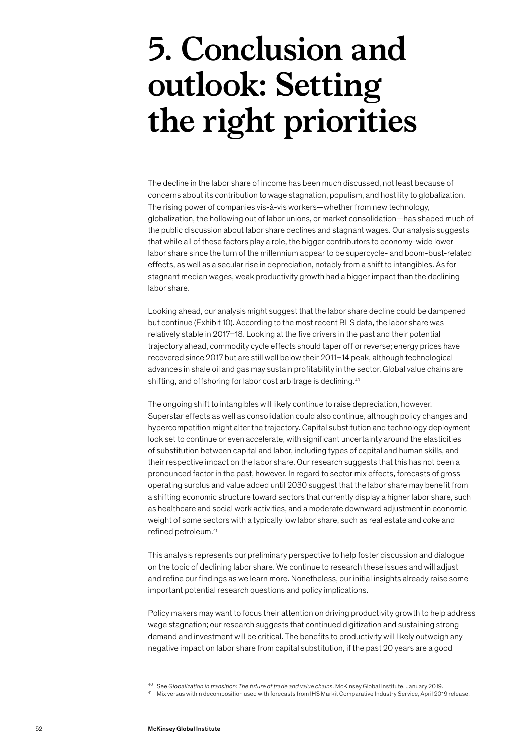# <span id="page-53-0"></span>**5. Conclusion and outlook: Setting the right priorities**

The decline in the labor share of income has been much discussed, not least because of concerns about its contribution to wage stagnation, populism, and hostility to globalization. The rising power of companies vis-à-vis workers—whether from new technology, globalization, the hollowing out of labor unions, or market consolidation—has shaped much of the public discussion about labor share declines and stagnant wages. Our analysis suggests that while all of these factors play a role, the bigger contributors to economy-wide lower labor share since the turn of the millennium appear to be supercycle- and boom-bust-related effects, as well as a secular rise in depreciation, notably from a shift to intangibles. As for stagnant median wages, weak productivity growth had a bigger impact than the declining labor share.

Looking ahead, our analysis might suggest that the labor share decline could be dampened but continue (Exhibit 10). According to the most recent BLS data, the labor share was relatively stable in 2017–18. Looking at the five drivers in the past and their potential trajectory ahead, commodity cycle effects should taper off or reverse; energy prices have recovered since 2017 but are still well below their 2011–14 peak, although technological advances in shale oil and gas may sustain profitability in the sector. Global value chains are shifting, and offshoring for labor cost arbitrage is declining.<sup>40</sup>

The ongoing shift to intangibles will likely continue to raise depreciation, however. Superstar effects as well as consolidation could also continue, although policy changes and hypercompetition might alter the trajectory. Capital substitution and technology deployment look set to continue or even accelerate, with significant uncertainty around the elasticities of substitution between capital and labor, including types of capital and human skills, and their respective impact on the labor share. Our research suggests that this has not been a pronounced factor in the past, however. In regard to sector mix effects, forecasts of gross operating surplus and value added until 2030 suggest that the labor share may benefit from a shifting economic structure toward sectors that currently display a higher labor share, such as healthcare and social work activities, and a moderate downward adjustment in economic weight of some sectors with a typically low labor share, such as real estate and coke and refined petroleum.41

This analysis represents our preliminary perspective to help foster discussion and dialogue on the topic of declining labor share. We continue to research these issues and will adjust and refine our findings as we learn more. Nonetheless, our initial insights already raise some important potential research questions and policy implications.

Policy makers may want to focus their attention on driving productivity growth to help address wage stagnation; our research suggests that continued digitization and sustaining strong demand and investment will be critical. The benefits to productivity will likely outweigh any negative impact on labor share from capital substitution, if the past 20 years are a good

<sup>40</sup> See *Globalization in transition: The future of trade and value chains,* McKinsey Global Institute, January 2019.

<sup>41</sup> Mix versus within decomposition used with forecasts from IHS Markit Comparative Industry Service, April 2019 release.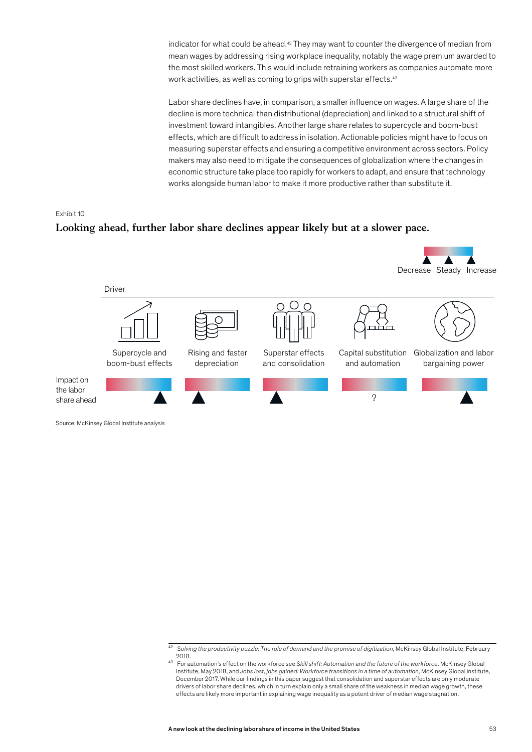indicator for what could be ahead.<sup>42</sup> They may want to counter the divergence of median from mean wages by addressing rising workplace inequality, notably the wage premium awarded to the most skilled workers. This would include retraining workers as companies automate more work activities, as well as coming to grips with superstar effects.<sup>43</sup>

Labor share declines have, in comparison, a smaller influence on wages. A large share of the decline is more technical than distributional (depreciation) and linked to a structural shift of investment toward intangibles. Another large share relates to supercycle and boom-bust effects, which are difficult to address in isolation. Actionable policies might have to focus on measuring superstar effects and ensuring a competitive environment across sectors. Policy makers may also need to mitigate the consequences of globalization where the changes in economic structure take place too rapidly for workers to adapt, and ensure that technology works alongside human labor to make it more productive rather than substitute it.

## Exhibit 10 **Looking ahead, further labor share declines appear likely but at a slower pace.**

![](_page_54_Figure_3.jpeg)

<sup>&</sup>lt;sup>42</sup> Solving the productivity puzzle: The role of demand and the promise of digitization, McKinsey Global Institute, February 2018.

<sup>43</sup> For automation's effect on the workforce see *Skill shift: Automation and the future of the workforce*, McKinsey Global Institute, May 2018, and *Jobs lost, jobs gained: Workforce transitions in a time of automation*, McKinsey Global institute, December 2017. While our findings in this paper suggest that consolidation and superstar effects are only moderate drivers of labor share declines, which in turn explain only a small share of the weakness in median wage growth, these effects are likely more important in explaining wage inequality as a potent driver of median wage stagnation.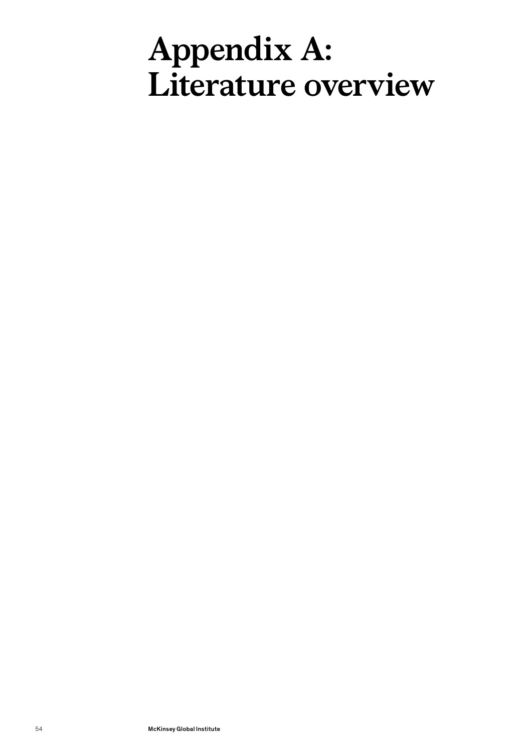# <span id="page-55-0"></span>**Appendix A: Literature overview**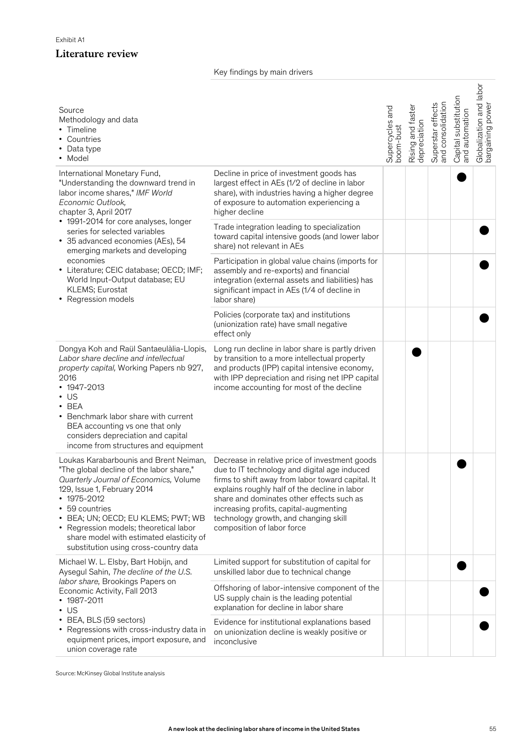Exhibit A1

### **Literature review**

#### Key findings by main drivers

| Source<br>Methodology and data<br>• Timeline<br>• Countries<br>• Data type<br>• Model                                                                                                                                                                                                                                                                                                                                                        |                                                                                                                                                                                                                                                                                                                                                                    | Supercycles and<br>boom-bust | Rising and faster<br>depreciation | Superstar effects<br>and consolidation | Capital substitution<br>and automation | Globalization and labor<br>bargaining power |
|----------------------------------------------------------------------------------------------------------------------------------------------------------------------------------------------------------------------------------------------------------------------------------------------------------------------------------------------------------------------------------------------------------------------------------------------|--------------------------------------------------------------------------------------------------------------------------------------------------------------------------------------------------------------------------------------------------------------------------------------------------------------------------------------------------------------------|------------------------------|-----------------------------------|----------------------------------------|----------------------------------------|---------------------------------------------|
| International Monetary Fund,<br>"Understanding the downward trend in<br>labor income shares," IMF World<br>Economic Outlook,<br>chapter 3, April 2017<br>• 1991-2014 for core analyses, longer<br>series for selected variables<br>• 35 advanced economies (AEs), 54<br>emerging markets and developing<br>economies<br>• Literature; CEIC database; OECD; IMF;<br>World Input-Output database; EU<br>KLEMS; Eurostat<br>• Regression models | Decline in price of investment goods has<br>largest effect in AEs (1/2 of decline in labor<br>share), with industries having a higher degree<br>of exposure to automation experiencing a<br>higher decline                                                                                                                                                         |                              |                                   |                                        |                                        |                                             |
|                                                                                                                                                                                                                                                                                                                                                                                                                                              | Trade integration leading to specialization<br>toward capital intensive goods (and lower labor<br>share) not relevant in AEs                                                                                                                                                                                                                                       |                              |                                   |                                        |                                        |                                             |
|                                                                                                                                                                                                                                                                                                                                                                                                                                              | Participation in global value chains (imports for<br>assembly and re-exports) and financial<br>integration (external assets and liabilities) has<br>significant impact in AEs (1/4 of decline in<br>labor share)                                                                                                                                                   |                              |                                   |                                        |                                        |                                             |
|                                                                                                                                                                                                                                                                                                                                                                                                                                              | Policies (corporate tax) and institutions<br>(unionization rate) have small negative<br>effect only                                                                                                                                                                                                                                                                |                              |                                   |                                        |                                        |                                             |
| Dongya Koh and Raül Santaeulàlia-Llopis,<br>Labor share decline and intellectual<br>property capital, Working Papers nb 927,<br>2016<br>$• 1947 - 2013$<br>$\cdot$ US<br>$\cdot$ BEA<br>Benchmark labor share with current<br>BEA accounting vs one that only<br>considers depreciation and capital<br>income from structures and equipment                                                                                                  | Long run decline in labor share is partly driven<br>by transition to a more intellectual property<br>and products (IPP) capital intensive economy,<br>with IPP depreciation and rising net IPP capital<br>income accounting for most of the decline                                                                                                                |                              |                                   |                                        |                                        |                                             |
| Loukas Karabarbounis and Brent Neiman,<br>"The global decline of the labor share,"<br>Quarterly Journal of Economics, Volume<br>129, Issue 1, February 2014<br>$• 1975 - 2012$<br>• 59 countries<br>• BEA; UN; OECD; EU KLEMS; PWT; WB<br>• Regression models; theoretical labor<br>share model with estimated elasticity of<br>substitution using cross-country data                                                                        | Decrease in relative price of investment goods<br>due to IT technology and digital age induced<br>firms to shift away from labor toward capital. It<br>explains roughly half of the decline in labor<br>share and dominates other effects such as<br>increasing profits, capital-augmenting<br>technology growth, and changing skill<br>composition of labor force |                              |                                   |                                        |                                        |                                             |
| Michael W. L. Elsby, Bart Hobijn, and<br>Aysegul Sahin, The decline of the U.S.<br>labor share, Brookings Papers on                                                                                                                                                                                                                                                                                                                          | Limited support for substitution of capital for<br>unskilled labor due to technical change                                                                                                                                                                                                                                                                         |                              |                                   |                                        |                                        |                                             |
| Economic Activity, Fall 2013<br>$• 1987 - 2011$<br>$\cdot$ US                                                                                                                                                                                                                                                                                                                                                                                | Offshoring of labor-intensive component of the<br>US supply chain is the leading potential<br>explanation for decline in labor share                                                                                                                                                                                                                               |                              |                                   |                                        |                                        |                                             |
| • BEA, BLS (59 sectors)<br>• Regressions with cross-industry data in<br>equipment prices, import exposure, and<br>union coverage rate                                                                                                                                                                                                                                                                                                        | Evidence for institutional explanations based<br>on unionization decline is weakly positive or<br>inconclusive                                                                                                                                                                                                                                                     |                              |                                   |                                        |                                        |                                             |

Source: McKinsey Global Institute analysis

 $\mathbf{L}$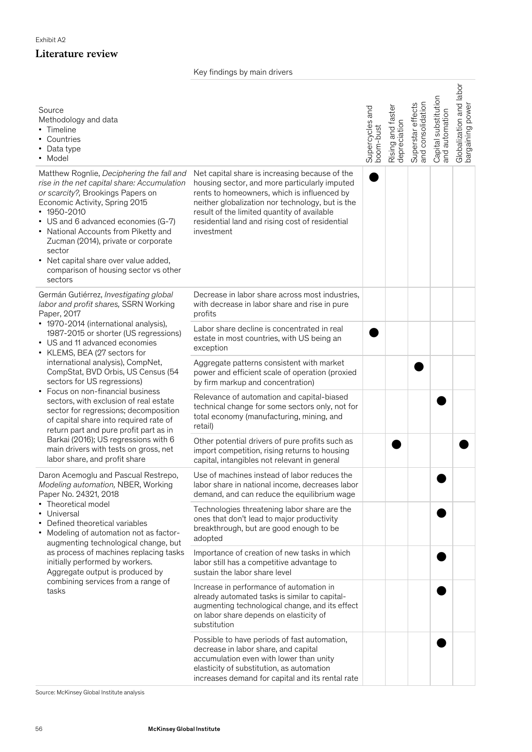Exhibit A2

### **Literature review**

Key findings by main drivers

| Source<br>Methodology and data<br>• Timeline<br>• Countries<br>Data type<br>• Model                                                                                                                                                                                                                                                                                                                             |                                                                                                                                                                                                                                                                                                                    | Supercycles and<br>boom-bust | Rising and faster<br>depreciation | Superstar effects<br>and consolidation | Capital substitution<br>and automation | Globalization and labor<br>bargaining power |
|-----------------------------------------------------------------------------------------------------------------------------------------------------------------------------------------------------------------------------------------------------------------------------------------------------------------------------------------------------------------------------------------------------------------|--------------------------------------------------------------------------------------------------------------------------------------------------------------------------------------------------------------------------------------------------------------------------------------------------------------------|------------------------------|-----------------------------------|----------------------------------------|----------------------------------------|---------------------------------------------|
| Matthew Rognlie, Deciphering the fall and<br>rise in the net capital share: Accumulation<br>or scarcity?, Brookings Papers on<br>Economic Activity, Spring 2015<br>$• 1950 - 2010$<br>• US and 6 advanced economies (G-7)<br>• National Accounts from Piketty and<br>Zucman (2014), private or corporate<br>sector<br>• Net capital share over value added,<br>comparison of housing sector vs other<br>sectors | Net capital share is increasing because of the<br>housing sector, and more particularly imputed<br>rents to homeowners, which is influenced by<br>neither globalization nor technology, but is the<br>result of the limited quantity of available<br>residential land and rising cost of residential<br>investment |                              |                                   |                                        |                                        |                                             |
| Germán Gutiérrez, Investigating global<br>labor and profit shares, SSRN Working<br>Paper, 2017                                                                                                                                                                                                                                                                                                                  | Decrease in labor share across most industries,<br>with decrease in labor share and rise in pure<br>profits                                                                                                                                                                                                        |                              |                                   |                                        |                                        |                                             |
| • 1970-2014 (international analysis),<br>1987-2015 or shorter (US regressions)<br>• US and 11 advanced economies<br>• KLEMS, BEA (27 sectors for<br>international analysis), CompNet,<br>CompStat, BVD Orbis, US Census (54<br>sectors for US regressions)                                                                                                                                                      | Labor share decline is concentrated in real<br>estate in most countries, with US being an<br>exception                                                                                                                                                                                                             |                              |                                   |                                        |                                        |                                             |
|                                                                                                                                                                                                                                                                                                                                                                                                                 | Aggregate patterns consistent with market<br>power and efficient scale of operation (proxied<br>by firm markup and concentration)                                                                                                                                                                                  |                              |                                   |                                        |                                        |                                             |
| Focus on non-financial business<br>sectors, with exclusion of real estate<br>sector for regressions; decomposition<br>of capital share into required rate of<br>return part and pure profit part as in                                                                                                                                                                                                          | Relevance of automation and capital-biased<br>technical change for some sectors only, not for<br>total economy (manufacturing, mining, and<br>retail)                                                                                                                                                              |                              |                                   |                                        |                                        |                                             |
| Barkai (2016); US regressions with 6<br>main drivers with tests on gross, net<br>labor share, and profit share                                                                                                                                                                                                                                                                                                  | Other potential drivers of pure profits such as<br>import competition, rising returns to housing<br>capital, intangibles not relevant in general                                                                                                                                                                   |                              |                                   |                                        |                                        |                                             |
| Daron Acemoglu and Pascual Restrepo,<br>Modeling automation, NBER, Working<br>Paper No. 24321, 2018                                                                                                                                                                                                                                                                                                             | Use of machines instead of labor reduces the<br>labor share in national income, decreases labor<br>demand, and can reduce the equilibrium wage                                                                                                                                                                     |                              |                                   |                                        |                                        |                                             |
| Theoretical model<br>Universal<br>Defined theoretical variables<br>$\bullet$<br>Modeling of automation not as factor-<br>$\bullet$<br>augmenting technological change, but                                                                                                                                                                                                                                      | Technologies threatening labor share are the<br>ones that don't lead to major productivity<br>breakthrough, but are good enough to be<br>adopted                                                                                                                                                                   |                              |                                   |                                        |                                        |                                             |
| as process of machines replacing tasks<br>initially performed by workers.<br>Aggregate output is produced by                                                                                                                                                                                                                                                                                                    | Importance of creation of new tasks in which<br>labor still has a competitive advantage to<br>sustain the labor share level                                                                                                                                                                                        |                              |                                   |                                        |                                        |                                             |
| combining services from a range of<br>tasks                                                                                                                                                                                                                                                                                                                                                                     | Increase in performance of automation in<br>already automated tasks is similar to capital-<br>augmenting technological change, and its effect<br>on labor share depends on elasticity of<br>substitution                                                                                                           |                              |                                   |                                        |                                        |                                             |
|                                                                                                                                                                                                                                                                                                                                                                                                                 | Possible to have periods of fast automation,<br>decrease in labor share, and capital<br>accumulation even with lower than unity<br>elasticity of substitution, as automation<br>increases demand for capital and its rental rate                                                                                   |                              |                                   |                                        |                                        |                                             |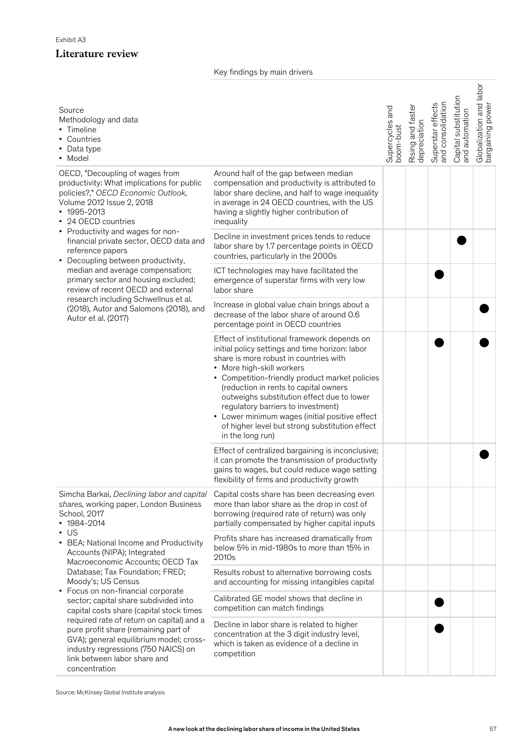## **Literature review**

#### Key findings by main drivers

| Source<br>Methodology and data<br>• Timeline<br>Countries<br>Data type<br>• Model                                                                                                                                                                                                                                                                                                                                                                                                                                                                             |                                                                                                                                                                                                                                                                                                                                                                                                                                                                               | Supercycles and<br>boom-bust | Rising and faster<br>depreciation | Superstar effects<br>and consolidation | Capital substitution<br>and automation | Globalization and labor<br>bargaining power |
|---------------------------------------------------------------------------------------------------------------------------------------------------------------------------------------------------------------------------------------------------------------------------------------------------------------------------------------------------------------------------------------------------------------------------------------------------------------------------------------------------------------------------------------------------------------|-------------------------------------------------------------------------------------------------------------------------------------------------------------------------------------------------------------------------------------------------------------------------------------------------------------------------------------------------------------------------------------------------------------------------------------------------------------------------------|------------------------------|-----------------------------------|----------------------------------------|----------------------------------------|---------------------------------------------|
| OECD, "Decoupling of wages from<br>productivity: What implications for public<br>policies?," OECD Economic Outlook,<br>Volume 2012 Issue 2, 2018<br>$• 1995 - 2013$<br>24 OECD countries<br>• Productivity and wages for non-<br>financial private sector, OECD data and<br>reference papers<br>• Decoupling between productivity,<br>median and average compensation;<br>primary sector and housing excluded;<br>review of recent OECD and external<br>research including Schwellnus et al.<br>(2018), Autor and Salomons (2018), and<br>Autor et al. (2017) | Around half of the gap between median<br>compensation and productivity is attributed to<br>labor share decline, and half to wage inequality<br>in average in 24 OECD countries, with the US<br>having a slightly higher contribution of<br>inequality                                                                                                                                                                                                                         |                              |                                   |                                        |                                        |                                             |
|                                                                                                                                                                                                                                                                                                                                                                                                                                                                                                                                                               | Decline in investment prices tends to reduce<br>labor share by 1.7 percentage points in OECD<br>countries, particularly in the 2000s                                                                                                                                                                                                                                                                                                                                          |                              |                                   |                                        |                                        |                                             |
|                                                                                                                                                                                                                                                                                                                                                                                                                                                                                                                                                               | ICT technologies may have facilitated the<br>emergence of superstar firms with very low<br>labor share                                                                                                                                                                                                                                                                                                                                                                        |                              |                                   |                                        |                                        |                                             |
|                                                                                                                                                                                                                                                                                                                                                                                                                                                                                                                                                               | Increase in global value chain brings about a<br>decrease of the labor share of around 0.6<br>percentage point in OECD countries                                                                                                                                                                                                                                                                                                                                              |                              |                                   |                                        |                                        |                                             |
|                                                                                                                                                                                                                                                                                                                                                                                                                                                                                                                                                               | Effect of institutional framework depends on<br>initial policy settings and time horizon: labor<br>share is more robust in countries with<br>• More high-skill workers<br>• Competition-friendly product market policies<br>(reduction in rents to capital owners<br>outweighs substitution effect due to lower<br>regulatory barriers to investment)<br>• Lower minimum wages (initial positive effect<br>of higher level but strong substitution effect<br>in the long run) |                              |                                   |                                        |                                        |                                             |
|                                                                                                                                                                                                                                                                                                                                                                                                                                                                                                                                                               | Effect of centralized bargaining is inconclusive;<br>it can promote the transmission of productivity<br>gains to wages, but could reduce wage setting<br>flexibility of firms and productivity growth                                                                                                                                                                                                                                                                         |                              |                                   |                                        |                                        |                                             |
| Simcha Barkai, Declining labor and capital<br>shares, working paper, London Business<br>School, 2017<br>$• 1984 - 2014$                                                                                                                                                                                                                                                                                                                                                                                                                                       | Capital costs share has been decreasing even<br>more than labor share as the drop in cost of<br>borrowing (required rate of return) was only<br>partially compensated by higher capital inputs                                                                                                                                                                                                                                                                                |                              |                                   |                                        |                                        |                                             |
| US<br>BEA; National Income and Productivity<br>٠<br>Accounts (NIPA); Integrated<br>Macroeconomic Accounts; OECD Tax                                                                                                                                                                                                                                                                                                                                                                                                                                           | Profits share has increased dramatically from<br>below 5% in mid-1980s to more than 15% in<br>2010s                                                                                                                                                                                                                                                                                                                                                                           |                              |                                   |                                        |                                        |                                             |
| Database; Tax Foundation; FRED;<br>Moody's; US Census                                                                                                                                                                                                                                                                                                                                                                                                                                                                                                         | Results robust to alternative borrowing costs<br>and accounting for missing intangibles capital                                                                                                                                                                                                                                                                                                                                                                               |                              |                                   |                                        |                                        |                                             |
| • Focus on non-financial corporate<br>sector; capital share subdivided into<br>capital costs share (capital stock times                                                                                                                                                                                                                                                                                                                                                                                                                                       | Calibrated GE model shows that decline in<br>competition can match findings                                                                                                                                                                                                                                                                                                                                                                                                   |                              |                                   |                                        |                                        |                                             |
| required rate of return on capital) and a<br>pure profit share (remaining part of<br>GVA); general equilibrium model; cross-<br>industry regressions (750 NAICS) on<br>link between labor share and<br>concentration                                                                                                                                                                                                                                                                                                                                          | Decline in labor share is related to higher<br>concentration at the 3 digit industry level,<br>which is taken as evidence of a decline in<br>competition                                                                                                                                                                                                                                                                                                                      |                              |                                   |                                        |                                        |                                             |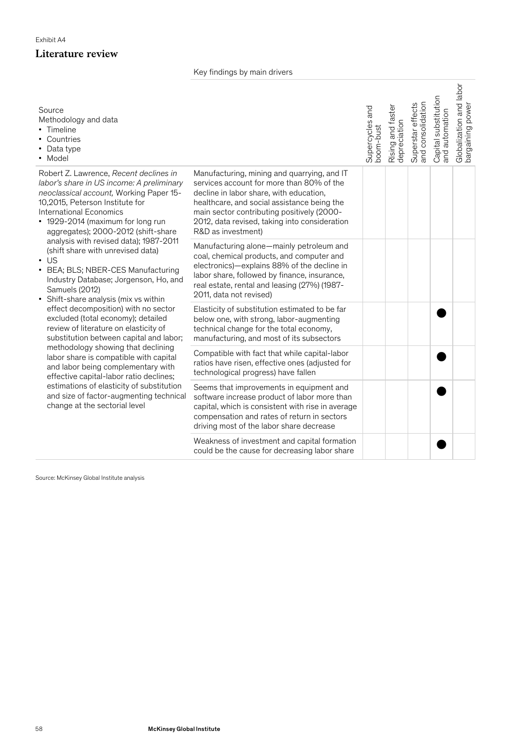Exhibit A4

### **Literature review**

### Key findings by main drivers

| Source<br>Methodology and data<br>• Timeline<br>• Countries<br>Data type<br>$\bullet$<br>• Model                                                                                                                                                                                                                                                                                                                                                                                                              |                                                                                                                                                                                                                                                                                                         | Supercycles and<br>boom-bust | Rising and faster<br>depreciation | Superstar effects<br>and consolidation | Capital substitution<br>and automation | Globalization and labor<br>bargaining power |
|---------------------------------------------------------------------------------------------------------------------------------------------------------------------------------------------------------------------------------------------------------------------------------------------------------------------------------------------------------------------------------------------------------------------------------------------------------------------------------------------------------------|---------------------------------------------------------------------------------------------------------------------------------------------------------------------------------------------------------------------------------------------------------------------------------------------------------|------------------------------|-----------------------------------|----------------------------------------|----------------------------------------|---------------------------------------------|
| Robert Z. Lawrence, Recent declines in<br>labor's share in US income: A preliminary<br>neoclassical account, Working Paper 15-<br>10,2015, Peterson Institute for<br>International Economics<br>• 1929-2014 (maximum for long run<br>aggregates); 2000-2012 (shift-share<br>analysis with revised data); 1987-2011<br>(shift share with unrevised data)<br>$\cdot$ US<br>• BEA; BLS; NBER-CES Manufacturing<br>Industry Database; Jorgenson, Ho, and<br>Samuels (2012)<br>Shift-share analysis (mix vs within | Manufacturing, mining and quarrying, and IT<br>services account for more than 80% of the<br>decline in labor share, with education,<br>healthcare, and social assistance being the<br>main sector contributing positively (2000-<br>2012, data revised, taking into consideration<br>R&D as investment) |                              |                                   |                                        |                                        |                                             |
|                                                                                                                                                                                                                                                                                                                                                                                                                                                                                                               | Manufacturing alone—mainly petroleum and<br>coal, chemical products, and computer and<br>electronics)-explains 88% of the decline in<br>labor share, followed by finance, insurance,<br>real estate, rental and leasing (27%) (1987-<br>2011, data not revised)                                         |                              |                                   |                                        |                                        |                                             |
| effect decomposition) with no sector<br>excluded (total economy); detailed<br>review of literature on elasticity of<br>substitution between capital and labor;                                                                                                                                                                                                                                                                                                                                                | Elasticity of substitution estimated to be far<br>below one, with strong, labor-augmenting<br>technical change for the total economy,<br>manufacturing, and most of its subsectors                                                                                                                      |                              |                                   |                                        |                                        |                                             |
| methodology showing that declining<br>labor share is compatible with capital<br>and labor being complementary with<br>effective capital-labor ratio declines;<br>estimations of elasticity of substitution<br>and size of factor-augmenting technical<br>change at the sectorial level                                                                                                                                                                                                                        | Compatible with fact that while capital-labor<br>ratios have risen, effective ones (adjusted for<br>technological progress) have fallen                                                                                                                                                                 |                              |                                   |                                        |                                        |                                             |
|                                                                                                                                                                                                                                                                                                                                                                                                                                                                                                               | Seems that improvements in equipment and<br>software increase product of labor more than<br>capital, which is consistent with rise in average<br>compensation and rates of return in sectors<br>driving most of the labor share decrease                                                                |                              |                                   |                                        |                                        |                                             |
|                                                                                                                                                                                                                                                                                                                                                                                                                                                                                                               | Weakness of investment and capital formation<br>could be the cause for decreasing labor share                                                                                                                                                                                                           |                              |                                   |                                        |                                        |                                             |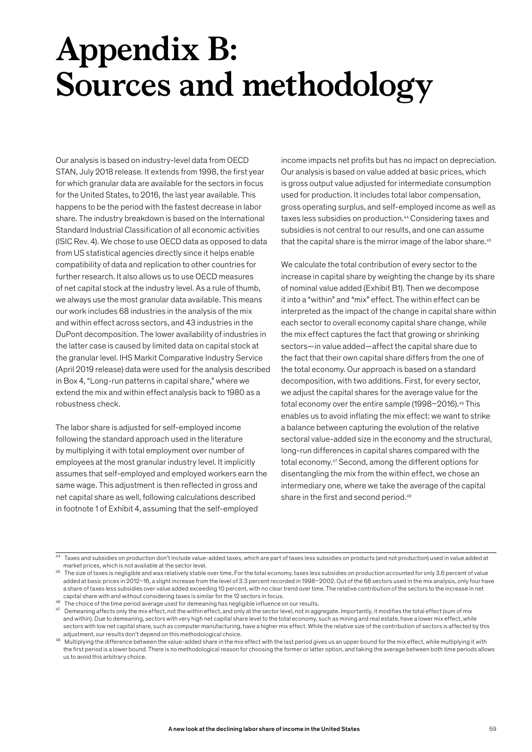# <span id="page-60-0"></span>**Appendix B: Sources and methodology**

Our analysis is based on industry-level data from OECD STAN, July 2018 release. It extends from 1998, the first year for which granular data are available for the sectors in focus for the United States, to 2016, the last year available. This happens to be the period with the fastest decrease in labor share. The industry breakdown is based on the International Standard Industrial Classification of all economic activities (ISIC Rev. 4). We chose to use OECD data as opposed to data from US statistical agencies directly since it helps enable compatibility of data and replication to other countries for further research. It also allows us to use OECD measures of net capital stock at the industry level. As a rule of thumb, we always use the most granular data available. This means our work includes 68 industries in the analysis of the mix and within effect across sectors, and 43 industries in the DuPont decomposition. The lower availability of industries in the latter case is caused by limited data on capital stock at the granular level. IHS Markit Comparative Industry Service (April 2019 release) data were used for the analysis described in Box 4, "Long-run patterns in capital share," where we extend the mix and within effect analysis back to 1980 as a robustness check.

The labor share is adjusted for self-employed income following the standard approach used in the literature by multiplying it with total employment over number of employees at the most granular industry level. It implicitly assumes that self-employed and employed workers earn the same wage. This adjustment is then reflected in gross and net capital share as well, following calculations described in footnote 1 of Exhibit 4, assuming that the self-employed

income impacts net profits but has no impact on depreciation. Our analysis is based on value added at basic prices, which is gross output value adjusted for intermediate consumption used for production. It includes total labor compensation, gross operating surplus, and self-employed income as well as taxes less subsidies on production.<sup>44</sup> Considering taxes and subsidies is not central to our results, and one can assume that the capital share is the mirror image of the labor share.<sup>45</sup>

We calculate the total contribution of every sector to the increase in capital share by weighting the change by its share of nominal value added (Exhibit B1). Then we decompose it into a "within" and "mix" effect. The within effect can be interpreted as the impact of the change in capital share within each sector to overall economy capital share change, while the mix effect captures the fact that growing or shrinking sectors—in value added—affect the capital share due to the fact that their own capital share differs from the one of the total economy. Our approach is based on a standard decomposition, with two additions. First, for every sector, we adjust the capital shares for the average value for the total economy over the entire sample (1998-2016).<sup>46</sup> This enables us to avoid inflating the mix effect: we want to strike a balance between capturing the evolution of the relative sectoral value-added size in the economy and the structural, long-run differences in capital shares compared with the total economy.47 Second, among the different options for disentangling the mix from the within effect, we chose an intermediary one, where we take the average of the capital share in the first and second period.48

Taxes and subsidies on production don't include value-added taxes, which are part of taxes less subsidies on products (and not production) used in value added at

market prices, which is not available at the sector level.<br><sup>45</sup> The size of taxes is negligible and was relatively stable over time. For the total economy, taxes less subsidies on production accounted for only 3.6 percent added at basic prices in 2012–16, a slight increase from the level of 3.3 percent recorded in 1998–2002. Out of the 68 sectors used in the mix analysis, only four have a share of taxes less subsidies over value added exceeding 10 percent, with no clear trend over time. The relative contribution of the sectors to the increase in net capital share with and without considering taxes is similar for the 12 sectors in focus.<br><sup>46</sup> The choice of the time period average used for demeaning has negligible influence on our results.

<sup>&</sup>lt;sup>47</sup> Demeaning affects only the mix effect, not the within effect, and only at the sector level, not in aggregate. Importantly, it modifies the total effect (sum of mix and within). Due to demeaning, sectors with very high net capital share level to the total economy, such as mining and real estate, have a lower mix effect, while sectors with low net capital share, such as computer manufacturing, have a higher mix effect. While the relative size of the contribution of sectors is affected by this

adjustment, our results don't depend on this methodological choice.<br><sup>48</sup> Multiplying the difference between the value-added share in the mix effect with the last period gives us an upper bound for the mix effect, while mul the first period is a lower bound. There is no methodological reason for choosing the former or latter option, and taking the average between both time periods allows us to avoid this arbitrary choice.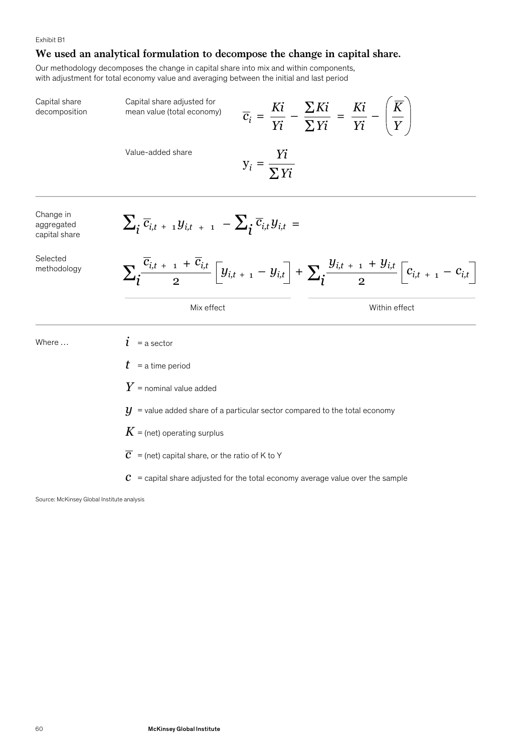Exhibit B1

### **We used an analytical formulation to decompose the change in capital share.**

Our methodology decomposes the change in capital share into mix and within components, with adjustment for total economy value and averaging between the initial and last period

![](_page_61_Figure_3.jpeg)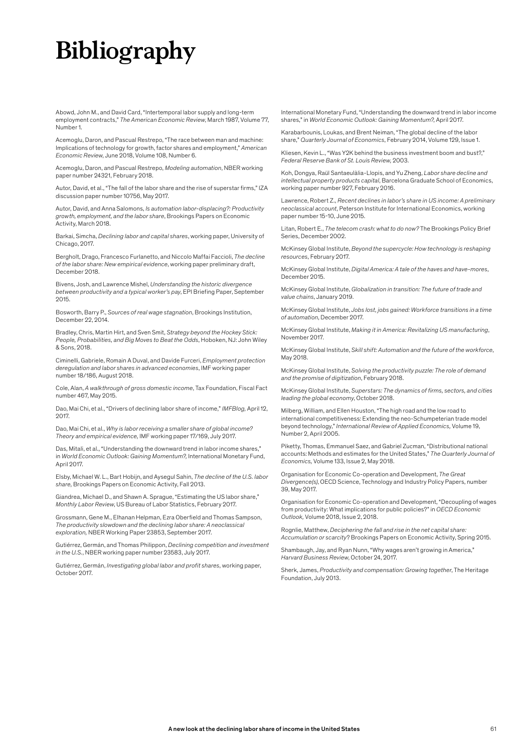# **Bibliography**

Abowd, John M., and David Card, "Intertemporal labor supply and long-term employment contracts," *The American Economic Review*, March 1987, Volume 77, Number 1.

Acemoglu, Daron, and Pascual Restrepo, "The race between man and machine: Implications of technology for growth, factor shares and employment," *American Economic Review*, June 2018, Volume 108, Number 6.

Acemoglu, Daron, and Pascual Restrepo, *Modeling automation*, NBER working paper number 24321, February 2018.

Autor, David, et al., "The fall of the labor share and the rise of superstar firms," IZA discussion paper number 10756, May 2017.

Autor, David, and Anna Salomons, *Is automation labor-displacing?: Productivity growth, employment, and the labor share*, Brookings Papers on Economic Activity, March 2018.

Barkai, Simcha, *Declining labor and capital shares*, working paper, University of Chicago, 2017.

Bergholt, Drago, Francesco Furlanetto, and Niccolo Maffai Faccioli, *The decline of the labor share: New empirical evidence*, working paper preliminary draft, December 2018.

Bivens, Josh, and Lawrence Mishel, *Understanding the historic divergence between productivity and a typical worker's pay*, EPI Briefing Paper, September 2015.

Bosworth, Barry P., *Sources of real wage stagnation*, Brookings Institution, December 22, 2014.

Bradley, Chris, Martin Hirt, and Sven Smit, *Strategy beyond the Hockey Stick: People, Probabilities, and Big Moves to Beat the Odds*, Hoboken, NJ: John Wiley & Sons, 2018.

Ciminelli, Gabriele, Romain A Duval, and Davide Furceri, *Employment protection deregulation and labor shares in advanced economies*, IMF working paper number 18/186, August 2018.

Cole, Alan, *A walkthrough of gross domestic income*, Tax Foundation, Fiscal Fact number 467, May 2015.

Dao, Mai Chi, et al., "Drivers of declining labor share of income," *IMFBlog,* April 12, 2017.

Dao, Mai Chi, et al., *Why is labor receiving a smaller share of global income? Theory and empirical evidence,* IMF working paper 17/169, July 2017.

Das, Mitali, et al., "Understanding the downward trend in labor income shares," in *World Economic Outlook: Gaining Momentum?,* International Monetary Fund, April 2017.

Elsby, Michael W. L., Bart Hobijn, and Aysegul Sahin, *The decline of the U.S. labor share,* Brookings Papers on Economic Activity, Fall 2013.

Giandrea, Michael D., and Shawn A. Sprague, "Estimating the US labor share," *Monthly Labor Review*, US Bureau of Labor Statistics, February 2017.

Grossmann, Gene M., Elhanan Helpman, Ezra Oberfield and Thomas Sampson, *The productivity slowdown and the declining labor share: A neoclassical exploration,* NBER Working Paper 23853, September 2017.

Gutiérrez, Germán, and Thomas Philippon, *Declining competition and investment in the U.S.*, NBER working paper number 23583, July 2017.

Gutiérrez, Germán, *Investigating global labor and profit shares*, working paper, October 2017.

International Monetary Fund, "Understanding the downward trend in labor income shares," in *World Economic Outlook: Gaining Momentum?*, April 2017.

Karabarbounis, Loukas, and Brent Neiman, "The global decline of the labor share," *Quarterly Journal of Economics*, February 2014, Volume 129, Issue 1.

Kliesen, Kevin L., "Was Y2K behind the business investment boom and bust?," *Federal Reserve Bank of St. Louis Review,* 2003.

Koh, Dongya, Raül Santaeulàlia-Llopis, and Yu Zheng, *Labor share decline and intellectual property products capital*, Barcelona Graduate School of Economics, working paper number 927, February 2016.

Lawrence, Robert Z., *Recent declines in labor's share in US income: A preliminary neoclassical account*, Peterson Institute for International Economics, working paper number 15-10, June 2015.

Litan, Robert E., *The telecom crash: what to do now?* The Brookings Policy Brief Series, December 2002.

McKinsey Global Institute, *Beyond the supercycle: How technology is reshaping resources*, February 2017.

McKinsey Global Institute, *Digital America: A tale of the haves and have-mores*, December 2015.

McKinsey Global Institute, *Globalization in transition: The future of trade and value chains*, January 2019.

McKinsey Global Institute, *Jobs lost, jobs gained: Workforce transitions in a time of automation*, December 2017.

McKinsey Global Institute, *Making it in America: Revitalizing US manufacturing*, November 2017.

McKinsey Global Institute, *Skill shift: Automation and the future of the workforce*, May 2018.

McKinsey Global Institute, *Solving the productivity puzzle: The role of demand and the promise of digitization*, February 2018.

McKinsey Global Institute, *Superstars: The dynamics of firms, sectors, and cities leading the global economy*, October 2018.

Milberg, William, and Ellen Houston, "The high road and the low road to international competitiveness: Extending the neo-Schumpeterian trade model beyond technology," *International Review of Applied Economics,* Volume 19, Number 2, April 2005.

Piketty, Thomas, Emmanuel Saez, and Gabriel Zucman, "Distributional national accounts: Methods and estimates for the United States," *The Quarterly Journal of Economics,* Volume 133, Issue 2, May 2018.

Organisation for Economic Co-operation and Development, *The Great Divergence(s)*, OECD Science, Technology and Industry Policy Papers, number 39, May 2017.

Organisation for Economic Co-operation and Development, "Decoupling of wages from productivity: What implications for public policies?" in *OECD Economic Outlook,* Volume 2018, Issue 2, 2018.

Rognlie, Matthew, *Deciphering the fall and rise in the net capital share: Accumulation or scarcity*? Brookings Papers on Economic Activity, Spring 2015.

Shambaugh, Jay, and Ryan Nunn, "Why wages aren't growing in America," *Harvard Business Review*, October 24, 2017.

Sherk, James, *Productivity and compensation: Growing together*, The Heritage Foundation, July 2013.